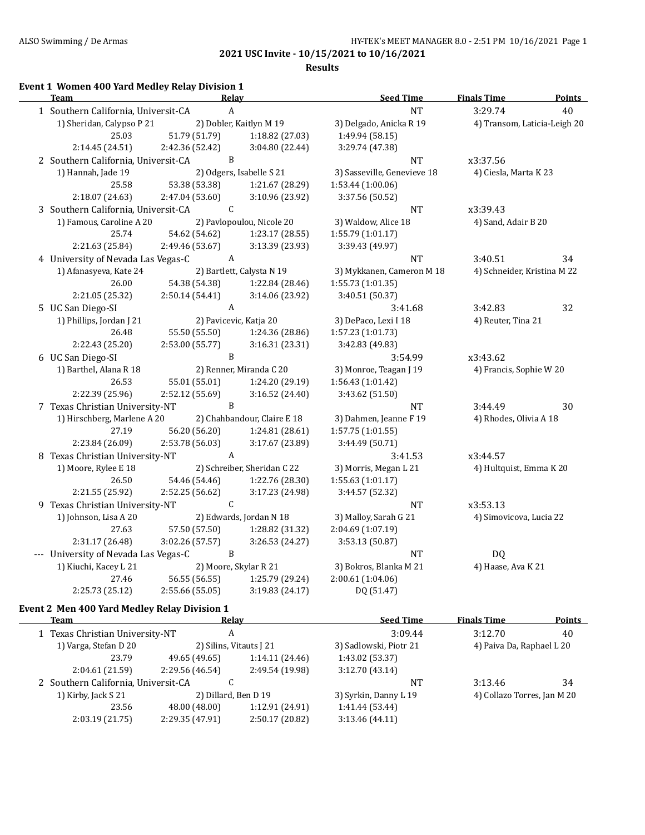**2021 USC Invite - 10/15/2021 to 10/16/2021**

**Results**

## **Event 1 Women 400 Yard Medley Relay Division 1**

| <b>Team</b>                                  | Relay                     |                             | <b>Seed Time</b>            | <b>Finals Time</b>           | <b>Points</b> |
|----------------------------------------------|---------------------------|-----------------------------|-----------------------------|------------------------------|---------------|
| 1 Southern California, Universit-CA          | $\boldsymbol{\rm{A}}$     |                             | <b>NT</b>                   | 3:29.74                      | 40            |
| 1) Sheridan, Calypso P 21                    |                           | 2) Dobler, Kaitlyn M 19     | 3) Delgado, Anicka R 19     | 4) Transom, Laticia-Leigh 20 |               |
| 25.03                                        | 51.79 (51.79)             | 1:18.82 (27.03)             | 1:49.94 (58.15)             |                              |               |
| 2:14.45 (24.51)                              | 2:42.36 (52.42)           | 3:04.80 (22.44)             | 3:29.74 (47.38)             |                              |               |
| 2 Southern California, Universit-CA          | B                         |                             | <b>NT</b>                   | x3:37.56                     |               |
| 1) Hannah, Jade 19                           |                           | 2) Odgers, Isabelle S 21    | 3) Sasseville, Genevieve 18 | 4) Ciesla, Marta K 23        |               |
| 25.58                                        | 53.38 (53.38)             | 1:21.67 (28.29)             | 1:53.44 (1:00.06)           |                              |               |
| 2:18.07 (24.63)                              | 2:47.04 (53.60)           | 3:10.96 (23.92)             | 3:37.56 (50.52)             |                              |               |
| 3 Southern California, Universit-CA          | $\mathsf{C}$              |                             | $\rm{NT}$                   | x3:39.43                     |               |
| 1) Famous, Caroline A 20                     |                           | 2) Pavlopoulou, Nicole 20   | 3) Waldow, Alice 18         | 4) Sand, Adair B 20          |               |
| 25.74                                        | 54.62 (54.62)             | 1:23.17 (28.55)             | 1:55.79 (1:01.17)           |                              |               |
| 2:21.63 (25.84)                              | 2:49.46 (53.67)           | 3:13.39 (23.93)             | 3:39.43 (49.97)             |                              |               |
| 4 University of Nevada Las Vegas-C           | $\boldsymbol{\mathsf{A}}$ |                             | <b>NT</b>                   | 3:40.51                      | 34            |
| 1) Afanasyeva, Kate 24                       |                           | 2) Bartlett, Calysta N 19   | 3) Mykkanen, Cameron M 18   | 4) Schneider, Kristina M 22  |               |
| 26.00                                        | 54.38 (54.38)             | 1:22.84 (28.46)             | 1:55.73 (1:01.35)           |                              |               |
| 2:21.05 (25.32)                              | 2:50.14 (54.41)           | 3:14.06 (23.92)             | 3:40.51 (50.37)             |                              |               |
| 5 UC San Diego-SI                            | A                         |                             | 3:41.68                     | 3:42.83                      | 32            |
| 1) Phillips, Jordan J 21                     |                           | 2) Pavicevic, Katja 20      | 3) DePaco, Lexi I 18        | 4) Reuter, Tina 21           |               |
| 26.48                                        | 55.50 (55.50)             | 1:24.36 (28.86)             | 1:57.23 (1:01.73)           |                              |               |
| 2:22.43 (25.20)                              | 2:53.00 (55.77)           | 3:16.31 (23.31)             | 3:42.83 (49.83)             |                              |               |
| 6 UC San Diego-SI                            | B                         |                             | 3:54.99                     | x3:43.62                     |               |
| 1) Barthel, Alana R 18                       |                           | 2) Renner, Miranda C 20     | 3) Monroe, Teagan J 19      | 4) Francis, Sophie W 20      |               |
| 26.53                                        | 55.01 (55.01)             | 1:24.20 (29.19)             | 1:56.43 (1:01.42)           |                              |               |
| 2:22.39 (25.96)                              | 2:52.12 (55.69)           | 3:16.52 (24.40)             | 3:43.62 (51.50)             |                              |               |
| 7 Texas Christian University-NT              | B                         |                             | $\rm{NT}$                   | 3:44.49                      | 30            |
| 1) Hirschberg, Marlene A 20                  |                           | 2) Chahbandour, Claire E 18 | 3) Dahmen, Jeanne F 19      | 4) Rhodes, Olivia A 18       |               |
| 27.19                                        | 56.20 (56.20)             | 1:24.81 (28.61)             | 1:57.75 (1:01.55)           |                              |               |
| 2:23.84 (26.09)                              | 2:53.78 (56.03)           | 3:17.67 (23.89)             | 3:44.49 (50.71)             |                              |               |
| 8 Texas Christian University-NT              | A                         |                             | 3:41.53                     | x3:44.57                     |               |
| 1) Moore, Rylee E 18                         |                           | 2) Schreiber, Sheridan C 22 | 3) Morris, Megan L 21       | 4) Hultquist, Emma K 20      |               |
| 26.50                                        | 54.46 (54.46)             | 1:22.76 (28.30)             | 1:55.63 (1:01.17)           |                              |               |
| 2:21.55 (25.92)                              | 2:52.25 (56.62)           | 3:17.23 (24.98)             | 3:44.57 (52.32)             |                              |               |
| 9 Texas Christian University-NT              | C                         |                             | NT                          | x3:53.13                     |               |
| 1) Johnson, Lisa A 20                        |                           | 2) Edwards, Jordan N 18     | 3) Malloy, Sarah G 21       | 4) Simovicova, Lucia 22      |               |
| 27.63                                        | 57.50 (57.50)             | 1:28.82 (31.32)             | 2:04.69 (1:07.19)           |                              |               |
| 2:31.17 (26.48)                              | 3:02.26 (57.57)           | 3:26.53 (24.27)             | 3:53.13 (50.87)             |                              |               |
| --- University of Nevada Las Vegas-C         | B                         |                             | $\rm{NT}$                   | DQ                           |               |
| 1) Kiuchi, Kacey L 21                        |                           | 2) Moore, Skylar R 21       | 3) Bokros, Blanka M 21      | 4) Haase, Ava K 21           |               |
| 27.46                                        | 56.55 (56.55)             | 1:25.79 (29.24)             | 2:00.61 (1:04.06)           |                              |               |
| 2:25.73 (25.12)                              | 2:55.66(55.05)            | 3:19.83 (24.17)             | DQ (51.47)                  |                              |               |
| Event 2 Men 400 Yard Medley Relay Division 1 |                           |                             |                             |                              |               |

| Team                                | Relay                   |                 | <b>Seed Time</b>       | <b>Finals Time</b>          | Points |
|-------------------------------------|-------------------------|-----------------|------------------------|-----------------------------|--------|
| 1 Texas Christian University-NT     | A                       |                 | 3:09.44                | 3:12.70                     | 40     |
| 1) Varga, Stefan D 20               | 2) Silins, Vitauts J 21 |                 | 3) Sadlowski, Piotr 21 | 4) Paiva Da, Raphael L 20   |        |
| 23.79                               | 49.65 (49.65)           | 1:14.11(24.46)  | 1:43.02 (53.37)        |                             |        |
| 2:04.61 (21.59)                     | 2:29.56 (46.54)         | 2:49.54 (19.98) | 3:12.70(43.14)         |                             |        |
| 2 Southern California, Universit-CA | u                       |                 | NT                     | 3:13.46                     | 34     |
| 1) Kirby, Jack S 21                 | 2) Dillard, Ben D 19    |                 | 3) Syrkin, Danny L 19  | 4) Collazo Torres, Jan M 20 |        |
| 23.56                               | 48.00 (48.00)           | 1:12.91 (24.91) | 1:41.44 (53.44)        |                             |        |
| 2:03.19 (21.75)                     | 2:29.35 (47.91)         | 2:50.17 (20.82) | 3:13.46(44.11)         |                             |        |
|                                     |                         |                 |                        |                             |        |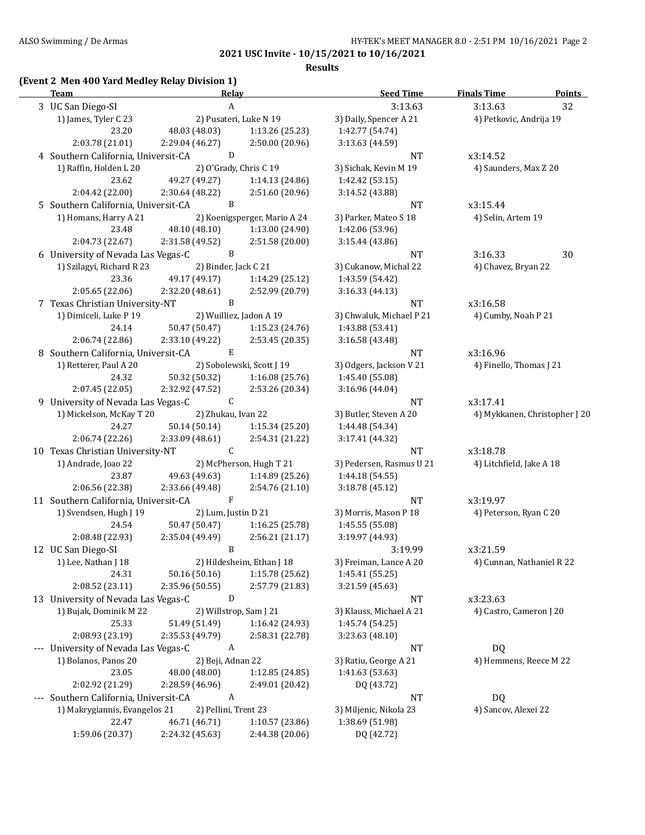**Results**

### **(Event 2 Men 400 Yard Medley Relay Division 1)**

|       | <b>Team</b>                          | Relay                |                              | <b>Seed Time</b>         | <b>Finals Time</b>            | <b>Points</b> |
|-------|--------------------------------------|----------------------|------------------------------|--------------------------|-------------------------------|---------------|
|       | 3 UC San Diego-SI                    | A                    |                              | 3:13.63                  | 3:13.63                       | 32            |
|       | 1) James, Tyler C 23                 |                      | 2) Pusateri, Luke N 19       | 3) Daily, Spencer A 21   | 4) Petkovic, Andrija 19       |               |
|       | 23.20                                | 48.03 (48.03)        | 1:13.26 (25.23)              | 1:42.77 (54.74)          |                               |               |
|       | 2:03.78 (21.01)                      | 2:29.04 (46.27)      | 2:50.00 (20.96)              | 3:13.63 (44.59)          |                               |               |
|       | 4 Southern California, Universit-CA  | ${\bf D}$            |                              | <b>NT</b>                | x3:14.52                      |               |
|       | 1) Raffin, Holden L 20               |                      | 2) O'Grady, Chris C 19       | 3) Sichak, Kevin M 19    | 4) Saunders, Max Z 20         |               |
|       | 23.62                                | 49.27 (49.27)        | 1:14.13(24.86)               | 1:42.42 (53.15)          |                               |               |
|       | 2:04.42 (22.00)                      | 2:30.64 (48.22)      | 2:51.60 (20.96)              | 3:14.52 (43.88)          |                               |               |
|       | 5 Southern California, Universit-CA  | B                    |                              | <b>NT</b>                | x3:15.44                      |               |
|       | 1) Homans, Harry A 21                |                      | 2) Koenigsperger, Mario A 24 | 3) Parker, Mateo S 18    | 4) Selin, Artem 19            |               |
|       | 23.48                                | 48.10 (48.10)        | 1:13.00 (24.90)              | 1:42.06 (53.96)          |                               |               |
|       | 2:04.73 (22.67)                      | 2:31.58 (49.52)      | 2:51.58 (20.00)              | 3:15.44 (43.86)          |                               |               |
|       |                                      | B                    |                              |                          |                               |               |
|       | 6 University of Nevada Las Vegas-C   |                      |                              | NT                       | 3:16.33                       | 30            |
|       | 1) Szilagyi, Richard R 23            | 2) Binder, Jack C 21 |                              | 3) Cukanow, Michal 22    | 4) Chavez, Bryan 22           |               |
|       | 23.36                                | 49.17 (49.17)        | 1:14.29 (25.12)              | 1:43.59 (54.42)          |                               |               |
|       | 2:05.65 (22.06)                      | 2:32.20 (48.61)      | 2:52.99 (20.79)              | 3:16.33 (44.13)          |                               |               |
|       | 7 Texas Christian University-NT      | B                    |                              | <b>NT</b>                | x3:16.58                      |               |
|       | 1) Dimiceli, Luke P 19               |                      | 2) Wuilliez, Jadon A 19      | 3) Chwaluk, Michael P 21 | 4) Cumby, Noah P 21           |               |
|       | 24.14                                | 50.47 (50.47)        | 1:15.23 (24.76)              | 1:43.88 (53.41)          |                               |               |
|       | 2:06.74 (22.86)                      | 2:33.10 (49.22)      | 2:53.45 (20.35)              | 3:16.58 (43.48)          |                               |               |
|       | 8 Southern California, Universit-CA  | $\mathbf E$          |                              | <b>NT</b>                | x3:16.96                      |               |
|       | 1) Retterer, Paul A 20               |                      | 2) Sobolewski, Scott J 19    | 3) Odgers, Jackson V 21  | 4) Finello, Thomas J 21       |               |
|       | 24.32                                | 50.32 (50.32)        | 1:16.08 (25.76)              | 1:45.40 (55.08)          |                               |               |
|       | 2:07.45 (22.05)                      | 2:32.92 (47.52)      | 2:53.26 (20.34)              | 3:16.96 (44.04)          |                               |               |
|       | 9 University of Nevada Las Vegas-C   | C                    |                              | NT                       | x3:17.41                      |               |
|       | 1) Mickelson, McKay T 20             | 2) Zhukau, Ivan 22   |                              | 3) Butler, Steven A 20   | 4) Mykkanen, Christopher J 20 |               |
|       | 24.27                                | 50.14 (50.14)        | 1:15.34 (25.20)              | 1:44.48 (54.34)          |                               |               |
|       | 2:06.74 (22.26)                      | 2:33.09 (48.61)      | 2:54.31 (21.22)              | 3:17.41 (44.32)          |                               |               |
|       | 10 Texas Christian University-NT     | C                    |                              | <b>NT</b>                | x3:18.78                      |               |
|       | 1) Andrade, Joao 22                  |                      | 2) McPherson, Hugh T 21      | 3) Pedersen, Rasmus U 21 | 4) Litchfield, Jake A 18      |               |
|       | 23.87                                | 49.63 (49.63)        | 1:14.89 (25.26)              | 1:44.18 (54.55)          |                               |               |
|       | 2:06.56 (22.38)                      | 2:33.66 (49.48)      | 2:54.76 (21.10)              | 3:18.78 (45.12)          |                               |               |
|       | 11 Southern California, Universit-CA | $\mathbf{F}$         |                              | NT                       | x3:19.97                      |               |
|       | 1) Svendsen, Hugh J 19               | 2) Lum, Justin D 21  |                              | 3) Morris, Mason P 18    | 4) Peterson, Ryan C 20        |               |
|       | 24.54                                | 50.47 (50.47)        | 1:16.25 (25.78)              | 1:45.55 (55.08)          |                               |               |
|       | 2:08.48 (22.93)                      | 2:35.04 (49.49)      | 2:56.21(21.17)               | 3:19.97 (44.93)          |                               |               |
|       | 12 UC San Diego-SI                   | B                    |                              | 3:19.99                  | x3:21.59                      |               |
|       |                                      |                      | 2) Hildesheim, Ethan J 18    |                          |                               |               |
|       | 1) Lee, Nathan J 18                  |                      |                              | 3) Freiman, Lance A 20   | 4) Cunnan, Nathaniel R 22     |               |
|       | 24.31                                | 50.16 (50.16)        | 1:15.78 (25.62)              | 1:45.41 (55.25)          |                               |               |
|       | 2:08.52 (23.11)                      | 2:35.96 (50.55)      | 2:57.79 (21.83)              | 3:21.59 (45.63)          |                               |               |
|       | 13 University of Nevada Las Vegas-C  | $\mathbf D$          |                              | <b>NT</b>                | x3:23.63                      |               |
|       | 1) Bujak, Dominik M 22               |                      | 2) Willstrop, Sam J 21       | 3) Klauss, Michael A 21  | 4) Castro, Cameron J 20       |               |
|       | 25.33                                | 51.49 (51.49)        | 1:16.42 (24.93)              | 1:45.74 (54.25)          |                               |               |
|       | 2:08.93 (23.19)                      | 2:35.53 (49.79)      | 2:58.31 (22.78)              | 3:23.63 (48.10)          |                               |               |
|       | --- University of Nevada Las Vegas-C | A                    |                              | <b>NT</b>                | <b>DQ</b>                     |               |
|       | 1) Bolanos, Panos 20                 | 2) Beji, Adnan 22    |                              | 3) Ratiu, George A 21    | 4) Hemmens, Reece M 22        |               |
|       | 23.05                                | 48.00 (48.00)        | 1:12.85 (24.85)              | 1:41.63 (53.63)          |                               |               |
|       | 2:02.92 (21.29)                      | 2:28.59 (46.96)      | 2:49.01 (20.42)              | DQ (43.72)               |                               |               |
| $---$ | Southern California, Universit-CA    | A                    |                              | NT                       | DQ                            |               |
|       | 1) Makrygiannis, Evangelos 21        | 2) Pellini, Trent 23 |                              | 3) Miljenic, Nikola 23   | 4) Sancov, Alexei 22          |               |
|       | 22.47                                | 46.71 (46.71)        | 1:10.57 (23.86)              | 1:38.69 (51.98)          |                               |               |
|       | 1:59.06 (20.37)                      | 2:24.32 (45.63)      | 2:44.38 (20.06)              | DQ (42.72)               |                               |               |
|       |                                      |                      |                              |                          |                               |               |

| <u>Finals Time _______</u>      | Points |
|---------------------------------|--------|
| 3:13.63                         | 32     |
| 4) Petkovic, Andrija 19         |        |
|                                 |        |
| x3:14.52                        |        |
| 4) Saunders, Max Z 20           |        |
|                                 |        |
| x3:15.44                        |        |
| 4) Selin, Artem 19              |        |
|                                 |        |
| 3:16.33                         | 30     |
| 4) Chavez, Bryan 22             |        |
|                                 |        |
|                                 |        |
| x3:16.58<br>4) Cumby, Noah P 21 |        |
|                                 |        |
|                                 |        |
| x3:16.96                        |        |
| 4) Finello, Thomas J 21         |        |
|                                 |        |
| x3:17.41                        |        |
| 4) Mykkanen, Christopher J 20   |        |
|                                 |        |
| x3:18.78                        |        |
| 4) Litchfield, Jake A 18        |        |
|                                 |        |
| x3:19.97                        |        |
| 4) Peterson, Ryan C 20          |        |
|                                 |        |
| x3:21.59                        |        |
| 4) Cunnan, Nathaniel R 22       |        |
|                                 |        |
| x3:23.63                        |        |
| 4) Castro, Cameron J 20         |        |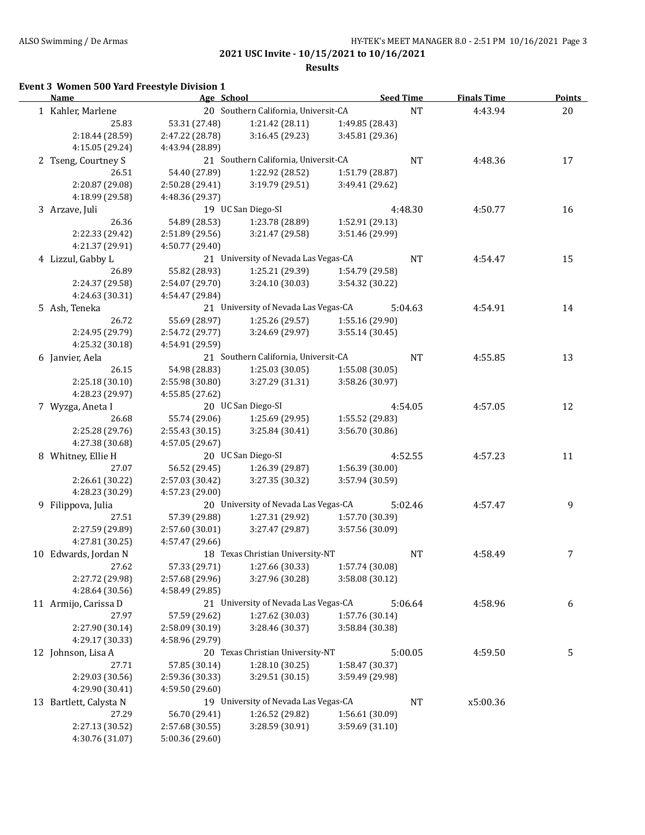$\overline{a}$ 

**2021 USC Invite - 10/15/2021 to 10/16/2021**

**Results**

### **Event 3 Women 500 Yard Freestyle Division 1**

| <b>Name</b>            | Age School      |                                               |                                    | <b>Seed Time</b> | <b>Finals Time</b> | <b>Points</b> |
|------------------------|-----------------|-----------------------------------------------|------------------------------------|------------------|--------------------|---------------|
| 1 Kahler, Marlene      |                 | 20 Southern California, Universit-CA          |                                    | <b>NT</b>        | 4:43.94            | 20            |
| 25.83                  | 53.31 (27.48)   | 1:21.42 (28.11)                               | 1:49.85 (28.43)                    |                  |                    |               |
| 2:18.44 (28.59)        | 2:47.22 (28.78) | 3:16.45 (29.23)                               | 3:45.81 (29.36)                    |                  |                    |               |
| 4:15.05 (29.24)        | 4:43.94 (28.89) |                                               |                                    |                  |                    |               |
| 2 Tseng, Courtney S    |                 | 21 Southern California, Universit-CA          |                                    | <b>NT</b>        | 4:48.36            | 17            |
| 26.51                  | 54.40 (27.89)   | 1:22.92 (28.52)                               | 1:51.79 (28.87)                    |                  |                    |               |
| 2:20.87 (29.08)        | 2:50.28 (29.41) | 3:19.79 (29.51)                               | 3:49.41 (29.62)                    |                  |                    |               |
| 4:18.99 (29.58)        | 4:48.36 (29.37) |                                               |                                    |                  |                    |               |
| 3 Arzave, Juli         |                 | 19 UC San Diego-SI                            |                                    | 4:48.30          | 4:50.77            | 16            |
| 26.36                  | 54.89 (28.53)   | 1:23.78 (28.89)                               | 1:52.91 (29.13)                    |                  |                    |               |
| 2:22.33 (29.42)        | 2:51.89 (29.56) | 3:21.47 (29.58)                               | 3:51.46 (29.99)                    |                  |                    |               |
| 4:21.37 (29.91)        | 4:50.77 (29.40) |                                               |                                    |                  |                    |               |
| 4 Lizzul, Gabby L      |                 | 21 University of Nevada Las Vegas-CA          |                                    | NT               | 4:54.47            | 15            |
| 26.89                  |                 | 1:25.21 (29.39)                               |                                    |                  |                    |               |
| 2:24.37 (29.58)        | 55.82 (28.93)   |                                               | 1:54.79 (29.58)<br>3:54.32 (30.22) |                  |                    |               |
|                        | 2:54.07 (29.70) | 3:24.10(30.03)                                |                                    |                  |                    |               |
| 4:24.63 (30.31)        | 4:54.47 (29.84) |                                               |                                    |                  |                    |               |
| 5 Ash, Teneka          |                 | 21 University of Nevada Las Vegas-CA          |                                    | 5:04.63          | 4:54.91            | 14            |
| 26.72                  | 55.69 (28.97)   | 1:25.26 (29.57)                               | 1:55.16 (29.90)                    |                  |                    |               |
| 2:24.95 (29.79)        | 2:54.72 (29.77) | 3:24.69 (29.97)                               | 3:55.14(30.45)                     |                  |                    |               |
| 4:25.32 (30.18)        | 4:54.91 (29.59) |                                               |                                    |                  |                    |               |
| 6 Janvier, Aela        |                 | 21 Southern California, Universit-CA          |                                    | <b>NT</b>        | 4:55.85            | 13            |
| 26.15                  | 54.98 (28.83)   | 1:25.03(30.05)                                | 1:55.08(30.05)                     |                  |                    |               |
| 2:25.18 (30.10)        | 2:55.98 (30.80) | 3:27.29 (31.31)                               | 3:58.26 (30.97)                    |                  |                    |               |
| 4:28.23 (29.97)        | 4:55.85 (27.62) |                                               |                                    |                  |                    |               |
| 7 Wyzga, Aneta I       |                 | 20 UC San Diego-SI                            |                                    | 4:54.05          | 4:57.05            | 12            |
| 26.68                  | 55.74 (29.06)   | 1:25.69 (29.95)                               | 1:55.52 (29.83)                    |                  |                    |               |
| 2:25.28 (29.76)        | 2:55.43 (30.15) | 3:25.84 (30.41)                               | 3:56.70 (30.86)                    |                  |                    |               |
| 4:27.38 (30.68)        | 4:57.05 (29.67) |                                               |                                    |                  |                    |               |
| 8 Whitney, Ellie H     |                 | 20 UC San Diego-SI                            |                                    | 4:52.55          | 4:57.23            | 11            |
| 27.07                  | 56.52 (29.45)   | 1:26.39 (29.87)                               | 1:56.39 (30.00)                    |                  |                    |               |
| 2:26.61 (30.22)        | 2:57.03 (30.42) | 3:27.35 (30.32)                               | 3:57.94 (30.59)                    |                  |                    |               |
| 4:28.23 (30.29)        | 4:57.23 (29.00) |                                               |                                    |                  |                    |               |
| 9 Filippova, Julia     |                 | 20 University of Nevada Las Vegas-CA          |                                    | 5:02.46          | 4:57.47            | 9             |
| 27.51                  | 57.39 (29.88)   | 1:27.31 (29.92)                               | 1:57.70 (30.39)                    |                  |                    |               |
| 2:27.59 (29.89)        | 2:57.60 (30.01) | 3:27.47 (29.87)                               | 3:57.56 (30.09)                    |                  |                    |               |
| 4:27.81 (30.25)        | 4:57.47 (29.66) |                                               |                                    |                  |                    |               |
| 10 Edwards, Jordan N   |                 | 18 Texas Christian University-NT              |                                    | <b>NT</b>        | 4:58.49            | 7             |
| 27.62                  |                 | 57.33 (29.71) 1:27.66 (30.33) 1:57.74 (30.08) |                                    |                  |                    |               |
| 2:27.72 (29.98)        | 2:57.68 (29.96) | 3:27.96 (30.28)                               | 3:58.08 (30.12)                    |                  |                    |               |
| 4:28.64 (30.56)        | 4:58.49 (29.85) |                                               |                                    |                  |                    |               |
| 11 Armijo, Carissa D   |                 | 21 University of Nevada Las Vegas-CA          |                                    | 5:06.64          | 4:58.96            | 6             |
| 27.97                  | 57.59 (29.62)   | 1:27.62 (30.03)                               | 1:57.76 (30.14)                    |                  |                    |               |
| 2:27.90 (30.14)        | 2:58.09 (30.19) | 3:28.46 (30.37)                               | 3:58.84 (30.38)                    |                  |                    |               |
| 4:29.17 (30.33)        | 4:58.96 (29.79) |                                               |                                    |                  |                    |               |
|                        |                 | 20 Texas Christian University-NT              |                                    | 5:00.05          | 4:59.50            |               |
| 12 Johnson, Lisa A     |                 |                                               |                                    |                  |                    | 5             |
| 27.71                  | 57.85 (30.14)   | 1:28.10 (30.25)                               | 1:58.47 (30.37)                    |                  |                    |               |
| 2:29.03 (30.56)        | 2:59.36 (30.33) | 3:29.51 (30.15)                               | 3:59.49 (29.98)                    |                  |                    |               |
| 4:29.90 (30.41)        | 4:59.50 (29.60) |                                               |                                    |                  |                    |               |
| 13 Bartlett, Calysta N |                 | 19 University of Nevada Las Vegas-CA          |                                    | NT               | x5:00.36           |               |
| 27.29                  | 56.70 (29.41)   | 1:26.52 (29.82)                               | 1:56.61 (30.09)                    |                  |                    |               |
| 2:27.13 (30.52)        | 2:57.68 (30.55) | 3:28.59 (30.91)                               | 3:59.69 (31.10)                    |                  |                    |               |
| 4:30.76 (31.07)        | 5:00.36 (29.60) |                                               |                                    |                  |                    |               |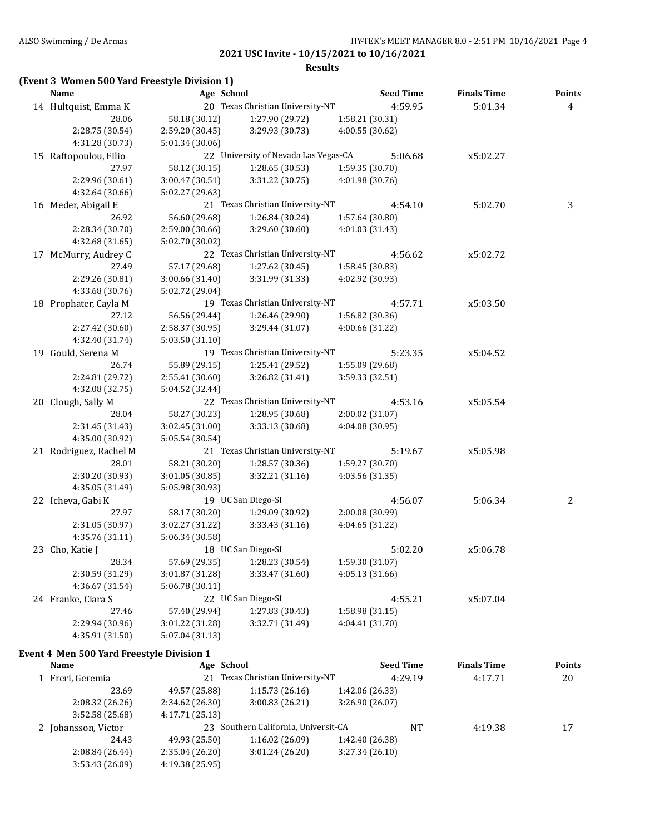#### **Results**

### **(Event 3 Women 500 Yard Freestyle Division 1)**

| <b>Name</b>            | Age School      |                                      | <b>Seed Time</b> | <b>Finals Time</b> | <b>Points</b>  |
|------------------------|-----------------|--------------------------------------|------------------|--------------------|----------------|
| 14 Hultquist, Emma K   |                 | 20 Texas Christian University-NT     | 4:59.95          | 5:01.34            | $\overline{4}$ |
| 28.06                  | 58.18 (30.12)   | 1:27.90 (29.72)                      | 1:58.21 (30.31)  |                    |                |
| 2:28.75 (30.54)        | 2:59.20 (30.45) | 3:29.93 (30.73)                      | 4:00.55 (30.62)  |                    |                |
| 4:31.28 (30.73)        | 5:01.34 (30.06) |                                      |                  |                    |                |
| 15 Raftopoulou, Filio  |                 | 22 University of Nevada Las Vegas-CA | 5:06.68          | x5:02.27           |                |
| 27.97                  | 58.12 (30.15)   | 1:28.65 (30.53)                      | 1:59.35 (30.70)  |                    |                |
| 2:29.96 (30.61)        | 3:00.47 (30.51) | 3:31.22 (30.75)                      | 4:01.98 (30.76)  |                    |                |
| 4:32.64 (30.66)        | 5:02.27 (29.63) |                                      |                  |                    |                |
| 16 Meder, Abigail E    |                 | 21 Texas Christian University-NT     | 4:54.10          | 5:02.70            | 3              |
| 26.92                  | 56.60 (29.68)   | 1:26.84(30.24)                       | 1:57.64 (30.80)  |                    |                |
| 2:28.34 (30.70)        | 2:59.00(30.66)  | 3:29.60 (30.60)                      | 4:01.03 (31.43)  |                    |                |
| 4:32.68 (31.65)        | 5:02.70 (30.02) |                                      |                  |                    |                |
| 17 McMurry, Audrey C   |                 | 22 Texas Christian University-NT     | 4:56.62          | x5:02.72           |                |
| 27.49                  | 57.17 (29.68)   | 1:27.62 (30.45)                      | 1:58.45 (30.83)  |                    |                |
| 2:29.26 (30.81)        | 3:00.66 (31.40) | 3:31.99(31.33)                       | 4:02.92 (30.93)  |                    |                |
| 4:33.68 (30.76)        | 5:02.72 (29.04) |                                      |                  |                    |                |
| 18 Prophater, Cayla M  |                 | 19 Texas Christian University-NT     | 4:57.71          | x5:03.50           |                |
| 27.12                  | 56.56 (29.44)   | 1:26.46 (29.90)                      | 1:56.82 (30.36)  |                    |                |
| 2:27.42 (30.60)        | 2:58.37 (30.95) | 3:29.44 (31.07)                      | 4:00.66 (31.22)  |                    |                |
| 4:32.40 (31.74)        | 5:03.50 (31.10) |                                      |                  |                    |                |
| 19 Gould, Serena M     |                 | 19 Texas Christian University-NT     | 5:23.35          | x5:04.52           |                |
| 26.74                  | 55.89 (29.15)   | 1:25.41 (29.52)                      | 1:55.09 (29.68)  |                    |                |
| 2:24.81 (29.72)        | 2:55.41 (30.60) | 3:26.82 (31.41)                      | 3:59.33 (32.51)  |                    |                |
| 4:32.08 (32.75)        | 5:04.52 (32.44) |                                      |                  |                    |                |
| 20 Clough, Sally M     |                 | 22 Texas Christian University-NT     | 4:53.16          | x5:05.54           |                |
| 28.04                  | 58.27 (30.23)   | 1:28.95 (30.68)                      | 2:00.02 (31.07)  |                    |                |
| 2:31.45 (31.43)        | 3:02.45 (31.00) | 3:33.13 (30.68)                      | 4:04.08 (30.95)  |                    |                |
| 4:35.00 (30.92)        | 5:05.54 (30.54) |                                      |                  |                    |                |
| 21 Rodriguez, Rachel M |                 | 21 Texas Christian University-NT     | 5:19.67          | x5:05.98           |                |
| 28.01                  | 58.21 (30.20)   | 1:28.57(30.36)                       | 1:59.27 (30.70)  |                    |                |
| 2:30.20 (30.93)        | 3:01.05(30.85)  | 3:32.21 (31.16)                      | 4:03.56 (31.35)  |                    |                |
| 4:35.05 (31.49)        | 5:05.98 (30.93) |                                      |                  |                    |                |
| 22 Icheva, Gabi K      |                 | 19 UC San Diego-SI                   | 4:56.07          | 5:06.34            | 2              |
| 27.97                  | 58.17 (30.20)   | 1:29.09 (30.92)                      | 2:00.08 (30.99)  |                    |                |
| 2:31.05 (30.97)        | 3:02.27 (31.22) | 3:33.43 (31.16)                      | 4:04.65 (31.22)  |                    |                |
| 4:35.76 (31.11)        | 5:06.34 (30.58) |                                      |                  |                    |                |
| 23 Cho, Katie J        |                 | 18 UC San Diego-SI                   | 5:02.20          | x5:06.78           |                |
| 28.34                  |                 | 57.69 (29.35) 1:28.23 (30.54)        | 1:59.30 (31.07)  |                    |                |
| 2:30.59 (31.29)        | 3:01.87 (31.28) | 3:33.47 (31.60)                      | 4:05.13 (31.66)  |                    |                |
| 4:36.67 (31.54)        | 5:06.78 (30.11) |                                      |                  |                    |                |
| 24 Franke, Ciara S     |                 | 22 UC San Diego-SI                   | 4:55.21          | x5:07.04           |                |
| 27.46                  | 57.40 (29.94)   | 1:27.83 (30.43)                      | 1:58.98 (31.15)  |                    |                |
| 2:29.94 (30.96)        | 3:01.22 (31.28) | 3:32.71 (31.49)                      | 4:04.41 (31.70)  |                    |                |
| 4:35.91 (31.50)        | 5:07.04 (31.13) |                                      |                  |                    |                |

### **Event 4 Men 500 Yard Freestyle Division 1**

| Age School     |                                  |                                                                                              | <b>Finals Time</b>          | <b>Points</b> |
|----------------|----------------------------------|----------------------------------------------------------------------------------------------|-----------------------------|---------------|
|                |                                  |                                                                                              | 4:17.71                     | 20            |
| 1:15.73(26.16) |                                  |                                                                                              |                             |               |
| 3:00.83(26.21) |                                  |                                                                                              |                             |               |
|                |                                  |                                                                                              |                             |               |
|                |                                  | NT                                                                                           | 4:19.38                     | 17            |
| 1:16.02(26.09) | 1:42.40 (26.38)                  |                                                                                              |                             |               |
| 3:01.24(26.20) |                                  |                                                                                              |                             |               |
|                |                                  |                                                                                              |                             |               |
|                | 21 Texas Christian University-NT | 1:42.06 (26.33)<br>3:26.90 (26.07)<br>23 Southern California, Universit-CA<br>3:27.34(26.10) | <b>Seed Time</b><br>4:29.19 |               |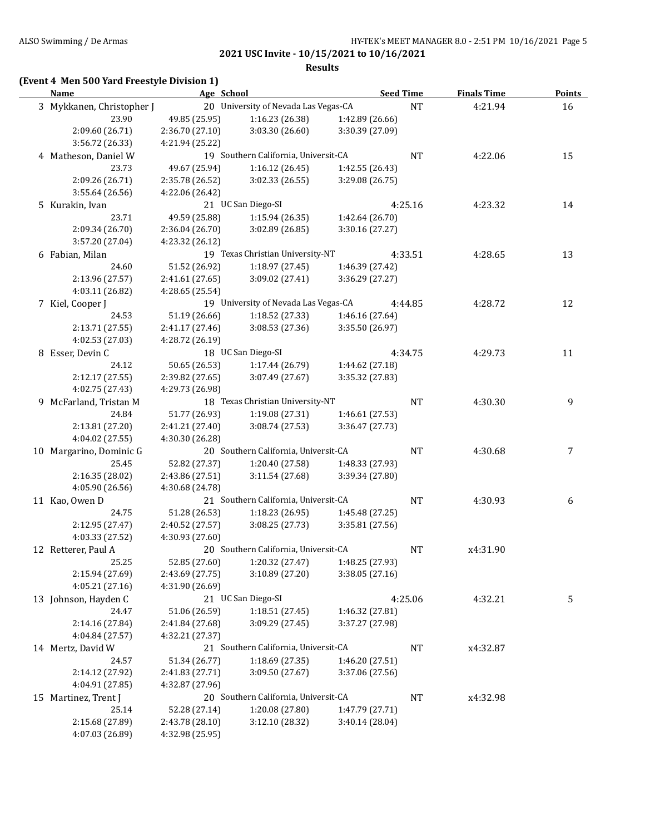### **Results**

## **(Event 4 Men 500 Yard Freestyle Division 1)**

| <b>Name</b>               | Age School      |                                               |                 | <b>Seed Time</b> | <b>Finals Time</b> | <b>Points</b> |
|---------------------------|-----------------|-----------------------------------------------|-----------------|------------------|--------------------|---------------|
| 3 Mykkanen, Christopher J |                 | 20 University of Nevada Las Vegas-CA          |                 | NT               | 4:21.94            | 16            |
| 23.90                     | 49.85 (25.95)   | 1:16.23 (26.38)                               | 1:42.89 (26.66) |                  |                    |               |
| 2:09.60 (26.71)           | 2:36.70 (27.10) | 3:03.30 (26.60)                               | 3:30.39 (27.09) |                  |                    |               |
| 3:56.72 (26.33)           | 4:21.94 (25.22) |                                               |                 |                  |                    |               |
| 4 Matheson, Daniel W      |                 | 19 Southern California, Universit-CA          |                 | <b>NT</b>        | 4:22.06            | 15            |
| 23.73                     | 49.67 (25.94)   | 1:16.12(26.45)                                | 1:42.55 (26.43) |                  |                    |               |
| 2:09.26 (26.71)           | 2:35.78 (26.52) | 3:02.33 (26.55)                               | 3:29.08 (26.75) |                  |                    |               |
| 3:55.64 (26.56)           | 4:22.06 (26.42) |                                               |                 |                  |                    |               |
| 5 Kurakin, Ivan           |                 | 21 UC San Diego-SI                            |                 | 4:25.16          | 4:23.32            | 14            |
| 23.71                     | 49.59 (25.88)   | 1:15.94(26.35)                                | 1:42.64 (26.70) |                  |                    |               |
| 2:09.34 (26.70)           | 2:36.04(26.70)  | 3:02.89 (26.85)                               | 3:30.16 (27.27) |                  |                    |               |
| 3:57.20 (27.04)           | 4:23.32 (26.12) |                                               |                 |                  |                    |               |
|                           |                 |                                               |                 |                  |                    |               |
| 6 Fabian, Milan           |                 | 19 Texas Christian University-NT              |                 | 4:33.51          | 4:28.65            | 13            |
| 24.60                     | 51.52 (26.92)   | 1:18.97(27.45)                                | 1:46.39 (27.42) |                  |                    |               |
| 2:13.96 (27.57)           | 2:41.61 (27.65) | 3:09.02(27.41)                                | 3:36.29 (27.27) |                  |                    |               |
| 4:03.11 (26.82)           | 4:28.65 (25.54) |                                               |                 |                  |                    |               |
| 7 Kiel, Cooper J          |                 | 19 University of Nevada Las Vegas-CA          |                 | 4:44.85          | 4:28.72            | 12            |
| 24.53                     | 51.19 (26.66)   | 1:18.52 (27.33)                               | 1:46.16 (27.64) |                  |                    |               |
| 2:13.71 (27.55)           | 2:41.17 (27.46) | 3:08.53(27.36)                                | 3:35.50 (26.97) |                  |                    |               |
| 4:02.53 (27.03)           | 4:28.72 (26.19) |                                               |                 |                  |                    |               |
| 8 Esser, Devin C          |                 | 18 UC San Diego-SI                            |                 | 4:34.75          | 4:29.73            | 11            |
| 24.12                     | 50.65 (26.53)   | 1:17.44(26.79)                                | 1:44.62 (27.18) |                  |                    |               |
| 2:12.17 (27.55)           | 2:39.82(27.65)  | 3:07.49 (27.67)                               | 3:35.32 (27.83) |                  |                    |               |
| 4:02.75 (27.43)           | 4:29.73 (26.98) |                                               |                 |                  |                    |               |
| 9 McFarland, Tristan M    |                 | 18 Texas Christian University-NT              |                 | <b>NT</b>        | 4:30.30            | 9             |
| 24.84                     | 51.77 (26.93)   | 1:19.08(27.31)                                | 1:46.61 (27.53) |                  |                    |               |
| 2:13.81 (27.20)           | 2:41.21 (27.40) | 3:08.74(27.53)                                | 3:36.47 (27.73) |                  |                    |               |
| 4:04.02 (27.55)           | 4:30.30 (26.28) |                                               |                 |                  |                    |               |
| 10 Margarino, Dominic G   |                 | 20 Southern California, Universit-CA          |                 | NT               | 4:30.68            | 7             |
| 25.45                     | 52.82 (27.37)   | 1:20.40 (27.58)                               | 1:48.33 (27.93) |                  |                    |               |
| 2:16.35 (28.02)           | 2:43.86 (27.51) | 3:11.54 (27.68)                               | 3:39.34 (27.80) |                  |                    |               |
| 4:05.90 (26.56)           | 4:30.68 (24.78) |                                               |                 |                  |                    |               |
| 11 Kao, Owen D            |                 | 21 Southern California, Universit-CA          |                 | <b>NT</b>        | 4:30.93            | 6             |
| 24.75                     | 51.28 (26.53)   | 1:18.23(26.95)                                | 1:45.48 (27.25) |                  |                    |               |
| 2:12.95 (27.47)           | 2:40.52 (27.57) | 3:08.25(27.73)                                | 3:35.81 (27.56) |                  |                    |               |
| 4:03.33 (27.52)           | 4:30.93 (27.60) |                                               |                 |                  |                    |               |
| 12 Retterer, Paul A       |                 | 20 Southern California, Universit-CA          |                 | <b>NT</b>        | x4:31.90           |               |
| 25.25                     |                 | 52.85 (27.60) 1:20.32 (27.47) 1:48.25 (27.93) |                 |                  |                    |               |
| 2:15.94 (27.69)           | 2:43.69 (27.75) | 3:10.89 (27.20)                               | 3:38.05 (27.16) |                  |                    |               |
| 4:05.21(27.16)            | 4:31.90 (26.69) |                                               |                 |                  |                    |               |
| 13 Johnson, Hayden C      |                 | 21 UC San Diego-SI                            |                 | 4:25.06          | 4:32.21            |               |
|                           |                 |                                               |                 |                  |                    | 5             |
| 24.47                     | 51.06 (26.59)   | 1:18.51 (27.45)                               | 1:46.32 (27.81) |                  |                    |               |
| 2:14.16 (27.84)           | 2:41.84 (27.68) | 3:09.29 (27.45)                               | 3:37.27 (27.98) |                  |                    |               |
| 4:04.84 (27.57)           | 4:32.21 (27.37) |                                               |                 |                  |                    |               |
| 14 Mertz, David W         |                 | 21 Southern California, Universit-CA          |                 | NT               | x4:32.87           |               |
| 24.57                     | 51.34 (26.77)   | 1:18.69 (27.35)                               | 1:46.20 (27.51) |                  |                    |               |
| 2:14.12 (27.92)           | 2:41.83 (27.71) | 3:09.50 (27.67)                               | 3:37.06 (27.56) |                  |                    |               |
| 4:04.91 (27.85)           | 4:32.87 (27.96) |                                               |                 |                  |                    |               |
| 15 Martinez, Trent J      |                 | 20 Southern California, Universit-CA          |                 | <b>NT</b>        | x4:32.98           |               |
| 25.14                     | 52.28 (27.14)   | 1:20.08 (27.80)                               | 1:47.79 (27.71) |                  |                    |               |
| 2:15.68 (27.89)           | 2:43.78 (28.10) | 3:12.10 (28.32)                               | 3:40.14 (28.04) |                  |                    |               |
| 4:07.03 (26.89)           | 4:32.98 (25.95) |                                               |                 |                  |                    |               |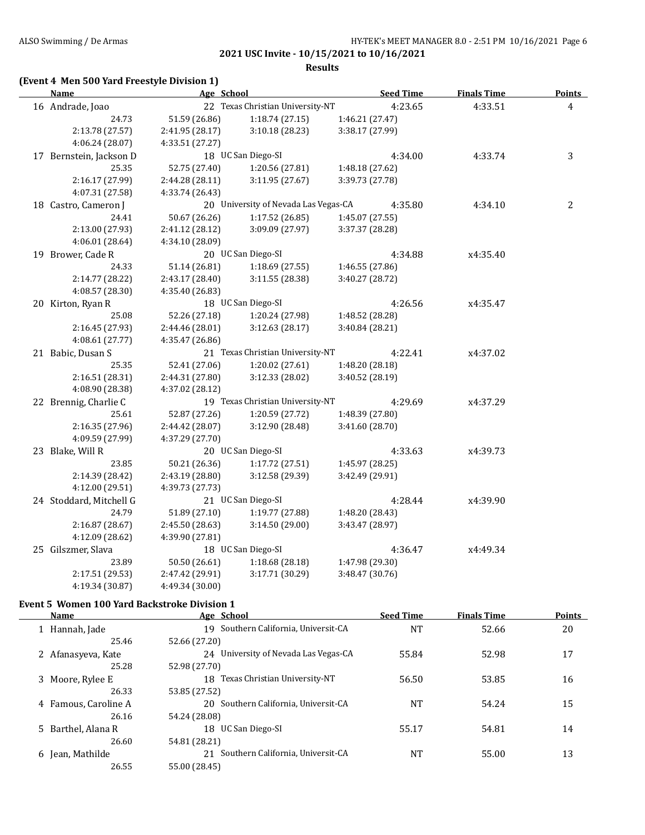#### **Results**

### **(Event 4 Men 500 Yard Freestyle Division 1)**

| <b>Name</b>             | Age School      |                                      | <b>Seed Time</b> | <b>Finals Time</b> | <b>Points</b>  |
|-------------------------|-----------------|--------------------------------------|------------------|--------------------|----------------|
| 16 Andrade, Joao        |                 | 22 Texas Christian University-NT     | 4:23.65          | 4:33.51            | $\overline{4}$ |
| 24.73                   | 51.59 (26.86)   | 1:18.74(27.15)                       | 1:46.21 (27.47)  |                    |                |
| 2:13.78 (27.57)         | 2:41.95 (28.17) | 3:10.18(28.23)                       | 3:38.17 (27.99)  |                    |                |
| 4:06.24 (28.07)         | 4:33.51 (27.27) |                                      |                  |                    |                |
| 17 Bernstein, Jackson D |                 | 18 UC San Diego-SI                   | 4:34.00          | 4:33.74            | 3              |
| 25.35                   | 52.75 (27.40)   | 1:20.56 (27.81)                      | 1:48.18 (27.62)  |                    |                |
| 2:16.17 (27.99)         | 2:44.28 (28.11) | 3:11.95(27.67)                       | 3:39.73 (27.78)  |                    |                |
| 4:07.31 (27.58)         | 4:33.74 (26.43) |                                      |                  |                    |                |
| 18 Castro, Cameron J    |                 | 20 University of Nevada Las Vegas-CA | 4:35.80          | 4:34.10            | 2              |
| 24.41                   | 50.67 (26.26)   | 1:17.52(26.85)                       | 1:45.07 (27.55)  |                    |                |
| 2:13.00 (27.93)         | 2:41.12 (28.12) | 3:09.09 (27.97)                      | 3:37.37 (28.28)  |                    |                |
| 4:06.01 (28.64)         | 4:34.10 (28.09) |                                      |                  |                    |                |
| 19 Brower, Cade R       |                 | 20 UC San Diego-SI                   | 4:34.88          | x4:35.40           |                |
| 24.33                   | 51.14 (26.81)   | 1:18.69(27.55)                       | 1:46.55 (27.86)  |                    |                |
| 2:14.77 (28.22)         | 2:43.17 (28.40) | 3:11.55(28.38)                       | 3:40.27 (28.72)  |                    |                |
| 4:08.57 (28.30)         | 4:35.40 (26.83) |                                      |                  |                    |                |
| 20 Kirton, Ryan R       |                 | 18 UC San Diego-SI                   | 4:26.56          | x4:35.47           |                |
| 25.08                   | 52.26 (27.18)   | 1:20.24 (27.98)                      | 1:48.52 (28.28)  |                    |                |
| 2:16.45 (27.93)         | 2:44.46 (28.01) | 3:12.63(28.17)                       | 3:40.84 (28.21)  |                    |                |
| 4:08.61 (27.77)         | 4:35.47 (26.86) |                                      |                  |                    |                |
| 21 Babic, Dusan S       |                 | 21 Texas Christian University-NT     | 4:22.41          | x4:37.02           |                |
| 25.35                   | 52.41 (27.06)   | 1:20.02(27.61)                       | 1:48.20 (28.18)  |                    |                |
| 2:16.51 (28.31)         | 2:44.31 (27.80) | 3:12.33 (28.02)                      | 3:40.52 (28.19)  |                    |                |
| 4:08.90 (28.38)         | 4:37.02 (28.12) |                                      |                  |                    |                |
| 22 Brennig, Charlie C   |                 | 19 Texas Christian University-NT     | 4:29.69          | x4:37.29           |                |
| 25.61                   | 52.87 (27.26)   | 1:20.59 (27.72)                      | 1:48.39 (27.80)  |                    |                |
| 2:16.35 (27.96)         | 2:44.42 (28.07) | 3:12.90 (28.48)                      | 3:41.60 (28.70)  |                    |                |
| 4:09.59 (27.99)         | 4:37.29 (27.70) |                                      |                  |                    |                |
| 23 Blake, Will R        |                 | 20 UC San Diego-SI                   | 4:33.63          | x4:39.73           |                |
| 23.85                   | 50.21 (26.36)   | 1:17.72(27.51)                       | 1:45.97 (28.25)  |                    |                |
| 2:14.39 (28.42)         | 2:43.19 (28.80) | 3:12.58 (29.39)                      | 3:42.49 (29.91)  |                    |                |
| 4:12.00 (29.51)         | 4:39.73 (27.73) |                                      |                  |                    |                |
| 24 Stoddard, Mitchell G |                 | 21 UC San Diego-SI                   | 4:28.44          | x4:39.90           |                |
| 24.79                   | 51.89 (27.10)   | 1:19.77 (27.88)                      | 1:48.20 (28.43)  |                    |                |
| 2:16.87 (28.67)         | 2:45.50 (28.63) | 3:14.50(29.00)                       | 3:43.47 (28.97)  |                    |                |
| 4:12.09 (28.62)         | 4:39.90 (27.81) |                                      |                  |                    |                |
| 25 Gilszmer, Slava      |                 | 18 UC San Diego-SI                   | 4:36.47          | x4:49.34           |                |
| 23.89                   | 50.50 (26.61)   | 1:18.68(28.18)                       | 1:47.98 (29.30)  |                    |                |
| 2:17.51 (29.53)         | 2:47.42 (29.91) | 3:17.71 (30.29)                      | 3:48.47 (30.76)  |                    |                |
| 4:19.34 (30.87)         | 4:49.34 (30.00) |                                      |                  |                    |                |

### **Event 5 Women 100 Yard Backstroke Division 1**

| Name                 | Age School                           | <b>Seed Time</b> | <b>Finals Time</b> | <b>Points</b> |
|----------------------|--------------------------------------|------------------|--------------------|---------------|
| 1 Hannah, Jade       | 19 Southern California, Universit-CA | <b>NT</b>        | 52.66              | 20            |
| 25.46                | 52.66 (27.20)                        |                  |                    |               |
| 2 Afanasyeva, Kate   | 24 University of Nevada Las Vegas-CA | 55.84            | 52.98              | 17            |
| 25.28                | 52.98 (27.70)                        |                  |                    |               |
| 3 Moore, Rylee E     | 18 Texas Christian University-NT     | 56.50            | 53.85              | 16            |
| 26.33                | 53.85 (27.52)                        |                  |                    |               |
| 4 Famous, Caroline A | 20 Southern California, Universit-CA | NT               | 54.24              | 15            |
| 26.16                | 54.24 (28.08)                        |                  |                    |               |
| 5 Barthel, Alana R   | 18 UC San Diego-SI                   | 55.17            | 54.81              | 14            |
| 26.60                | 54.81 (28.21)                        |                  |                    |               |
| 6 Jean, Mathilde     | 21 Southern California, Universit-CA | NT               | 55.00              | 13            |
| 26.55                | 55.00 (28.45)                        |                  |                    |               |
|                      |                                      |                  |                    |               |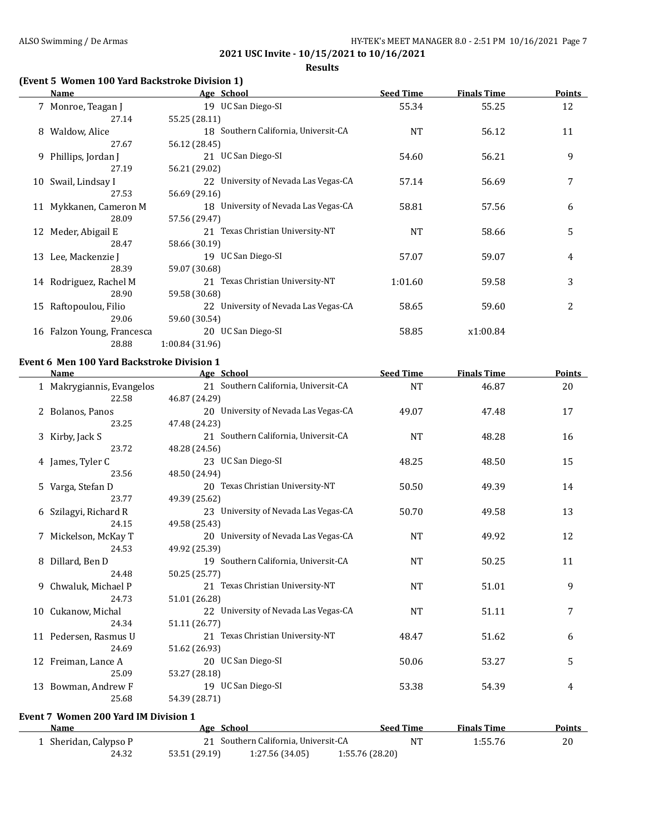**Results**

### **(Event 5 Women 100 Yard Backstroke Division 1)**

| Name                       | Age School                           | <b>Seed Time</b> | <b>Finals Time</b> | <b>Points</b> |
|----------------------------|--------------------------------------|------------------|--------------------|---------------|
| 7 Monroe, Teagan J         | 19 UC San Diego-SI                   | 55.34            | 55.25              | 12            |
| 27.14                      | 55.25 (28.11)                        |                  |                    |               |
| 8 Waldow, Alice            | 18 Southern California, Universit-CA | <b>NT</b>        | 56.12              | 11            |
| 27.67                      | 56.12 (28.45)                        |                  |                    |               |
| 9 Phillips, Jordan J       | 21 UC San Diego-SI                   | 54.60            | 56.21              | 9             |
| 27.19                      | 56.21 (29.02)                        |                  |                    |               |
| 10 Swail, Lindsay I        | 22 University of Nevada Las Vegas-CA | 57.14            | 56.69              | 7             |
| 27.53                      | 56.69 (29.16)                        |                  |                    |               |
| 11 Mykkanen, Cameron M     | 18 University of Nevada Las Vegas-CA | 58.81            | 57.56              | 6             |
| 28.09                      | 57.56 (29.47)                        |                  |                    |               |
| 12 Meder, Abigail E        | 21 Texas Christian University-NT     | <b>NT</b>        | 58.66              | 5             |
| 28.47                      | 58.66 (30.19)                        |                  |                    |               |
| 13 Lee, Mackenzie J        | 19 UC San Diego-SI                   | 57.07            | 59.07              | 4             |
| 28.39                      | 59.07 (30.68)                        |                  |                    |               |
| 14 Rodriguez, Rachel M     | 21 Texas Christian University-NT     | 1:01.60          | 59.58              | 3             |
| 28.90                      | 59.58 (30.68)                        |                  |                    |               |
| 15 Raftopoulou, Filio      | 22 University of Nevada Las Vegas-CA | 58.65            | 59.60              | 2             |
| 29.06                      | 59.60 (30.54)                        |                  |                    |               |
| 16 Falzon Young, Francesca | 20 UC San Diego-SI                   | 58.85            | x1:00.84           |               |
| 28.88                      | 1:00.84 (31.96)                      |                  |                    |               |

#### **Event 6 Men 100 Yard Backstroke Division 1**

|    | Name                      | Age School                           | <b>Seed Time</b> | <b>Finals Time</b> | <b>Points</b> |
|----|---------------------------|--------------------------------------|------------------|--------------------|---------------|
|    | 1 Makrygiannis, Evangelos | 21 Southern California, Universit-CA | <b>NT</b>        | 46.87              | 20            |
|    | 22.58                     | 46.87 (24.29)                        |                  |                    |               |
|    | 2 Bolanos, Panos          | 20 University of Nevada Las Vegas-CA | 49.07            | 47.48              | 17            |
|    | 23.25                     | 47.48 (24.23)                        |                  |                    |               |
|    | 3 Kirby, Jack S           | 21 Southern California, Universit-CA | <b>NT</b>        | 48.28              | 16            |
|    | 23.72                     | 48.28 (24.56)                        |                  |                    |               |
|    | 4 James, Tyler C          | 23 UC San Diego-SI                   | 48.25            | 48.50              | 15            |
|    | 23.56                     | 48.50 (24.94)                        |                  |                    |               |
|    | 5 Varga, Stefan D         | 20 Texas Christian University-NT     | 50.50            | 49.39              | 14            |
|    | 23.77                     | 49.39 (25.62)                        |                  |                    |               |
|    | 6 Szilagyi, Richard R     | 23 University of Nevada Las Vegas-CA | 50.70            | 49.58              | 13            |
|    | 24.15                     | 49.58 (25.43)                        |                  |                    |               |
|    | 7 Mickelson, McKay T      | 20 University of Nevada Las Vegas-CA | <b>NT</b>        | 49.92              | 12            |
|    | 24.53                     | 49.92 (25.39)                        |                  |                    |               |
|    | 8 Dillard, Ben D          | 19 Southern California, Universit-CA | <b>NT</b>        | 50.25              | 11            |
|    | 24.48                     | 50.25 (25.77)                        |                  |                    |               |
| 9  | Chwaluk, Michael P        | 21 Texas Christian University-NT     | <b>NT</b>        | 51.01              | 9             |
|    | 24.73                     | 51.01 (26.28)                        |                  |                    |               |
| 10 | Cukanow, Michal           | 22 University of Nevada Las Vegas-CA | <b>NT</b>        | 51.11              | 7             |
|    | 24.34                     | 51.11 (26.77)                        |                  |                    |               |
|    | 11 Pedersen, Rasmus U     | 21 Texas Christian University-NT     | 48.47            | 51.62              | 6             |
|    | 24.69                     | 51.62 (26.93)                        |                  |                    |               |
|    | 12 Freiman, Lance A       | 20 UC San Diego-SI                   | 50.06            | 53.27              | 5             |
|    | 25.09                     | 53.27 (28.18)                        |                  |                    |               |
|    | 13 Bowman, Andrew F       | 19 UC San Diego-SI                   | 53.38            | 54.39              | 4             |
|    | 25.68                     | 54.39 (28.71)                        |                  |                    |               |

#### **Event 7 Women 200 Yard IM Division 1**

| Name                  | Age School    |                                      |                | <b>Seed Time</b> | <b>Finals Time</b> | Points |
|-----------------------|---------------|--------------------------------------|----------------|------------------|--------------------|--------|
| ⊥ Sheridan, Calypso P |               | 21 Southern California, Universit-CA |                | $N^{T}$          | 1:55.76            | 20     |
| 24.32                 | 53.51 (29.19) | 1:27.56(34.05)                       | 1:55.76(28.20) |                  |                    |        |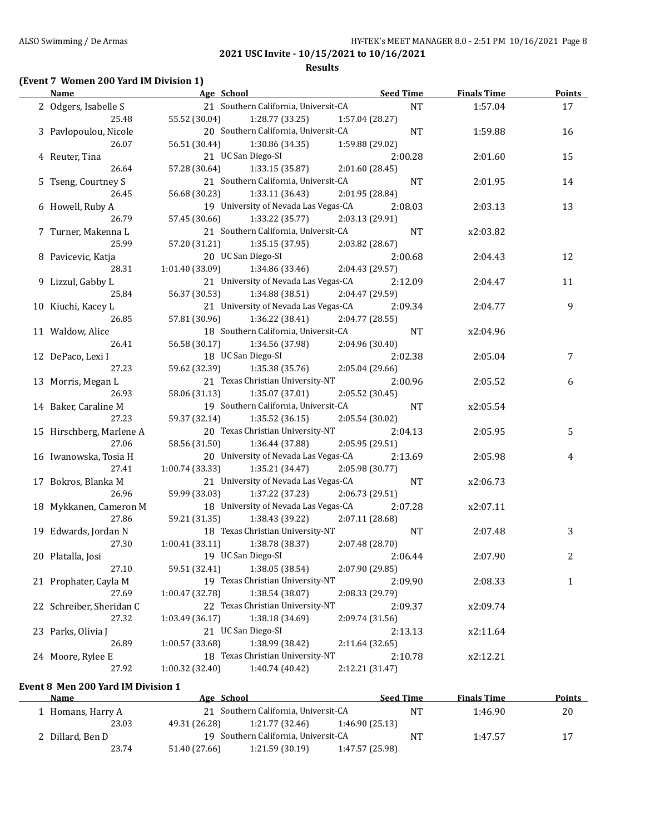### **Results**

### **(Event 7 Women 200 Yard IM Division 1)**

| <b>Name</b>              | Age School                           | <b>Seed Time</b>                                | <b>Finals Time</b> | <b>Points</b>  |
|--------------------------|--------------------------------------|-------------------------------------------------|--------------------|----------------|
| 2 Odgers, Isabelle S     | 21 Southern California, Universit-CA | NT                                              | 1:57.04            | 17             |
| 25.48                    | 55.52 (30.04)                        | 1:28.77 (33.25)<br>1:57.04 (28.27)              |                    |                |
| 3 Pavlopoulou, Nicole    | 20 Southern California, Universit-CA | $\rm{NT}$                                       | 1:59.88            | 16             |
| 26.07                    | 56.51 (30.44) 1:30.86 (34.35)        | 1:59.88 (29.02)                                 |                    |                |
| 4 Reuter, Tina           | 21 UC San Diego-SI                   | 2:00.28                                         | 2:01.60            | 15             |
| 26.64                    | 57.28 (30.64) 1:33.15 (35.87)        | 2:01.60 (28.45)                                 |                    |                |
| 5 Tseng, Courtney S      | 21 Southern California, Universit-CA | <b>NT</b>                                       | 2:01.95            | 14             |
| 26.45                    | 56.68 (30.23) 1:33.11 (36.43)        | 2:01.95 (28.84)                                 |                    |                |
| 6 Howell, Ruby A         | 19 University of Nevada Las Vegas-CA | 2:08.03                                         | 2:03.13            | 13             |
| 26.79                    | 57.45 (30.66) 1:33.22 (35.77)        | 2:03.13 (29.91)                                 |                    |                |
| 7 Turner, Makenna L      | 21 Southern California, Universit-CA | NT                                              | x2:03.82           |                |
| 25.99                    | 57.20 (31.21) 1:35.15 (37.95)        | 2:03.82 (28.67)                                 |                    |                |
| 8 Pavicevic, Katja       | 20 UC San Diego-SI                   | 2:00.68                                         | 2:04.43            | 12             |
| 28.31                    | $1:01.40(33.09)$ $1:34.86(33.46)$    | 2:04.43 (29.57)                                 |                    |                |
| 9 Lizzul, Gabby L        |                                      | 21 University of Nevada Las Vegas-CA<br>2:12.09 | 2:04.47            | 11             |
| 25.84                    | 56.37 (30.53)                        | 1:34.88 (38.51)<br>2:04.47 (29.59)              |                    |                |
| 10 Kiuchi, Kacey L       |                                      | 21 University of Nevada Las Vegas-CA 2:09.34    | 2:04.77            | 9              |
| 26.85                    | 57.81 (30.96) 1:36.22 (38.41)        | 2:04.77 (28.55)                                 |                    |                |
| 11 Waldow, Alice         | 18 Southern California, Universit-CA | NT                                              | x2:04.96           |                |
| 26.41                    | 56.58 (30.17) 1:34.56 (37.98)        | 2:04.96 (30.40)                                 |                    |                |
| 12 DePaco, Lexi I        | 18 UC San Diego-SI                   | 2:02.38                                         | 2:05.04            | 7              |
| 27.23                    | 59.62 (32.39) 1:35.38 (35.76)        | 2:05.04 (29.66)                                 |                    |                |
| 13 Morris, Megan L       |                                      | 21 Texas Christian University-NT<br>2:00.96     | 2:05.52            | 6              |
| 26.93                    | 58.06 (31.13)<br>1:35.07 (37.01)     | 2:05.52 (30.45)                                 |                    |                |
| 14 Baker, Caraline M     | 19 Southern California, Universit-CA | NT                                              | x2:05.54           |                |
| 27.23                    | 59.37 (32.14) 1:35.52 (36.15)        | 2:05.54 (30.02)                                 |                    |                |
| 15 Hirschberg, Marlene A | 20 Texas Christian University-NT     | 2:04.13                                         | 2:05.95            | 5              |
| 27.06                    | 58.56 (31.50)                        | 1:36.44 (37.88)<br>2:05.95 (29.51)              |                    |                |
| 16 Iwanowska, Tosia H    | 20 University of Nevada Las Vegas-CA | 2:13.69                                         | 2:05.98            | 4              |
| 27.41                    | 1:00.74 (33.33)                      | 1:35.21 (34.47)<br>2:05.98 (30.77)              |                    |                |
| 17 Bokros, Blanka M      | 21 University of Nevada Las Vegas-CA | NT                                              | x2:06.73           |                |
| 26.96                    | 59.99 (33.03)                        | 1:37.22 (37.23)<br>2:06.73 (29.51)              |                    |                |
| 18 Mykkanen, Cameron M   | 18 University of Nevada Las Vegas-CA | 2:07.28                                         | x2:07.11           |                |
| 27.86                    | 59.21 (31.35)                        | 1:38.43 (39.22)<br>2:07.11 (28.68)              |                    |                |
| 19 Edwards, Jordan N     | 18 Texas Christian University-NT     | NT                                              | 2:07.48            | 3              |
| 27.30                    | 1:00.41(33.11)                       | 1:38.78 (38.37)<br>2:07.48 (28.70)              |                    |                |
| 20 Platalla, Josi        | 19 UC San Diego-SI                   | 2:06.44                                         | 2:07.90            | $\overline{c}$ |
| 27.10                    | 59.51 (32.41)<br>1:38.05 (38.54)     | 2:07.90 (29.85)                                 |                    |                |
| 21 Prophater, Cayla M    | 19 Texas Christian University-NT     | 2:09.90                                         | 2:08.33            | 1              |
| 27.69                    | 1:00.47 (32.78)<br>1:38.54 (38.07)   | 2:08.33 (29.79)                                 |                    |                |
| 22 Schreiber, Sheridan C | 22 Texas Christian University-NT     | 2:09.37                                         | x2:09.74           |                |
| 27.32                    | 1:38.18 (34.69)<br>1:03.49 (36.17)   | 2:09.74 (31.56)                                 |                    |                |
| 23 Parks, Olivia J       | 21 UC San Diego-SI                   | 2:13.13                                         | x2:11.64           |                |
| 26.89                    | 1:38.99 (38.42)<br>1:00.57 (33.68)   | 2:11.64 (32.65)                                 |                    |                |
| 24 Moore, Rylee E        | 18 Texas Christian University-NT     | 2:10.78                                         | x2:12.21           |                |
| 27.92                    | 1:00.32 (32.40)<br>1:40.74 (40.42)   | 2:12.21 (31.47)                                 |                    |                |
|                          |                                      |                                                 |                    |                |

## **Event 8 Men 200 Yard IM Division 1**

 $\overline{a}$ 

| <b>Name</b>      | Age School                           |                                      |                 | <b>Seed Time</b> | <b>Finals Time</b> | <b>Points</b> |
|------------------|--------------------------------------|--------------------------------------|-----------------|------------------|--------------------|---------------|
| Homans, Harry A  |                                      | 21 Southern California, Universit-CA |                 | NT               | 1:46.90            | 20            |
| 23.03            | 49.31 (26.28)                        | 1:21.77(32.46)                       | 1:46.90(25.13)  |                  |                    |               |
| 2 Dillard, Ben D | 19 Southern California, Universit-CA |                                      |                 | NT               | 1:47.57            | 17            |
| 23.74            | 51.40 (27.66)                        | 1:21.59(30.19)                       | 1:47.57 (25.98) |                  |                    |               |
|                  |                                      |                                      |                 |                  |                    |               |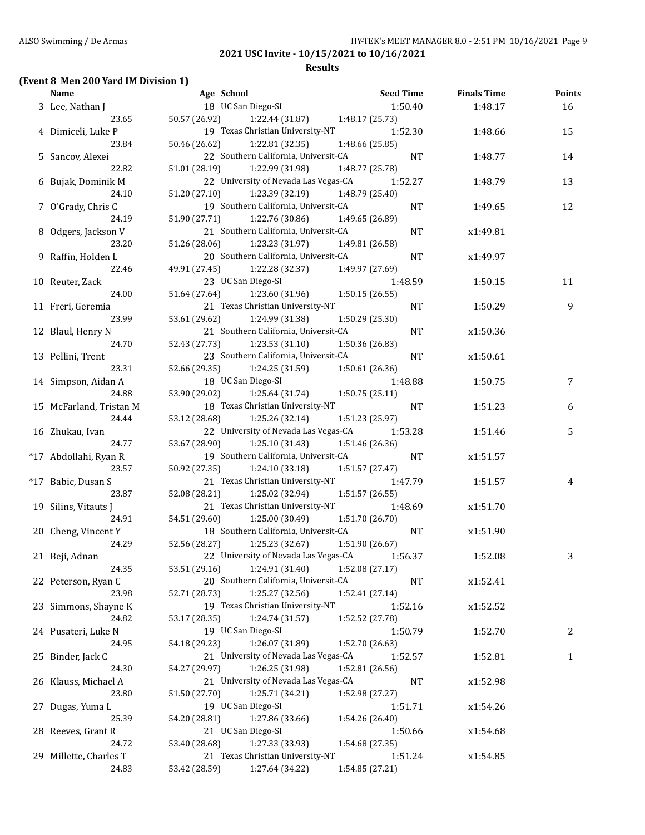### **Results**

# **(Event 8 Men 200 Yard IM Division 1)**

| <b>Name</b>             |                                  | Age School and the School and the School and the School and the School and the School and the School and the School and the School and the School and the School and the School and the School and the School and the School a | <b>Seed Time</b> | <b>Finals Time</b> | <b>Points</b> |
|-------------------------|----------------------------------|--------------------------------------------------------------------------------------------------------------------------------------------------------------------------------------------------------------------------------|------------------|--------------------|---------------|
| 3 Lee, Nathan J         | 18 UC San Diego-SI               |                                                                                                                                                                                                                                | 1:50.40          | 1:48.17            | 16            |
| 23.65                   |                                  | 50.57 (26.92) 1:22.44 (31.87) 1:48.17 (25.73)                                                                                                                                                                                  |                  |                    |               |
| 4 Dimiceli, Luke P      |                                  | 19 Texas Christian University-NT                                                                                                                                                                                               | 1:52.30          | 1:48.66            | 15            |
| 23.84                   | 50.46 (26.62) 1:22.81 (32.35)    | 1:48.66 (25.85)                                                                                                                                                                                                                |                  |                    |               |
| 5 Sancov, Alexei        |                                  | 22 Southern California, Universit-CA                                                                                                                                                                                           | <b>NT</b>        | 1:48.77            | 14            |
| 22.82                   | 51.01 (28.19) 1:22.99 (31.98)    | 1:48.77 (25.78)                                                                                                                                                                                                                |                  |                    |               |
| 6 Bujak, Dominik M      |                                  | 22 University of Nevada Las Vegas-CA                                                                                                                                                                                           | 1:52.27          | 1:48.79            | 13            |
| 24.10                   | 51.20 (27.10) 1:23.39 (32.19)    | 1:48.79 (25.40)                                                                                                                                                                                                                |                  |                    |               |
| 7 O'Grady, Chris C      |                                  | 19 Southern California, Universit-CA                                                                                                                                                                                           | NT               | 1:49.65            | 12            |
| 24.19                   | 51.90 (27.71) 1:22.76 (30.86)    | 1:49.65 (26.89)                                                                                                                                                                                                                |                  |                    |               |
| 8 Odgers, Jackson V     |                                  | 21 Southern California, Universit-CA                                                                                                                                                                                           | NT               | x1:49.81           |               |
| 23.20                   | 51.26 (28.06) 1:23.23 (31.97)    | 1:49.81 (26.58)                                                                                                                                                                                                                |                  |                    |               |
| 9 Raffin, Holden L      |                                  | 20 Southern California, Universit-CA                                                                                                                                                                                           | NT               | x1:49.97           |               |
| 22.46                   | 49.91 (27.45) 1:22.28 (32.37)    | 1:49.97 (27.69)                                                                                                                                                                                                                |                  |                    |               |
| 10 Reuter, Zack         | 23 UC San Diego-SI               |                                                                                                                                                                                                                                | 1:48.59          | 1:50.15            | 11            |
| 24.00                   | 51.64 (27.64) 1:23.60 (31.96)    | 1:50.15(26.55)                                                                                                                                                                                                                 |                  |                    |               |
| 11 Freri, Geremia       |                                  | 21 Texas Christian University-NT                                                                                                                                                                                               | NT               | 1:50.29            | 9             |
| 23.99                   | 53.61 (29.62) 1:24.99 (31.38)    | 1:50.29 (25.30)                                                                                                                                                                                                                |                  |                    |               |
| 12 Blaul, Henry N       |                                  | 21 Southern California, Universit-CA                                                                                                                                                                                           | NT               | x1:50.36           |               |
| 24.70                   | 52.43 (27.73) 1:23.53 (31.10)    | 1:50.36 (26.83)                                                                                                                                                                                                                |                  |                    |               |
| 13 Pellini, Trent       |                                  | 23 Southern California, Universit-CA                                                                                                                                                                                           | NT               | x1:50.61           |               |
| 23.31                   | 52.66 (29.35) 1:24.25 (31.59)    | 1:50.61 (26.36)                                                                                                                                                                                                                |                  |                    |               |
|                         | 18 UC San Diego-SI               |                                                                                                                                                                                                                                |                  |                    |               |
| 14 Simpson, Aidan A     | 53.90 (29.02) 1:25.64 (31.74)    | 1:50.75(25.11)                                                                                                                                                                                                                 | 1:48.88          | 1:50.75            | 7             |
| 24.88                   | 18 Texas Christian University-NT |                                                                                                                                                                                                                                |                  |                    |               |
| 15 McFarland, Tristan M |                                  |                                                                                                                                                                                                                                | NT               | 1:51.23            | 6             |
| 24.44                   | 53.12 (28.68)                    | 1:25.26 (32.14)<br>1:51.23 (25.97)                                                                                                                                                                                             |                  |                    |               |
| 16 Zhukau, Ivan         |                                  | 22 University of Nevada Las Vegas-CA                                                                                                                                                                                           | 1:53.28          | 1:51.46            | 5             |
| 24.77                   | 53.67 (28.90)                    | 1:25.10(31.43)<br>1:51.46 (26.36)                                                                                                                                                                                              |                  |                    |               |
| *17 Abdollahi, Ryan R   |                                  | 19 Southern California, Universit-CA                                                                                                                                                                                           | NT               | x1:51.57           |               |
| 23.57                   | 50.92 (27.35)                    | 1:51.57 (27.47)<br>1:24.10 (33.18)                                                                                                                                                                                             |                  |                    |               |
| *17 Babic, Dusan S      |                                  | 21 Texas Christian University-NT                                                                                                                                                                                               | 1:47.79          | 1:51.57            | 4             |
| 23.87                   | 52.08 (28.21)                    | 1:25.02 (32.94)<br>1:51.57 (26.55)                                                                                                                                                                                             |                  |                    |               |
| 19 Silins, Vitauts J    |                                  | 21 Texas Christian University-NT                                                                                                                                                                                               | 1:48.69          | x1:51.70           |               |
| 24.91                   | 54.51 (29.60)                    | 1:25.00 (30.49)<br>1:51.70 (26.70)                                                                                                                                                                                             |                  |                    |               |
| 20 Cheng, Vincent Y     |                                  | 18 Southern California, Universit-CA                                                                                                                                                                                           | <b>NT</b>        | x1:51.90           |               |
| 24.29                   | 52.56 (28.27)                    | 1:25.23 (32.67) 1:51.90 (26.67)                                                                                                                                                                                                |                  |                    |               |
| 21 Beji, Adnan          |                                  | 22 University of Nevada Las Vegas-CA                                                                                                                                                                                           | 1:56.37          | 1:52.08            | 3             |
| 24.35                   | 53.51 (29.16)                    | 1:24.91 (31.40)<br>1:52.08 (27.17)                                                                                                                                                                                             |                  |                    |               |
| 22 Peterson, Ryan C     |                                  | 20 Southern California, Universit-CA                                                                                                                                                                                           | NT               | x1:52.41           |               |
| 23.98                   | 52.71 (28.73)                    | 1:25.27 (32.56)<br>1:52.41 (27.14)                                                                                                                                                                                             |                  |                    |               |
| 23 Simmons, Shayne K    |                                  | 19 Texas Christian University-NT                                                                                                                                                                                               | 1:52.16          | x1:52.52           |               |
| 24.82                   | 53.17 (28.35)                    | 1:24.74 (31.57)<br>1:52.52 (27.78)                                                                                                                                                                                             |                  |                    |               |
| 24 Pusateri, Luke N     | 19 UC San Diego-SI               |                                                                                                                                                                                                                                | 1:50.79          | 1:52.70            | 2             |
| 24.95                   | 54.18 (29.23)                    | 1:26.07 (31.89)<br>1:52.70 (26.63)                                                                                                                                                                                             |                  |                    |               |
| 25 Binder, Jack C       |                                  | 21 University of Nevada Las Vegas-CA                                                                                                                                                                                           | 1:52.57          | 1:52.81            | 1             |
| 24.30                   | 54.27 (29.97)                    | 1:26.25 (31.98)<br>1:52.81 (26.56)                                                                                                                                                                                             |                  |                    |               |
| 26 Klauss, Michael A    |                                  | 21 University of Nevada Las Vegas-CA                                                                                                                                                                                           | NT               | x1:52.98           |               |
| 23.80                   | 51.50 (27.70)                    | 1:25.71 (34.21)<br>1:52.98 (27.27)                                                                                                                                                                                             |                  |                    |               |
| 27 Dugas, Yuma L        | 19 UC San Diego-SI               |                                                                                                                                                                                                                                | 1:51.71          | x1:54.26           |               |
| 25.39                   | 54.20 (28.81)                    | 1:27.86 (33.66)<br>1:54.26 (26.40)                                                                                                                                                                                             |                  |                    |               |
| 28 Reeves, Grant R      | 21 UC San Diego-SI               |                                                                                                                                                                                                                                | 1:50.66          | x1:54.68           |               |
| 24.72                   | 53.40 (28.68)                    | 1:27.33 (33.93)<br>1:54.68 (27.35)                                                                                                                                                                                             |                  |                    |               |
| 29 Millette, Charles T  |                                  | 21 Texas Christian University-NT                                                                                                                                                                                               | 1:51.24          | x1:54.85           |               |
| 24.83                   | 53.42 (28.59)                    | 1:54.85 (27.21)<br>1:27.64 (34.22)                                                                                                                                                                                             |                  |                    |               |
|                         |                                  |                                                                                                                                                                                                                                |                  |                    |               |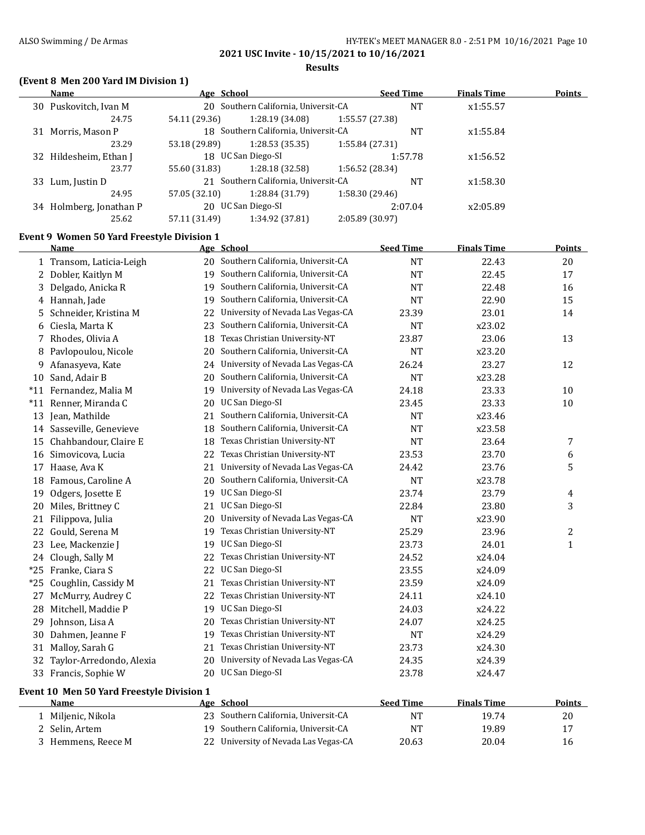### **Results**

### **(Event 8 Men 200 Yard IM Division 1)**

| Name                    | Age School                           |                                      |                 | <b>Seed Time</b> | <b>Finals Time</b> | <b>Points</b> |
|-------------------------|--------------------------------------|--------------------------------------|-----------------|------------------|--------------------|---------------|
| 30 Puskovitch, Ivan M   | 20 Southern California, Universit-CA |                                      |                 | NT               | x1:55.57           |               |
| 24.75                   | 54.11 (29.36)                        | 1:28.19(34.08)                       | 1:55.57 (27.38) |                  |                    |               |
| 31 Morris, Mason P      |                                      | 18 Southern California, Universit-CA |                 | NT               | x1:55.84           |               |
| 23.29                   | 53.18 (29.89)                        | 1:28.53(35.35)                       | 1:55.84(27.31)  |                  |                    |               |
| 32 Hildesheim, Ethan J  |                                      | 18 UC San Diego-SI                   |                 | 1:57.78          | x1:56.52           |               |
| 23.77                   | 55.60 (31.83)                        | 1:28.18(32.58)                       | 1:56.52 (28.34) |                  |                    |               |
| 33 Lum, Justin D        |                                      | 21 Southern California, Universit-CA |                 | NT               | x1:58.30           |               |
| 24.95                   | 57.05 (32.10)                        | 1:28.84 (31.79)                      | 1:58.30 (29.46) |                  |                    |               |
| 34 Holmberg, Jonathan P |                                      | 20 UC San Diego-SI                   |                 | 2:07.04          | x2:05.89           |               |
| 25.62                   | 57.11 (31.49)                        | 1:34.92 (37.81)                      | 2:05.89 (30.97) |                  |                    |               |

#### **Event 9 Women 50 Yard Freestyle Division 1**

|       | Name                                      |    | Age School                           | <b>Seed Time</b> | <b>Finals Time</b> | <b>Points</b> |
|-------|-------------------------------------------|----|--------------------------------------|------------------|--------------------|---------------|
|       | 1 Transom, Laticia-Leigh                  |    | 20 Southern California, Universit-CA | <b>NT</b>        | 22.43              | 20            |
|       | 2 Dobler, Kaitlyn M                       |    | 19 Southern California, Universit-CA | <b>NT</b>        | 22.45              | 17            |
|       | 3 Delgado, Anicka R                       |    | 19 Southern California, Universit-CA | <b>NT</b>        | 22.48              | 16            |
|       | 4 Hannah, Jade                            | 19 | Southern California, Universit-CA    | <b>NT</b>        | 22.90              | 15            |
|       | 5 Schneider, Kristina M                   | 22 | University of Nevada Las Vegas-CA    | 23.39            | 23.01              | 14            |
| 6     | Ciesla, Marta K                           | 23 | Southern California, Universit-CA    | <b>NT</b>        | x23.02             |               |
|       | 7 Rhodes, Olivia A                        | 18 | Texas Christian University-NT        | 23.87            | 23.06              | 13            |
| 8     | Pavlopoulou, Nicole                       | 20 | Southern California, Universit-CA    | <b>NT</b>        | x23.20             |               |
|       | 9 Afanasyeva, Kate                        |    | 24 University of Nevada Las Vegas-CA | 26.24            | 23.27              | 12            |
| 10    | Sand, Adair B                             |    | 20 Southern California, Universit-CA | <b>NT</b>        | x23.28             |               |
|       | *11 Fernandez, Malia M                    |    | 19 University of Nevada Las Vegas-CA | 24.18            | 23.33              | 10            |
|       | *11 Renner, Miranda C                     | 20 | UC San Diego-SI                      | 23.45            | 23.33              | 10            |
|       | 13 Jean, Mathilde                         | 21 | Southern California, Universit-CA    | <b>NT</b>        | x23.46             |               |
|       | 14 Sasseville, Genevieve                  | 18 | Southern California, Universit-CA    | <b>NT</b>        | x23.58             |               |
|       | 15 Chahbandour, Claire E                  | 18 | Texas Christian University-NT        | <b>NT</b>        | 23.64              | 7             |
|       | 16 Simovicova, Lucia                      | 22 | Texas Christian University-NT        | 23.53            | 23.70              | 6             |
|       | 17 Haase, Ava K                           | 21 | University of Nevada Las Vegas-CA    | 24.42            | 23.76              | 5             |
| 18    | Famous, Caroline A                        | 20 | Southern California, Universit-CA    | <b>NT</b>        | x23.78             |               |
| 19    | Odgers, Josette E                         | 19 | UC San Diego-SI                      | 23.74            | 23.79              | 4             |
| 20    | Miles, Brittney C                         | 21 | UC San Diego-SI                      | 22.84            | 23.80              | 3             |
| 21    | Filippova, Julia                          | 20 | University of Nevada Las Vegas-CA    | <b>NT</b>        | x23.90             |               |
| 22    | Gould, Serena M                           | 19 | Texas Christian University-NT        | 25.29            | 23.96              | 2             |
| 23    | Lee, Mackenzie J                          |    | 19 UC San Diego-SI                   | 23.73            | 24.01              | $\mathbf{1}$  |
|       | 24 Clough, Sally M                        | 22 | Texas Christian University-NT        | 24.52            | x24.04             |               |
|       | *25 Franke, Ciara S                       |    | 22 UC San Diego-SI                   | 23.55            | x24.09             |               |
| $*25$ | Coughlin, Cassidy M                       | 21 | Texas Christian University-NT        | 23.59            | x24.09             |               |
|       | 27 McMurry, Audrey C                      | 22 | Texas Christian University-NT        | 24.11            | x24.10             |               |
|       | 28 Mitchell, Maddie P                     | 19 | UC San Diego-SI                      | 24.03            | x24.22             |               |
| 29    | Johnson, Lisa A                           | 20 | Texas Christian University-NT        | 24.07            | x24.25             |               |
| 30    | Dahmen, Jeanne F                          | 19 | Texas Christian University-NT        | <b>NT</b>        | x24.29             |               |
|       | 31 Malloy, Sarah G                        | 21 | Texas Christian University-NT        | 23.73            | x24.30             |               |
| 32    | Taylor-Arredondo, Alexia                  | 20 | University of Nevada Las Vegas-CA    | 24.35            | x24.39             |               |
|       | 33 Francis, Sophie W                      | 20 | UC San Diego-SI                      | 23.78            | x24.47             |               |
|       | Event 10 Men 50 Yard Freestyle Division 1 |    |                                      |                  |                    |               |
|       | Name                                      |    | Age School                           | <b>Seed Time</b> | <b>Finals Time</b> | <b>Points</b> |
|       | 1 Miljenic, Nikola                        |    | 23 Southern California, Universit-CA | <b>NT</b>        | 19.74              | 20            |
|       | 2 Selin, Artem                            |    | 19 Southern California, Universit-CA | <b>NT</b>        | 19.89              | 17            |
|       | 3 Hemmens, Reece M                        |    | 22 University of Nevada Las Vegas-CA | 20.63            | 20.04              | 16            |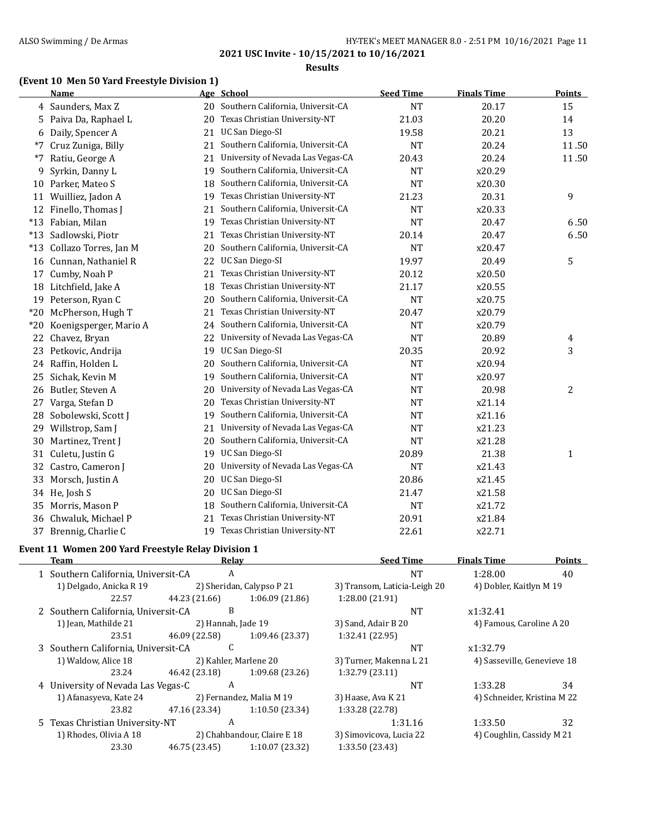### **Results**

### **(Event 10 Men 50 Yard Freestyle Division 1)**

|       | <b>Name</b>            |    | Age School                           | <b>Seed Time</b> | <b>Finals Time</b> | <b>Points</b>  |
|-------|------------------------|----|--------------------------------------|------------------|--------------------|----------------|
|       | 4 Saunders, Max Z      |    | 20 Southern California, Universit-CA | <b>NT</b>        | 20.17              | 15             |
| 5.    | Paiva Da, Raphael L    | 20 | Texas Christian University-NT        | 21.03            | 20.20              | 14             |
| 6     | Daily, Spencer A       | 21 | UC San Diego-SI                      | 19.58            | 20.21              | 13             |
| $*7$  | Cruz Zuniga, Billy     | 21 | Southern California, Universit-CA    | <b>NT</b>        | 20.24              | 11.50          |
| $*7$  | Ratiu, George A        | 21 | University of Nevada Las Vegas-CA    | 20.43            | 20.24              | 11.50          |
| 9     | Syrkin, Danny L        | 19 | Southern California, Universit-CA    | <b>NT</b>        | x20.29             |                |
| 10    | Parker, Mateo S        | 18 | Southern California, Universit-CA    | <b>NT</b>        | x20.30             |                |
| 11    | Wuilliez, Jadon A      | 19 | Texas Christian University-NT        | 21.23            | 20.31              | 9              |
| 12    | Finello, Thomas J      | 21 | Southern California, Universit-CA    | <b>NT</b>        | x20.33             |                |
| $*13$ | Fabian, Milan          | 19 | Texas Christian University-NT        | <b>NT</b>        | 20.47              | 6.50           |
| $*13$ | Sadlowski, Piotr       | 21 | Texas Christian University-NT        | 20.14            | 20.47              | 6.50           |
| $*13$ | Collazo Torres, Jan M  | 20 | Southern California, Universit-CA    | <b>NT</b>        | x20.47             |                |
| 16    | Cunnan, Nathaniel R    | 22 | UC San Diego-SI                      | 19.97            | 20.49              | 5              |
| 17    | Cumby, Noah P          | 21 | Texas Christian University-NT        | 20.12            | x20.50             |                |
| 18    | Litchfield, Jake A     | 18 | Texas Christian University-NT        | 21.17            | x20.55             |                |
| 19    | Peterson, Ryan C       | 20 | Southern California, Universit-CA    | <b>NT</b>        | x20.75             |                |
| $*20$ | McPherson, Hugh T      | 21 | Texas Christian University-NT        | 20.47            | x20.79             |                |
| $*20$ | Koenigsperger, Mario A | 24 | Southern California, Universit-CA    | <b>NT</b>        | x20.79             |                |
| 22    | Chavez, Bryan          | 22 | University of Nevada Las Vegas-CA    | <b>NT</b>        | 20.89              | 4              |
| 23    | Petkovic, Andrija      | 19 | UC San Diego-SI                      | 20.35            | 20.92              | 3              |
| 24    | Raffin, Holden L       | 20 | Southern California, Universit-CA    | <b>NT</b>        | x20.94             |                |
| 25    | Sichak, Kevin M        | 19 | Southern California, Universit-CA    | <b>NT</b>        | x20.97             |                |
| 26    | Butler, Steven A       | 20 | University of Nevada Las Vegas-CA    | <b>NT</b>        | 20.98              | $\overline{c}$ |
| 27    | Varga, Stefan D        | 20 | Texas Christian University-NT        | <b>NT</b>        | x21.14             |                |
| 28    | Sobolewski, Scott J    | 19 | Southern California, Universit-CA    | <b>NT</b>        | x21.16             |                |
| 29    | Willstrop, Sam J       | 21 | University of Nevada Las Vegas-CA    | NT               | x21.23             |                |
| 30    | Martinez, Trent J      | 20 | Southern California, Universit-CA    | <b>NT</b>        | x21.28             |                |
| 31    | Culetu, Justin G       | 19 | UC San Diego-SI                      | 20.89            | 21.38              | 1              |
| 32    | Castro, Cameron J      | 20 | University of Nevada Las Vegas-CA    | <b>NT</b>        | x21.43             |                |
| 33    | Morsch, Justin A       | 20 | UC San Diego-SI                      | 20.86            | x21.45             |                |
| 34    | He, Josh S             | 20 | UC San Diego-SI                      | 21.47            | x21.58             |                |
| 35    | Morris, Mason P        | 18 | Southern California, Universit-CA    | <b>NT</b>        | x21.72             |                |
| 36    | Chwaluk, Michael P     | 21 | Texas Christian University-NT        | 20.91            | x21.84             |                |
| 37    | Brennig, Charlie C     | 19 | Texas Christian University-NT        | 22.61            | x22.71             |                |

### **Event 11 Women 200 Yard Freestyle Relay Division 1**

 $\overline{\phantom{0}}$ 

| Team                                         | Relay              |                             | <b>Seed Time</b>             | <b>Finals Time</b>        | <b>Points</b>               |
|----------------------------------------------|--------------------|-----------------------------|------------------------------|---------------------------|-----------------------------|
| 1 Southern California, Universit-CA          | A                  |                             | <b>NT</b>                    | 1:28.00                   | 40                          |
| 1) Delgado, Anicka R 19                      |                    | 2) Sheridan, Calypso P 21   | 3) Transom, Laticia-Leigh 20 | 4) Dobler, Kaitlyn M 19   |                             |
| 22.57                                        | 44.23 (21.66)      | 1:06.09(21.86)              | 1:28.00 (21.91)              |                           |                             |
| 2 Southern California, Universit-CA          | B                  |                             | <b>NT</b>                    | x1:32.41                  |                             |
| 1) Jean, Mathilde 21                         | 2) Hannah, Jade 19 |                             | 3) Sand, Adair B 20          | 4) Famous, Caroline A 20  |                             |
| 23.51                                        | 46.09 (22.58)      | 1:09.46 (23.37)             | 1:32.41 (22.95)              |                           |                             |
| 3 Southern California, Universit-CA          | C                  |                             | <b>NT</b>                    | x1:32.79                  |                             |
| 1) Waldow, Alice 18<br>2) Kahler, Marlene 20 |                    | 3) Turner, Makenna L 21     | 4) Sasseville, Genevieve 18  |                           |                             |
| 23.24                                        | 46.42 (23.18)      | 1:09.68(23.26)              | 1:32.79(23.11)               |                           |                             |
| 4 University of Nevada Las Vegas-C           | A                  |                             | <b>NT</b>                    | 1:33.28                   | 34                          |
| 1) Afanasyeva, Kate 24                       |                    | 2) Fernandez, Malia M 19    | 3) Haase, Ava K 21           |                           | 4) Schneider, Kristina M 22 |
| 23.82                                        | 47.16 (23.34)      | 1:10.50(23.34)              | 1:33.28 (22.78)              |                           |                             |
| 5 Texas Christian University-NT              | A                  |                             | 1:31.16                      | 1:33.50                   | 32                          |
| 1) Rhodes, Olivia A 18                       |                    | 2) Chahbandour, Claire E 18 | 3) Simovicova, Lucia 22      | 4) Coughlin, Cassidy M 21 |                             |
| 23.30                                        | 46.75 (23.45)      | 1:10.07(23.32)              | 1:33.50 (23.43)              |                           |                             |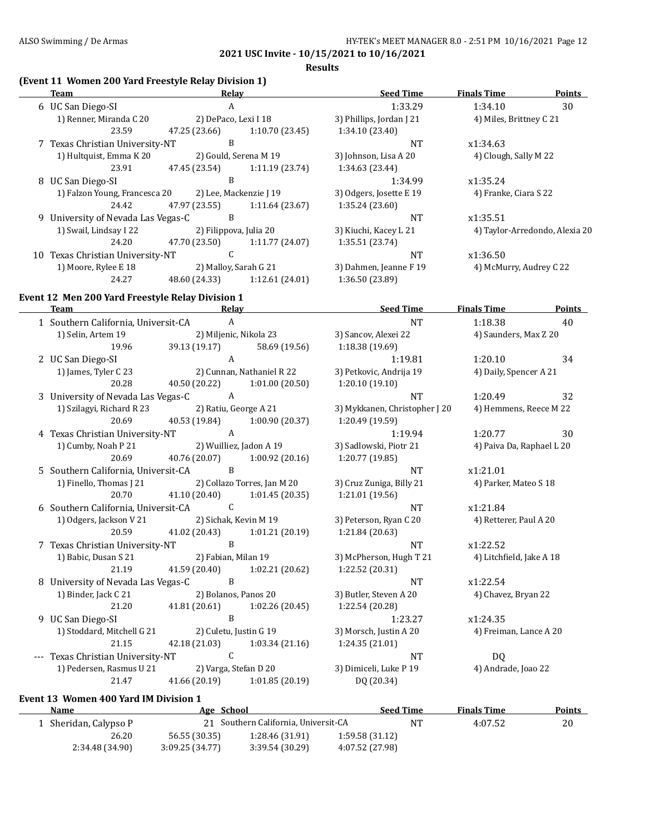**Results**

#### **(Event 11 Women 200 Yard Freestyle Relay Division 1)**

|   | <b>Team</b>                                      | Relay                |                               | <b>Seed Time</b>               | <b>Finals Time</b>      | <b>Points</b> |
|---|--------------------------------------------------|----------------------|-------------------------------|--------------------------------|-------------------------|---------------|
|   | 6 UC San Diego-SI                                | A                    |                               | 1:33.29                        | 1:34.10                 | 30            |
|   | 1) Renner, Miranda C 20                          | 2) DePaco, Lexi I 18 |                               | 3) Phillips, Jordan J 21       | 4) Miles, Brittney C 21 |               |
|   | 23.59                                            | 47.25 (23.66)        | 1:10.70(23.45)                | 1:34.10 (23.40)                |                         |               |
|   | 7 Texas Christian University-NT                  | B                    |                               | <b>NT</b>                      | x1:34.63                |               |
|   | 1) Hultquist, Emma K 20                          |                      | 2) Gould, Serena M 19         | 3) Johnson, Lisa A 20          | 4) Clough, Sally M 22   |               |
|   | 23.91                                            | 47.45 (23.54)        | 1:11.19(23.74)                | 1:34.63 (23.44)                |                         |               |
| 8 | UC San Diego-SI                                  | B                    |                               | 1:34.99                        | x1:35.24                |               |
|   | 1) Falzon Young, Francesca 20                    |                      | 2) Lee, Mackenzie J 19        | 3) Odgers, Josette E 19        | 4) Franke, Ciara S 22   |               |
|   | 24.42                                            | 47.97 (23.55)        | 1:11.64 (23.67)               | 1:35.24(23.60)                 |                         |               |
|   | 9 University of Nevada Las Vegas-C<br>B          |                      |                               | <b>NT</b>                      | x1:35.51                |               |
|   | 1) Swail, Lindsay I 22<br>2) Filippova, Julia 20 |                      | 3) Kiuchi, Kacey L 21         | 4) Taylor-Arredondo, Alexia 20 |                         |               |
|   | 24.20                                            | 47.70 (23.50)        | 1:11.77(24.07)                | 1:35.51 (23.74)                |                         |               |
|   | 10 Texas Christian University-NT                 |                      | $\mathsf{C}$                  | <b>NT</b>                      | x1:36.50                |               |
|   | 1) Moore, Rylee E 18<br>2) Malloy, Sarah G 21    |                      |                               | 3) Dahmen, Jeanne F 19         | 4) McMurry, Audrey C 22 |               |
|   | 24.27                                            |                      | 48.60 (24.33) 1:12.61 (24.01) | 1:36.50 (23.89)                |                         |               |
|   | Event 12 Men 200 Yard Freestyle Relay Division 1 |                      |                               |                                |                         |               |
|   | <b>Team</b>                                      | Relay                |                               | <b>Seed Time</b>               | <b>Finals Time</b>      | Points        |
|   | 1 Southern California, Universit-CA              | $\mathbf{A}$         |                               | <b>NT</b>                      | 1:18.38                 | 40            |
|   | 1) Selin, Artem 19                               |                      | 2) Miljenic, Nikola 23        | 3) Sancov, Alexei 22           | 4) Saunders, Max Z 20   |               |
|   | 19.96                                            | 39.13 (19.17)        | 58.69 (19.56)                 | 1:18.38(19.69)                 |                         |               |
|   | 2 UC San Diego-SI                                | A                    |                               | 1:19.81                        | 1:20.10                 | 34            |
|   | 1) James, Tyler C 23                             |                      | 2) Cunnan, Nathaniel R 22     | 3) Petkovic, Andrija 19        | 4) Daily, Spencer A 21  |               |
|   | 20.28                                            | 40.50 (20.22)        | 1:01.00(20.50)                | 1:20.10(19.10)                 |                         |               |
|   | 3 University of Nevada Las Vegas-C               | A                    |                               | <b>NT</b>                      | 1:20.49                 | 32            |
|   | 1) Szilagyi, Richard R 23                        |                      | 2) Ratiu, George A 21         | 3) Mykkanen, Christopher J 20  | 4) Hemmens, Reece M 22  |               |
|   | 20.69                                            | 40.53 (19.84)        | 1:00.90 (20.37)               | 1:20.49 (19.59)                |                         |               |
|   |                                                  |                      |                               |                                |                         |               |

4 Texas Christian University-NT 4 1:19.94 1:20.77 30 1) Cumby, Noah P 21 2) Wuilliez, Jadon A 19 3) Sadlowski, Piotr 21 4) Paiva Da, Raphael L 20 20.69 40.76 (20.07) 1:00.92 (20.16) 1:20.77 (19.85) 5 Southern California, Universit-CA B NT x1:21.01

1) Finello, Thomas J 21 2) Collazo Torres, Jan M 20 3) Cruz Zuniga, Billy 21 4) Parker, Mateo S 18 20.70 41.10 (20.40) 1:01.45 (20.35) 1:21.01 (19.56) 6 Southern California, Universit-CA C NT x1:21.84

1) Odgers, Jackson V 21 2) Sichak, Kevin M 19 3) Peterson, Ryan C 20 4) Retterer, Paul A 20 20.59 41.02 (20.43) 1:01.21 (20.19) 1:21.84 (20.63)

7 Texas Christian University-NT B 1988 B 2008 RT 22.52 1) Babic, Dusan S 21 2) Fabian, Milan 19 3) McPherson, Hugh T 21 4) Litchfield, Jake A 18 21.19 41.59 (20.40) 1:02.21 (20.62) 1:22.52 (20.31) 8 University of Nevada Las Vegas-C B NT  $x1:22.54$ 

1) Binder, Jack C 21 2) Bolanos, Panos 20 3) Butler, Steven A 20 4) Chavez, Bryan 22 21.20 41.81 (20.61) 1:02.26 (20.45) 1:22.54 (20.28) 9 UC San Diego-SI B B 1:23.27 x1:24.35 1) Stoddard, Mitchell G 21 2) Culetu, Justin G 19 3) Morsch, Justin A 20 4) Freiman, Lance A 20 21.15 42.18 (21.03) 1:03.34 (21.16) 1:24.35 (21.01) --- Texas Christian University-NT C C NT NT DQ

1) Pedersen, Rasmus U 21 2) Varga, Stefan D 20 3) Dimiceli, Luke P 19 4) Andrade, Joao 22 21.47 41.66 (20.19) 1:01.85 (20.19) DQ (20.34)

### **Event 13 Women 400 Yard IM Division 1**

| Name                  | Age School     |                                      |                 | Seed Time | <b>Finals Time</b> | Points |
|-----------------------|----------------|--------------------------------------|-----------------|-----------|--------------------|--------|
| 1 Sheridan, Calypso P |                | 21 Southern California, Universit-CA |                 | NT        | 4:07.52            | 20     |
| 26.20                 | 56.55 (30.35)  | 1:28.46 (31.91)                      | 1:59.58(31.12)  |           |                    |        |
| 2:34.48 (34.90)       | 3:09.25(34.77) | 3:39.54(30.29)                       | 4:07.52 (27.98) |           |                    |        |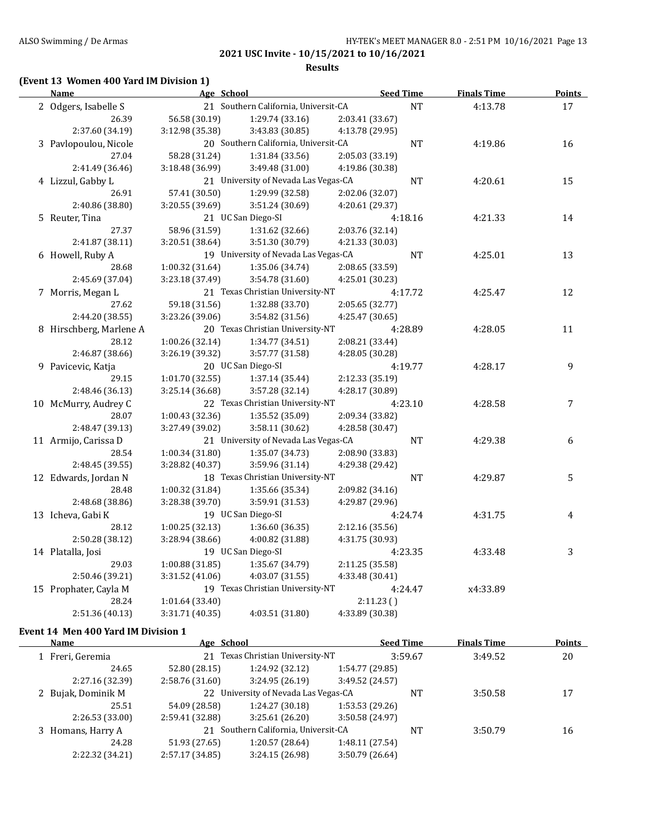### **Results**

# **(Event 13 Women 400 Yard IM Division 1)**

| Age School<br><u>Name</u> |                 | <b>Seed Time</b>                     | <b>Finals Time</b> | <u>Points</u> |    |
|---------------------------|-----------------|--------------------------------------|--------------------|---------------|----|
| 2 Odgers, Isabelle S      |                 | 21 Southern California, Universit-CA | $\rm{NT}$          | 4:13.78       | 17 |
| 26.39                     | 56.58 (30.19)   | 1:29.74 (33.16)                      | 2:03.41 (33.67)    |               |    |
| 2:37.60 (34.19)           | 3:12.98 (35.38) | 3:43.83 (30.85)                      | 4:13.78 (29.95)    |               |    |
| 3 Pavlopoulou, Nicole     |                 | 20 Southern California, Universit-CA | $\rm{NT}$          | 4:19.86       | 16 |
| 27.04                     | 58.28 (31.24)   | 1:31.84 (33.56)                      | 2:05.03 (33.19)    |               |    |
| 2:41.49 (36.46)           | 3:18.48 (36.99) | 3:49.48 (31.00)                      | 4:19.86 (30.38)    |               |    |
| 4 Lizzul, Gabby L         |                 | 21 University of Nevada Las Vegas-CA | <b>NT</b>          | 4:20.61       | 15 |
| 26.91                     | 57.41 (30.50)   | 1:29.99 (32.58)                      | 2:02.06 (32.07)    |               |    |
| 2:40.86 (38.80)           | 3:20.55 (39.69) | 3:51.24(30.69)                       | 4:20.61 (29.37)    |               |    |
| 5 Reuter, Tina            |                 | 21 UC San Diego-SI                   | 4:18.16            | 4:21.33       | 14 |
| 27.37                     | 58.96 (31.59)   | 1:31.62 (32.66)                      | 2:03.76 (32.14)    |               |    |
| 2:41.87 (38.11)           | 3:20.51 (38.64) | 3:51.30 (30.79)                      | 4:21.33 (30.03)    |               |    |
| 6 Howell, Ruby A          |                 | 19 University of Nevada Las Vegas-CA | <b>NT</b>          | 4:25.01       | 13 |
| 28.68                     | 1:00.32(31.64)  | 1:35.06 (34.74)                      | 2:08.65 (33.59)    |               |    |
| 2:45.69 (37.04)           | 3:23.18 (37.49) | 3:54.78 (31.60)                      | 4:25.01 (30.23)    |               |    |
| 7 Morris, Megan L         |                 | 21 Texas Christian University-NT     | 4:17.72            | 4:25.47       | 12 |
| 27.62                     | 59.18 (31.56)   | 1:32.88 (33.70)                      | 2:05.65 (32.77)    |               |    |
| 2:44.20 (38.55)           | 3:23.26 (39.06) | 3:54.82 (31.56)                      | 4:25.47 (30.65)    |               |    |
| 8 Hirschberg, Marlene A   |                 | 20 Texas Christian University-NT     | 4:28.89            | 4:28.05       | 11 |
| 28.12                     | 1:00.26(32.14)  | 1:34.77 (34.51)                      | 2:08.21 (33.44)    |               |    |
| 2:46.87 (38.66)           | 3:26.19 (39.32) | 3:57.77 (31.58)                      | 4:28.05 (30.28)    |               |    |
| 9 Pavicevic, Katja        |                 | 20 UC San Diego-SI                   | 4:19.77            | 4:28.17       | 9  |
| 29.15                     | 1:01.70(32.55)  | 1:37.14 (35.44)                      | 2:12.33 (35.19)    |               |    |
| 2:48.46 (36.13)           | 3:25.14 (36.68) | 3:57.28(32.14)                       | 4:28.17 (30.89)    |               |    |
| 10 McMurry, Audrey C      |                 | 22 Texas Christian University-NT     | 4:23.10            | 4:28.58       | 7  |
| 28.07                     | 1:00.43(32.36)  | 1:35.52 (35.09)                      | 2:09.34 (33.82)    |               |    |
| 2:48.47 (39.13)           | 3:27.49 (39.02) | 3:58.11(30.62)                       | 4:28.58 (30.47)    |               |    |
| 11 Armijo, Carissa D      |                 | 21 University of Nevada Las Vegas-CA | <b>NT</b>          | 4:29.38       | 6  |
| 28.54                     | 1:00.34 (31.80) | 1:35.07 (34.73)                      | 2:08.90 (33.83)    |               |    |
| 2:48.45 (39.55)           | 3:28.82 (40.37) | 3:59.96 (31.14)                      | 4:29.38 (29.42)    |               |    |
| 12 Edwards, Jordan N      |                 | 18 Texas Christian University-NT     | NT                 | 4:29.87       | 5  |
| 28.48                     | 1:00.32(31.84)  | 1:35.66 (35.34)                      | 2:09.82 (34.16)    |               |    |
| 2:48.68 (38.86)           | 3:28.38 (39.70) | 3:59.91 (31.53)                      | 4:29.87 (29.96)    |               |    |
| 13 Icheva, Gabi K         |                 | 19 UC San Diego-SI                   | 4:24.74            | 4:31.75       | 4  |
| 28.12                     | 1:00.25(32.13)  | 1:36.60 (36.35)                      | 2:12.16 (35.56)    |               |    |
| 2:50.28 (38.12)           | 3:28.94 (38.66) | 4:00.82 (31.88)                      | 4:31.75 (30.93)    |               |    |
| 14 Platalla, Josi         |                 | 19 UC San Diego-SI                   | 4:23.35            | 4:33.48       | 3  |
| 29.03                     | 1:00.88(31.85)  | 1:35.67 (34.79)                      | 2:11.25 (35.58)    |               |    |
| 2:50.46 (39.21)           | 3:31.52 (41.06) | 4:03.07 (31.55)                      | 4:33.48 (30.41)    |               |    |
| 15 Prophater, Cayla M     |                 | 19 Texas Christian University-NT     | 4:24.47            | x4:33.89      |    |
| 28.24                     | 1:01.64(33.40)  |                                      | 2:11.23()          |               |    |
| 2:51.36 (40.13)           | 3:31.71 (40.35) | 4:03.51 (31.80)                      | 4:33.89 (30.38)    |               |    |

### **Event 14 Men 400 Yard IM Division 1**

| Name               | Age School      |                                      |                 | <b>Seed Time</b> | <b>Finals Time</b> | Points |
|--------------------|-----------------|--------------------------------------|-----------------|------------------|--------------------|--------|
| 1 Freri, Geremia   |                 | 21 Texas Christian University-NT     |                 | 3:59.67          | 3:49.52            | 20     |
| 24.65              | 52.80 (28.15)   | 1:24.92 (32.12)                      | 1:54.77 (29.85) |                  |                    |        |
| 2:27.16 (32.39)    | 2:58.76(31.60)  | 3:24.95(26.19)                       | 3:49.52 (24.57) |                  |                    |        |
| 2 Bujak, Dominik M |                 | 22 University of Nevada Las Vegas-CA |                 | NT               | 3:50.58            | 17     |
| 25.51              | 54.09 (28.58)   | 1:24.27(30.18)                       | 1:53.53 (29.26) |                  |                    |        |
| 2:26.53(33.00)     | 2:59.41 (32.88) | 3:25.61(26.20)                       | 3:50.58 (24.97) |                  |                    |        |
| 3 Homans, Harry A  |                 | 21 Southern California, Universit-CA |                 |                  | 3:50.79            | 16     |
| 24.28              | 51.93 (27.65)   | 1:20.57 (28.64)                      | 1:48.11(27.54)  |                  |                    |        |
| 2:22.32 (34.21)    | 2:57.17 (34.85) | 3:24.15 (26.98)                      | 3:50.79 (26.64) |                  |                    |        |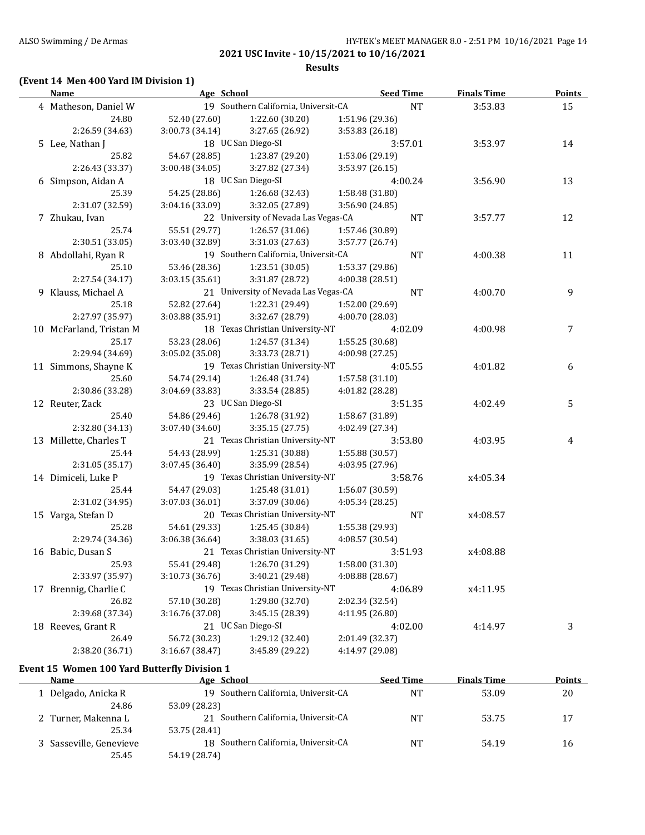### **Results**

# **(Event 14 Men 400 Yard IM Division 1)**

| <b>Name</b>             | Age School      |                                      | <b>Seed Time</b> | <b>Finals Time</b> | <b>Points</b> |
|-------------------------|-----------------|--------------------------------------|------------------|--------------------|---------------|
| 4 Matheson, Daniel W    |                 | 19 Southern California, Universit-CA | <b>NT</b>        | 3:53.83            | 15            |
| 24.80                   | 52.40 (27.60)   | 1:22.60 (30.20)                      | 1:51.96 (29.36)  |                    |               |
| 2:26.59 (34.63)         | 3:00.73 (34.14) | 3:27.65 (26.92)                      | 3:53.83 (26.18)  |                    |               |
| 5 Lee, Nathan J         |                 | 18 UC San Diego-SI                   | 3:57.01          | 3:53.97            | 14            |
| 25.82                   | 54.67 (28.85)   | 1:23.87 (29.20)                      | 1:53.06 (29.19)  |                    |               |
| 2:26.43 (33.37)         | 3:00.48 (34.05) | 3:27.82 (27.34)                      | 3:53.97 (26.15)  |                    |               |
| 6 Simpson, Aidan A      |                 | 18 UC San Diego-SI                   | 4:00.24          | 3:56.90            | 13            |
| 25.39                   | 54.25 (28.86)   | 1:26.68 (32.43)                      | 1:58.48 (31.80)  |                    |               |
| 2:31.07 (32.59)         | 3:04.16 (33.09) | 3:32.05 (27.89)                      | 3:56.90 (24.85)  |                    |               |
| 7 Zhukau, Ivan          |                 | 22 University of Nevada Las Vegas-CA | NT               | 3:57.77            | 12            |
| 25.74                   | 55.51 (29.77)   | 1:26.57(31.06)                       | 1:57.46 (30.89)  |                    |               |
| 2:30.51 (33.05)         | 3:03.40 (32.89) | 3:31.03 (27.63)                      | 3:57.77 (26.74)  |                    |               |
| 8 Abdollahi, Ryan R     |                 | 19 Southern California, Universit-CA | NT               | 4:00.38            | 11            |
| 25.10                   | 53.46 (28.36)   | 1:23.51 (30.05)                      | 1:53.37 (29.86)  |                    |               |
| 2:27.54 (34.17)         | 3:03.15(35.61)  | 3:31.87 (28.72)                      | 4:00.38 (28.51)  |                    |               |
| 9 Klauss, Michael A     |                 | 21 University of Nevada Las Vegas-CA | NT               | 4:00.70            | 9             |
| 25.18                   | 52.82 (27.64)   | 1:22.31 (29.49)                      | 1:52.00 (29.69)  |                    |               |
| 2:27.97 (35.97)         | 3:03.88 (35.91) | 3:32.67 (28.79)                      | 4:00.70 (28.03)  |                    |               |
| 10 McFarland, Tristan M |                 | 18 Texas Christian University-NT     | 4:02.09          | 4:00.98            | 7             |
| 25.17                   | 53.23 (28.06)   | 1:24.57 (31.34)                      | 1:55.25 (30.68)  |                    |               |
| 2:29.94 (34.69)         | 3:05.02 (35.08) | 3:33.73 (28.71)                      | 4:00.98 (27.25)  |                    |               |
| 11 Simmons, Shayne K    |                 | 19 Texas Christian University-NT     | 4:05.55          | 4:01.82            | 6             |
| 25.60                   | 54.74 (29.14)   | 1:26.48 (31.74)                      | 1:57.58 (31.10)  |                    |               |
| 2:30.86 (33.28)         | 3:04.69 (33.83) | 3:33.54 (28.85)                      | 4:01.82 (28.28)  |                    |               |
| 12 Reuter, Zack         |                 | 23 UC San Diego-SI                   | 3:51.35          | 4:02.49            | 5             |
| 25.40                   | 54.86 (29.46)   | 1:26.78 (31.92)                      | 1:58.67 (31.89)  |                    |               |
| 2:32.80 (34.13)         | 3:07.40 (34.60) | 3:35.15(27.75)                       | 4:02.49 (27.34)  |                    |               |
| 13 Millette, Charles T  |                 | 21 Texas Christian University-NT     | 3:53.80          | 4:03.95            | 4             |
| 25.44                   | 54.43 (28.99)   | 1:25.31 (30.88)                      | 1:55.88 (30.57)  |                    |               |
| 2:31.05 (35.17)         | 3:07.45 (36.40) | 3:35.99 (28.54)                      | 4:03.95 (27.96)  |                    |               |
| 14 Dimiceli, Luke P     |                 | 19 Texas Christian University-NT     | 3:58.76          | x4:05.34           |               |
| 25.44                   | 54.47 (29.03)   | 1:25.48 (31.01)                      | 1:56.07 (30.59)  |                    |               |
| 2:31.02 (34.95)         | 3:07.03(36.01)  | 3:37.09 (30.06)                      | 4:05.34 (28.25)  |                    |               |
| 15 Varga, Stefan D      |                 | 20 Texas Christian University-NT     | NT               | x4:08.57           |               |
| 25.28                   | 54.61 (29.33)   | 1:25.45 (30.84)                      | 1:55.38 (29.93)  |                    |               |
| 2:29.74 (34.36)         | 3:06.38 (36.64) | 3:38.03 (31.65)                      | 4:08.57 (30.54)  |                    |               |
| 16 Babic, Dusan S       |                 | 21 Texas Christian University-NT     | 3:51.93          | x4:08.88           |               |
| 25.93                   |                 | 55.41 (29.48) 1:26.70 (31.29)        | 1:58.00(31.30)   |                    |               |
| 2:33.97 (35.97)         | 3:10.73 (36.76) | 3:40.21 (29.48)                      | 4:08.88 (28.67)  |                    |               |
| 17 Brennig, Charlie C   |                 | 19 Texas Christian University-NT     | 4:06.89          | x4:11.95           |               |
| 26.82                   | 57.10 (30.28)   | 1:29.80 (32.70)                      | 2:02.34 (32.54)  |                    |               |
| 2:39.68 (37.34)         | 3:16.76 (37.08) | 3:45.15 (28.39)                      | 4:11.95 (26.80)  |                    |               |
| 18 Reeves, Grant R      |                 | 21 UC San Diego-SI                   | 4:02.00          | 4:14.97            | 3             |
| 26.49                   | 56.72 (30.23)   | 1:29.12 (32.40)                      | 2:01.49 (32.37)  |                    |               |
| 2:38.20 (36.71)         | 3:16.67 (38.47) | 3:45.89 (29.22)                      | 4:14.97 (29.08)  |                    |               |

# **Event 15 Women 100 Yard Butterfly Division 1**

| <b>Name</b>             |       | Age School                           | <b>Seed Time</b> | <b>Finals Time</b> | Points |
|-------------------------|-------|--------------------------------------|------------------|--------------------|--------|
| 1 Delgado, Anicka R     |       | 19 Southern California, Universit-CA | NT               | 53.09              | 20     |
|                         | 24.86 | 53.09 (28.23)                        |                  |                    |        |
| 2 Turner, Makenna L     |       | 21 Southern California, Universit-CA | NT               | 53.75              | 17     |
|                         | 25.34 | 53.75 (28.41)                        |                  |                    |        |
| 3 Sasseville, Genevieve |       | 18 Southern California, Universit-CA | NT               | 54.19              | 16     |
|                         | 25.45 | 54.19 (28.74)                        |                  |                    |        |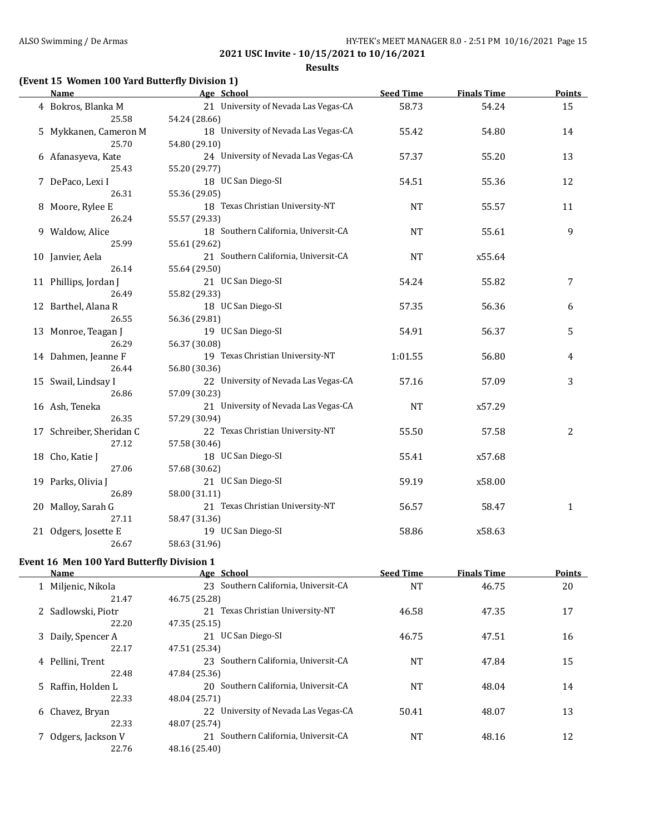**Results**

## **(Event 15 Women 100 Yard Butterfly Division 1)**

| <b>Name</b>              | Age School                           | <b>Seed Time</b> | <b>Finals Time</b> | <b>Points</b> |
|--------------------------|--------------------------------------|------------------|--------------------|---------------|
| 4 Bokros, Blanka M       | 21 University of Nevada Las Vegas-CA | 58.73            | 54.24              | 15            |
| 25.58                    | 54.24 (28.66)                        |                  |                    |               |
| 5 Mykkanen, Cameron M    | 18 University of Nevada Las Vegas-CA | 55.42            | 54.80              | 14            |
| 25.70                    | 54.80 (29.10)                        |                  |                    |               |
| 6 Afanasyeva, Kate       | 24 University of Nevada Las Vegas-CA | 57.37            | 55.20              | 13            |
| 25.43                    | 55.20 (29.77)                        |                  |                    |               |
| 7 DePaco, Lexi I         | 18 UC San Diego-SI                   | 54.51            | 55.36              | 12            |
| 26.31                    | 55.36 (29.05)                        |                  |                    |               |
| 8 Moore, Rylee E         | 18 Texas Christian University-NT     | <b>NT</b>        | 55.57              | 11            |
| 26.24                    | 55.57 (29.33)                        |                  |                    |               |
| 9 Waldow, Alice          | 18 Southern California, Universit-CA | <b>NT</b>        | 55.61              | 9             |
| 25.99                    | 55.61 (29.62)                        |                  |                    |               |
| 10 Janvier, Aela         | 21 Southern California, Universit-CA | <b>NT</b>        | x55.64             |               |
| 26.14                    | 55.64 (29.50)                        |                  |                    |               |
| 11 Phillips, Jordan J    | 21 UC San Diego-SI                   | 54.24            | 55.82              | 7             |
| 26.49                    | 55.82 (29.33)                        |                  |                    |               |
| 12 Barthel, Alana R      | 18 UC San Diego-SI                   | 57.35            | 56.36              | 6             |
| 26.55                    | 56.36 (29.81)                        |                  |                    |               |
| 13 Monroe, Teagan J      | 19 UC San Diego-SI                   | 54.91            | 56.37              | 5             |
| 26.29                    | 56.37 (30.08)                        |                  |                    |               |
| 14 Dahmen, Jeanne F      | 19 Texas Christian University-NT     | 1:01.55          | 56.80              | 4             |
| 26.44                    | 56.80 (30.36)                        |                  |                    |               |
| 15 Swail, Lindsay I      | 22 University of Nevada Las Vegas-CA | 57.16            | 57.09              | 3             |
| 26.86                    | 57.09 (30.23)                        |                  |                    |               |
| 16 Ash, Teneka           | 21 University of Nevada Las Vegas-CA | <b>NT</b>        | x57.29             |               |
| 26.35                    | 57.29 (30.94)                        |                  |                    |               |
| 17 Schreiber, Sheridan C | 22 Texas Christian University-NT     | 55.50            | 57.58              | 2             |
| 27.12                    | 57.58 (30.46)                        |                  |                    |               |
| 18 Cho, Katie J          | 18 UC San Diego-SI                   | 55.41            | x57.68             |               |
| 27.06                    | 57.68 (30.62)                        |                  |                    |               |
| 19 Parks, Olivia J       | 21 UC San Diego-SI                   | 59.19            | x58.00             |               |
| 26.89                    | 58.00 (31.11)                        |                  |                    |               |
| 20 Malloy, Sarah G       | 21 Texas Christian University-NT     | 56.57            | 58.47              | $\mathbf 1$   |
| 27.11                    | 58.47 (31.36)                        |                  |                    |               |
| 21 Odgers, Josette E     | 19 UC San Diego-SI                   | 58.86            | x58.63             |               |
| 26.67                    | 58.63 (31.96)                        |                  |                    |               |

#### **Event 16 Men 100 Yard Butterfly Division 1**

| Name                | Age School                           | <b>Seed Time</b> | <b>Finals Time</b> | <b>Points</b> |
|---------------------|--------------------------------------|------------------|--------------------|---------------|
| 1 Miljenic, Nikola  | 23 Southern California, Universit-CA | <b>NT</b>        | 46.75              | 20            |
| 21.47               | 46.75 (25.28)                        |                  |                    |               |
| 2 Sadlowski, Piotr  | 21 Texas Christian University-NT     | 46.58            | 47.35              | 17            |
| 22.20               | 47.35 (25.15)                        |                  |                    |               |
| 3 Daily, Spencer A  | 21 UC San Diego-SI                   | 46.75            | 47.51              | 16            |
| 22.17               | 47.51 (25.34)                        |                  |                    |               |
| 4 Pellini, Trent    | 23 Southern California, Universit-CA | <b>NT</b>        | 47.84              | 15            |
| 22.48               | 47.84 (25.36)                        |                  |                    |               |
| 5 Raffin, Holden L  | 20 Southern California, Universit-CA | <b>NT</b>        | 48.04              | 14            |
| 22.33               | 48.04 (25.71)                        |                  |                    |               |
| 6 Chavez, Bryan     | 22 University of Nevada Las Vegas-CA | 50.41            | 48.07              | 13            |
| 22.33               | 48.07 (25.74)                        |                  |                    |               |
| 7 Odgers, Jackson V | 21 Southern California, Universit-CA | NT               | 48.16              | 12            |
| 22.76               | 48.16 (25.40)                        |                  |                    |               |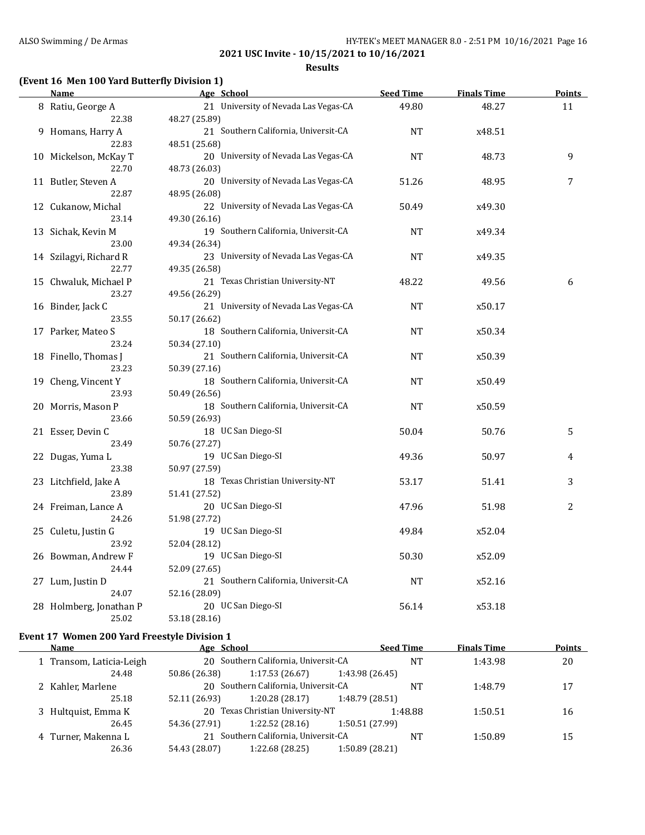**Results**

## **(Event 16 Men 100 Yard Butterfly Division 1)**

| <b>Name</b>             | Age School                           | <b>Seed Time</b> | <b>Finals Time</b> | <u>Points</u> |
|-------------------------|--------------------------------------|------------------|--------------------|---------------|
| 8 Ratiu, George A       | 21 University of Nevada Las Vegas-CA | 49.80            | 48.27              | 11            |
| 22.38                   | 48.27 (25.89)                        |                  |                    |               |
| 9 Homans, Harry A       | 21 Southern California, Universit-CA | NT               | x48.51             |               |
| 22.83                   | 48.51 (25.68)                        |                  |                    |               |
| 10 Mickelson, McKay T   | 20 University of Nevada Las Vegas-CA | <b>NT</b>        | 48.73              | 9             |
| 22.70                   | 48.73 (26.03)                        |                  |                    |               |
| 11 Butler, Steven A     | 20 University of Nevada Las Vegas-CA | 51.26            | 48.95              | 7             |
| 22.87                   | 48.95 (26.08)                        |                  |                    |               |
| 12 Cukanow, Michal      | 22 University of Nevada Las Vegas-CA | 50.49            | x49.30             |               |
| 23.14                   | 49.30 (26.16)                        |                  |                    |               |
| 13 Sichak, Kevin M      | 19 Southern California, Universit-CA | NT               | x49.34             |               |
| 23.00                   | 49.34 (26.34)                        |                  |                    |               |
| 14 Szilagyi, Richard R  | 23 University of Nevada Las Vegas-CA | <b>NT</b>        | x49.35             |               |
| 22.77                   | 49.35 (26.58)                        |                  |                    |               |
| 15 Chwaluk, Michael P   | 21 Texas Christian University-NT     | 48.22            | 49.56              | 6             |
| 23.27                   | 49.56 (26.29)                        |                  |                    |               |
| 16 Binder, Jack C       | 21 University of Nevada Las Vegas-CA | <b>NT</b>        | x50.17             |               |
| 23.55                   | 50.17 (26.62)                        |                  |                    |               |
| 17 Parker, Mateo S      | 18 Southern California, Universit-CA | NT               | x50.34             |               |
| 23.24                   | 50.34 (27.10)                        |                  |                    |               |
| 18 Finello, Thomas J    | 21 Southern California, Universit-CA | NT               | x50.39             |               |
| 23.23                   | 50.39 (27.16)                        |                  |                    |               |
| 19 Cheng, Vincent Y     | 18 Southern California, Universit-CA | NT               | x50.49             |               |
| 23.93                   | 50.49 (26.56)                        |                  |                    |               |
| 20 Morris, Mason P      | 18 Southern California, Universit-CA | <b>NT</b>        | x50.59             |               |
| 23.66                   | 50.59 (26.93)                        |                  |                    |               |
| 21 Esser, Devin C       | 18 UC San Diego-SI                   | 50.04            | 50.76              | 5             |
| 23.49                   | 50.76 (27.27)                        |                  |                    |               |
| 22 Dugas, Yuma L        | 19 UC San Diego-SI                   | 49.36            | 50.97              | 4             |
| 23.38                   | 50.97 (27.59)                        |                  |                    |               |
| 23 Litchfield, Jake A   | 18 Texas Christian University-NT     | 53.17            | 51.41              | 3             |
| 23.89                   | 51.41 (27.52)                        |                  |                    |               |
| 24 Freiman, Lance A     | 20 UC San Diego-SI                   | 47.96            | 51.98              | 2             |
| 24.26                   | 51.98 (27.72)                        |                  |                    |               |
| 25 Culetu, Justin G     | 19 UC San Diego-SI                   | 49.84            | x52.04             |               |
| 23.92                   | 52.04 (28.12)                        |                  |                    |               |
| 26 Bowman, Andrew F     | 19 UC San Diego-SI                   | 50.30            | x52.09             |               |
| 24.44                   | 52.09 (27.65)                        |                  |                    |               |
| 27 Lum, Justin D        | 21 Southern California, Universit-CA | <b>NT</b>        | x52.16             |               |
| 24.07                   | 52.16 (28.09)                        |                  |                    |               |
| 28 Holmberg, Jonathan P | 20 UC San Diego-SI                   | 56.14            | x53.18             |               |
| 25.02                   | 53.18 (28.16)                        |                  |                    |               |

### **Event 17 Women 200 Yard Freestyle Division 1**

| Name                     | Age School    |                                      |                 | <b>Seed Time</b> | <b>Finals Time</b> | Points |
|--------------------------|---------------|--------------------------------------|-----------------|------------------|--------------------|--------|
| 1 Transom, Laticia-Leigh |               | 20 Southern California, Universit-CA |                 | <b>NT</b>        | 1:43.98            | 20     |
| 24.48                    | 50.86 (26.38) | 1:17.53(26.67)                       | 1:43.98 (26.45) |                  |                    |        |
| 2 Kahler, Marlene        |               | 20 Southern California, Universit-CA |                 | NT               | 1:48.79            | 17     |
| 25.18                    | 52.11 (26.93) | 1:20.28(28.17)                       | 1:48.79 (28.51) |                  |                    |        |
| 3 Hultquist, Emma K      |               | 20 Texas Christian University-NT     |                 | 1:48.88          | 1:50.51            | 16     |
| 26.45                    | 54.36 (27.91) | 1:22.52(28.16)                       | 1:50.51 (27.99) |                  |                    |        |
| 4 Turner, Makenna L      |               | 21 Southern California, Universit-CA |                 | NT               | 1:50.89            | 15     |
| 26.36                    | 54.43 (28.07) | 1:22.68(28.25)                       | 1:50.89(28.21)  |                  |                    |        |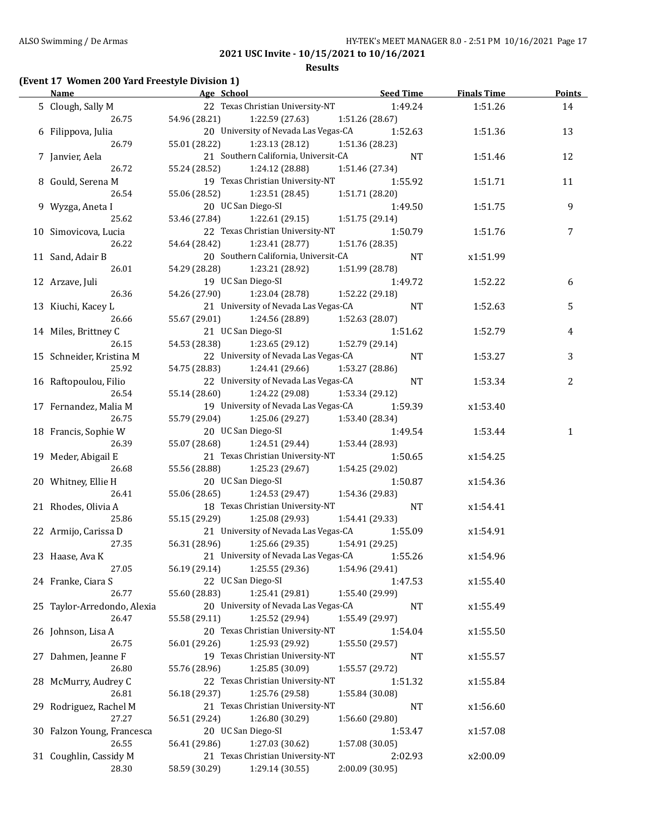### **Results**

## **(Event 17 Women 200 Yard Freestyle Division 1)**

| <b>Name</b>                 |               | Age School                                              | <b>Seed Time</b> | <b>Finals Time</b> | <b>Points</b>  |
|-----------------------------|---------------|---------------------------------------------------------|------------------|--------------------|----------------|
| 5 Clough, Sally M           |               | 22 Texas Christian University-NT                        | 1:49.24          | 1:51.26            | 14             |
| 26.75                       | 54.96 (28.21) | 1:22.59 (27.63)                                         | 1:51.26 (28.67)  |                    |                |
| 6 Filippova, Julia          |               | 20 University of Nevada Las Vegas-CA                    | 1:52.63          | 1:51.36            | 13             |
| 26.79                       | 55.01 (28.22) | 1:23.13 (28.12)                                         | 1:51.36 (28.23)  |                    |                |
| 7 Janvier, Aela             |               | 21 Southern California, Universit-CA                    | NT               | 1:51.46            | 12             |
| 26.72                       | 55.24 (28.52) | 1:24.12 (28.88)                                         | 1:51.46 (27.34)  |                    |                |
| 8 Gould, Serena M           |               | 19 Texas Christian University-NT                        | 1:55.92          | 1:51.71            | 11             |
| 26.54                       | 55.06 (28.52) | 1:23.51 (28.45)                                         | 1:51.71 (28.20)  |                    |                |
| 9 Wyzga, Aneta I            |               | 20 UC San Diego-SI                                      | 1:49.50          | 1:51.75            | 9              |
| 25.62                       | 53.46 (27.84) | 1:22.61(29.15)                                          | 1:51.75 (29.14)  |                    |                |
| 10 Simovicova, Lucia        |               | 22 Texas Christian University-NT                        | 1:50.79          | 1:51.76            | $\overline{7}$ |
| 26.22                       | 54.64 (28.42) | 1:23.41 (28.77)                                         | 1:51.76 (28.35)  |                    |                |
| 11 Sand, Adair B            |               | 20 Southern California, Universit-CA                    | NT               | x1:51.99           |                |
| 26.01                       | 54.29 (28.28) | 1:23.21 (28.92)                                         | 1:51.99 (28.78)  |                    |                |
| 12 Arzave, Juli             |               | 19 UC San Diego-SI                                      | 1:49.72          | 1:52.22            | 6              |
| 26.36                       | 54.26 (27.90) | 1:23.04 (28.78)                                         | 1:52.22 (29.18)  |                    |                |
| 13 Kiuchi, Kacey L          |               | 21 University of Nevada Las Vegas-CA                    | NT               | 1:52.63            | 5              |
| 26.66                       |               | 55.67 (29.01) 1:24.56 (28.89)                           | 1:52.63 (28.07)  |                    |                |
| 14 Miles, Brittney C        |               | 21 UC San Diego-SI                                      | 1:51.62          | 1:52.79            | 4              |
| 26.15                       |               | 54.53 (28.38) 1:23.65 (29.12)                           | 1:52.79 (29.14)  |                    |                |
| 15 Schneider, Kristina M    |               | 22 University of Nevada Las Vegas-CA                    | NT               |                    | 3              |
| 25.92                       | 54.75 (28.83) | 1:24.41 (29.66)                                         | 1:53.27 (28.86)  | 1:53.27            |                |
|                             |               | 22 University of Nevada Las Vegas-CA                    | <b>NT</b>        |                    |                |
| 16 Raftopoulou, Filio       | 55.14 (28.60) |                                                         |                  | 1:53.34            | 2              |
| 26.54                       |               | 1:24.22 (29.08)<br>19 University of Nevada Las Vegas-CA | 1:53.34 (29.12)  |                    |                |
| 17 Fernandez, Malia M       |               |                                                         | 1:59.39          | x1:53.40           |                |
| 26.75                       |               | 55.79 (29.04) 1:25.06 (29.27)                           | 1:53.40 (28.34)  |                    |                |
| 18 Francis, Sophie W        |               | 20 UC San Diego-SI                                      | 1:49.54          | 1:53.44            | 1              |
| 26.39                       | 55.07 (28.68) | 1:24.51 (29.44)                                         | 1:53.44 (28.93)  |                    |                |
| 19 Meder, Abigail E         |               | 21 Texas Christian University-NT                        | 1:50.65          | x1:54.25           |                |
| 26.68                       | 55.56 (28.88) | 1:25.23 (29.67)                                         | 1:54.25 (29.02)  |                    |                |
| 20 Whitney, Ellie H         |               | 20 UC San Diego-SI                                      | 1:50.87          | x1:54.36           |                |
| 26.41                       | 55.06 (28.65) | 1:24.53 (29.47)                                         | 1:54.36 (29.83)  |                    |                |
| 21 Rhodes, Olivia A         |               | 18 Texas Christian University-NT                        | NT               | x1:54.41           |                |
| 25.86                       | 55.15 (29.29) | 1:25.08 (29.93)                                         | 1:54.41 (29.33)  |                    |                |
| 22 Armijo, Carissa D        |               | 21 University of Nevada Las Vegas-CA                    | 1:55.09          | x1:54.91           |                |
| 27.35                       | 56.31 (28.96) | 1:25.66 (29.35)                                         | 1:54.91 (29.25)  |                    |                |
| 23 Haase, Ava K             |               | 21 University of Nevada Las Vegas-CA                    | 1:55.26          | x1:54.96           |                |
| 27.05                       | 56.19 (29.14) | 1:25.55 (29.36)                                         | 1:54.96 (29.41)  |                    |                |
| 24 Franke, Ciara S          |               | 22 UC San Diego-SI                                      | 1:47.53          | x1:55.40           |                |
| 26.77                       | 55.60 (28.83) | 1:25.41 (29.81)                                         | 1:55.40 (29.99)  |                    |                |
| 25 Taylor-Arredondo, Alexia |               | 20 University of Nevada Las Vegas-CA                    | NT               | x1:55.49           |                |
| 26.47                       | 55.58 (29.11) | 1:25.52 (29.94)                                         | 1:55.49 (29.97)  |                    |                |
| 26 Johnson, Lisa A          |               | 20 Texas Christian University-NT                        | 1:54.04          | x1:55.50           |                |
| 26.75                       | 56.01 (29.26) | 1:25.93 (29.92)                                         | 1:55.50 (29.57)  |                    |                |
| 27 Dahmen, Jeanne F         |               | 19 Texas Christian University-NT                        | NT               | x1:55.57           |                |
| 26.80                       | 55.76 (28.96) | 1:25.85 (30.09)                                         | 1:55.57 (29.72)  |                    |                |
| 28 McMurry, Audrey C        |               | 22 Texas Christian University-NT                        | 1:51.32          | x1:55.84           |                |
| 26.81                       | 56.18 (29.37) | 1:25.76 (29.58)                                         | 1:55.84 (30.08)  |                    |                |
| 29 Rodriguez, Rachel M      |               | 21 Texas Christian University-NT                        | NT               | x1:56.60           |                |
| 27.27                       | 56.51 (29.24) | 1:26.80 (30.29)                                         | 1:56.60 (29.80)  |                    |                |
| 30 Falzon Young, Francesca  |               | 20 UC San Diego-SI                                      | 1:53.47          | x1:57.08           |                |
| 26.55                       | 56.41 (29.86) | 1:27.03 (30.62)                                         | 1:57.08 (30.05)  |                    |                |
| 31 Coughlin, Cassidy M      |               | 21 Texas Christian University-NT                        | 2:02.93          | x2:00.09           |                |
| 28.30                       | 58.59 (30.29) | 1:29.14 (30.55)                                         | 2:00.09 (30.95)  |                    |                |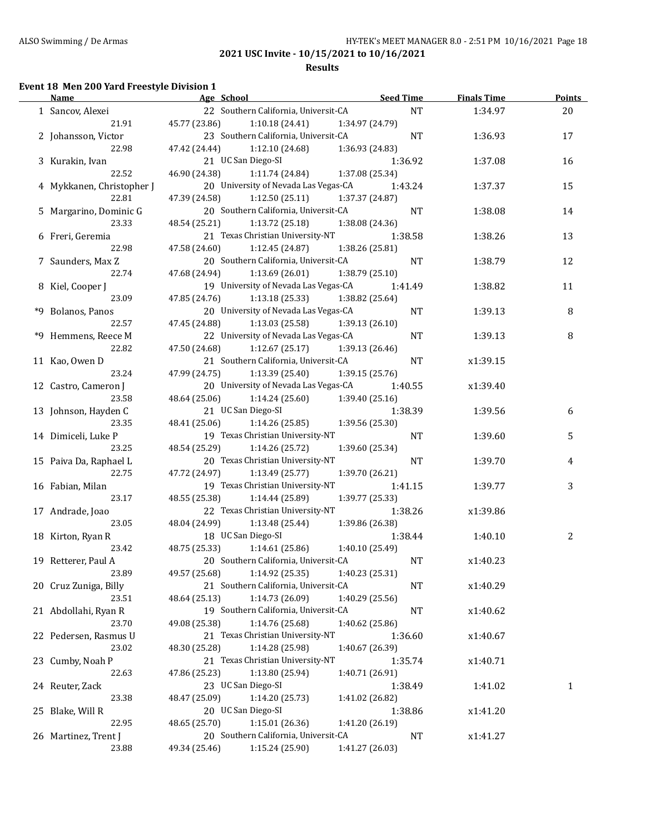### **Results**

## **Event 18 Men 200 Yard Freestyle Division 1**

| Name                       | Age School                           | <b>Seed Time</b> | <b>Finals Time</b> | Points         |
|----------------------------|--------------------------------------|------------------|--------------------|----------------|
| 1 Sancov, Alexei           | 22 Southern California, Universit-CA | <b>NT</b>        | 1:34.97            | 20             |
| 21.91                      | 45.77 (23.86)<br>1:10.18(24.41)      | 1:34.97 (24.79)  |                    |                |
| 2 Johansson, Victor        | 23 Southern California, Universit-CA | <b>NT</b>        | 1:36.93            | 17             |
| 22.98                      | 1:12.10 (24.68)<br>47.42 (24.44)     | 1:36.93 (24.83)  |                    |                |
| 3 Kurakin, Ivan            | 21 UC San Diego-SI                   | 1:36.92          | 1:37.08            | 16             |
| 22.52                      | 46.90 (24.38)<br>1:11.74 (24.84)     | 1:37.08 (25.34)  |                    |                |
| 4 Mykkanen, Christopher J  | 20 University of Nevada Las Vegas-CA | 1:43.24          | 1:37.37            | 15             |
| 22.81                      | 47.39 (24.58)<br>1:12.50(25.11)      | 1:37.37 (24.87)  |                    |                |
| 5 Margarino, Dominic G     | 20 Southern California, Universit-CA | <b>NT</b>        | 1:38.08            | 14             |
| 23.33                      | 1:13.72(25.18)<br>48.54 (25.21)      | 1:38.08 (24.36)  |                    |                |
|                            | 21 Texas Christian University-NT     |                  |                    |                |
| 6 Freri, Geremia           |                                      | 1:38.58          | 1:38.26            | 13             |
| 22.98                      | 47.58 (24.60)<br>1:12.45(24.87)      | 1:38.26 (25.81)  |                    |                |
| 7 Saunders, Max Z          | 20 Southern California, Universit-CA | <b>NT</b>        | 1:38.79            | 12             |
| 22.74                      | 47.68 (24.94)<br>1:13.69(26.01)      | 1:38.79 (25.10)  |                    |                |
| 8 Kiel, Cooper J           | 19 University of Nevada Las Vegas-CA | 1:41.49          | 1:38.82            | 11             |
| 23.09                      | 1:13.18 (25.33)<br>47.85 (24.76)     | 1:38.82 (25.64)  |                    |                |
| *9 Bolanos, Panos          | 20 University of Nevada Las Vegas-CA | <b>NT</b>        | 1:39.13            | 8              |
| 22.57                      | 47.45 (24.88)<br>1:13.03(25.58)      | 1:39.13 (26.10)  |                    |                |
| *9 Hemmens, Reece M        | 22 University of Nevada Las Vegas-CA | <b>NT</b>        | 1:39.13            | 8              |
| 22.82                      | 47.50 (24.68)<br>1:12.67(25.17)      | 1:39.13 (26.46)  |                    |                |
| 11 Kao, Owen D             | 21 Southern California, Universit-CA | <b>NT</b>        | x1:39.15           |                |
| 23.24                      | 47.99 (24.75)<br>1:13.39 (25.40)     | 1:39.15 (25.76)  |                    |                |
| 12 Castro, Cameron J       | 20 University of Nevada Las Vegas-CA | 1:40.55          | x1:39.40           |                |
| 23.58                      | 1:14.24 (25.60)<br>48.64 (25.06)     | 1:39.40 (25.16)  |                    |                |
| 13 Johnson, Hayden C       | 21 UC San Diego-SI                   | 1:38.39          | 1:39.56            | 6              |
| 23.35                      | 1:14.26 (25.85)<br>48.41 (25.06)     | 1:39.56 (25.30)  |                    |                |
| 14 Dimiceli, Luke P        | 19 Texas Christian University-NT     | <b>NT</b>        | 1:39.60            | 5              |
| 23.25                      | 48.54 (25.29)<br>1:14.26 (25.72)     | 1:39.60 (25.34)  |                    |                |
| 15 Paiva Da, Raphael L     | 20 Texas Christian University-NT     | <b>NT</b>        | 1:39.70            | 4              |
| 22.75                      | 47.72 (24.97)<br>1:13.49 (25.77)     | 1:39.70 (26.21)  |                    |                |
| 16 Fabian, Milan           | 19 Texas Christian University-NT     | 1:41.15          | 1:39.77            | 3              |
| 23.17                      | 48.55 (25.38)<br>1:14.44 (25.89)     | 1:39.77 (25.33)  |                    |                |
| 17 Andrade, Joao           | 22 Texas Christian University-NT     | 1:38.26          | x1:39.86           |                |
| 23.05                      | 1:13.48 (25.44)<br>48.04 (24.99)     | 1:39.86 (26.38)  |                    |                |
|                            | 18 UC San Diego-SI                   | 1:38.44          |                    | $\overline{2}$ |
| 18 Kirton, Ryan R<br>23.42 | 48.75 (25.33)<br>1:14.61(25.86)      |                  | 1:40.10            |                |
|                            | 20 Southern California, Universit-CA | 1:40.10 (25.49)  |                    |                |
| 19 Retterer, Paul A        |                                      | <b>NT</b>        | x1:40.23           |                |
| 23.89                      | 49.57 (25.68)<br>1:14.92 (25.35)     | 1:40.23 (25.31)  |                    |                |
| 20 Cruz Zuniga, Billy      | 21 Southern California, Universit-CA | NT               | x1:40.29           |                |
| 23.51                      | 48.64 (25.13)<br>1:14.73 (26.09)     | 1:40.29 (25.56)  |                    |                |
| 21 Abdollahi, Ryan R       | 19 Southern California, Universit-CA | NT               | x1:40.62           |                |
| 23.70                      | 49.08 (25.38)<br>1:14.76 (25.68)     | 1:40.62 (25.86)  |                    |                |
| 22 Pedersen, Rasmus U      | 21 Texas Christian University-NT     | 1:36.60          | x1:40.67           |                |
| 23.02                      | 1:14.28 (25.98)<br>48.30 (25.28)     | 1:40.67 (26.39)  |                    |                |
| 23 Cumby, Noah P           | 21 Texas Christian University-NT     | 1:35.74          | x1:40.71           |                |
| 22.63                      | 1:13.80 (25.94)<br>47.86 (25.23)     | 1:40.71 (26.91)  |                    |                |
| 24 Reuter, Zack            | 23 UC San Diego-SI                   | 1:38.49          | 1:41.02            | 1              |
| 23.38                      | 1:14.20 (25.73)<br>48.47 (25.09)     | 1:41.02 (26.82)  |                    |                |
| 25 Blake, Will R           | 20 UC San Diego-SI                   | 1:38.86          | x1:41.20           |                |
| 22.95                      | 1:15.01 (26.36)<br>48.65 (25.70)     | 1:41.20 (26.19)  |                    |                |
| 26 Martinez, Trent J       | 20 Southern California, Universit-CA | <b>NT</b>        | x1:41.27           |                |
| 23.88                      | 49.34 (25.46)<br>1:15.24 (25.90)     | 1:41.27 (26.03)  |                    |                |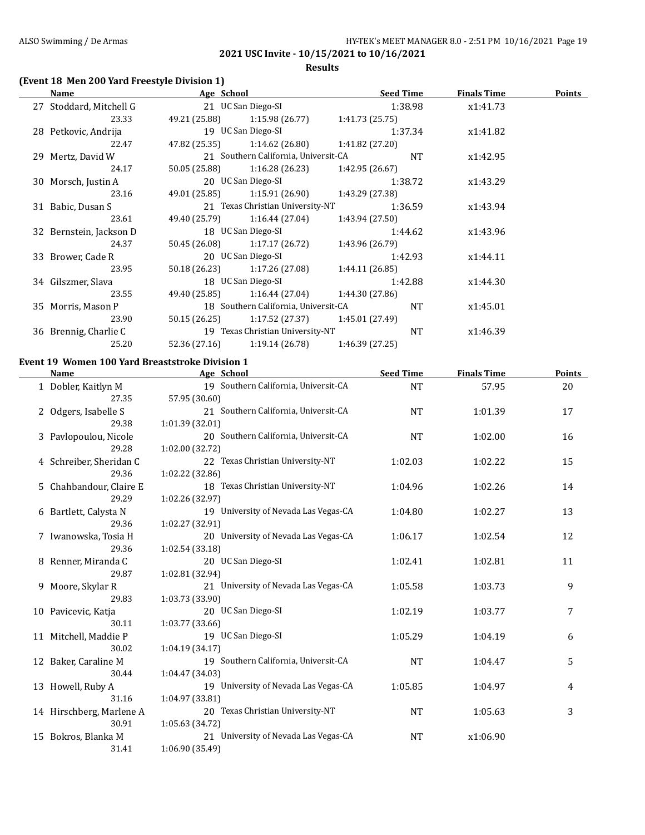#### **Results**

## **(Event 18 Men 200 Yard Freestyle Division 1)**

| Name                    | Age School and the state of the state of the state of the state of the state of the state of the state of the state of the state of the state of the state of the state of the state of the state of the state of the state of | <b>Seed Time</b> | <b>Finals Time</b> | <b>Points</b> |
|-------------------------|--------------------------------------------------------------------------------------------------------------------------------------------------------------------------------------------------------------------------------|------------------|--------------------|---------------|
| 27 Stoddard, Mitchell G | 21 UC San Diego-SI 21:38.98                                                                                                                                                                                                    |                  | x1:41.73           |               |
| 23.33                   | 49.21 (25.88) 1:15.98 (26.77) 1:41.73 (25.75)                                                                                                                                                                                  |                  |                    |               |
| 28 Petkovic, Andrija    | 19 UC San Diego-SI                                                                                                                                                                                                             | 1:37.34          | x1:41.82           |               |
| 22.47                   | 47.82 (25.35) 1:14.62 (26.80) 1:41.82 (27.20)                                                                                                                                                                                  |                  |                    |               |
| 29 Mertz, David W       | 21 Southern California, Universit-CA NT                                                                                                                                                                                        |                  | x1:42.95           |               |
| 24.17                   | 50.05 (25.88) 1:16.28 (26.23) 1:42.95 (26.67)                                                                                                                                                                                  |                  |                    |               |
| 30 Morsch, Justin A     | 20 UC San Diego-SI                                                                                                                                                                                                             | 1:38.72          | x1:43.29           |               |
| 23.16                   | 49.01 (25.85) 1:15.91 (26.90) 1:43.29 (27.38)                                                                                                                                                                                  |                  |                    |               |
| 31 Babic, Dusan S       | 21 Texas Christian University-NT                                                                                                                                                                                               | 1:36.59          | x1:43.94           |               |
| 23.61                   | 49.40 (25.79) 1:16.44 (27.04) 1:43.94 (27.50)                                                                                                                                                                                  |                  |                    |               |
| 32 Bernstein, Jackson D | 18 UC San Diego-SI                                                                                                                                                                                                             | 1:44.62          | x1:43.96           |               |
| 24.37                   | 50.45 (26.08) 1:17.17 (26.72) 1:43.96 (26.79)                                                                                                                                                                                  |                  |                    |               |
| 33 Brower, Cade R       | 20 UC San Diego-SI                                                                                                                                                                                                             | 1:42.93          | x1:44.11           |               |
| 23.95                   | $50.18(26.23)$ $1:17.26(27.08)$ $1:44.11(26.85)$                                                                                                                                                                               |                  |                    |               |
| 34 Gilszmer, Slava      | 18 UC San Diego-SI                                                                                                                                                                                                             | 1:42.88          | x1:44.30           |               |
| 23.55                   | 49.40 (25.85) 1:16.44 (27.04) 1:44.30 (27.86)                                                                                                                                                                                  |                  |                    |               |
| 35 Morris, Mason P      | 18 Southern California, Universit-CA                                                                                                                                                                                           | NT.              | x1:45.01           |               |
| 23.90                   | $50.15(26.25)$ $1:17.52(27.37)$ $1:45.01(27.49)$                                                                                                                                                                               |                  |                    |               |
| 36 Brennig, Charlie C   | 19 Texas Christian University-NT                                                                                                                                                                                               | NT               | x1:46.39           |               |
| 25.20                   | 52.36 (27.16) 1:19.14 (26.78)                                                                                                                                                                                                  | 1:46.39 (27.25)  |                    |               |

### **Event 19 Women 100 Yard Breaststroke Division 1**

| Name                     | Age School                           | <b>Seed Time</b> | <b>Finals Time</b> | Points |
|--------------------------|--------------------------------------|------------------|--------------------|--------|
| 1 Dobler, Kaitlyn M      | 19 Southern California, Universit-CA | <b>NT</b>        | 57.95              | 20     |
| 27.35                    | 57.95 (30.60)                        |                  |                    |        |
| 2 Odgers, Isabelle S     | 21 Southern California, Universit-CA | <b>NT</b>        | 1:01.39            | 17     |
| 29.38                    | 1:01.39 (32.01)                      |                  |                    |        |
| 3 Pavlopoulou, Nicole    | 20 Southern California, Universit-CA | <b>NT</b>        | 1:02.00            | 16     |
| 29.28                    | 1:02.00 (32.72)                      |                  |                    |        |
| 4 Schreiber, Sheridan C  | 22 Texas Christian University-NT     | 1:02.03          | 1:02.22            | 15     |
| 29.36                    | 1:02.22 (32.86)                      |                  |                    |        |
| 5 Chahbandour, Claire E  | 18 Texas Christian University-NT     | 1:04.96          | 1:02.26            | 14     |
| 29.29                    | 1:02.26 (32.97)                      |                  |                    |        |
| 6 Bartlett, Calysta N    | 19 University of Nevada Las Vegas-CA | 1:04.80          | 1:02.27            | 13     |
| 29.36                    | 1:02.27 (32.91)                      |                  |                    |        |
| 7 Iwanowska, Tosia H     | 20 University of Nevada Las Vegas-CA | 1:06.17          | 1:02.54            | 12     |
| 29.36                    | 1:02.54(33.18)                       |                  |                    |        |
| 8 Renner, Miranda C      | 20 UC San Diego-SI                   | 1:02.41          | 1:02.81            | 11     |
| 29.87                    | 1:02.81 (32.94)                      |                  |                    |        |
| 9 Moore, Skylar R        | 21 University of Nevada Las Vegas-CA | 1:05.58          | 1:03.73            | 9      |
| 29.83                    | 1:03.73 (33.90)                      |                  |                    |        |
| 10 Pavicevic, Katja      | 20 UC San Diego-SI                   | 1:02.19          | 1:03.77            | 7      |
| 30.11                    | 1:03.77 (33.66)                      |                  |                    |        |
| 11 Mitchell, Maddie P    | 19 UC San Diego-SI                   | 1:05.29          | 1:04.19            | 6      |
| 30.02                    | 1:04.19 (34.17)                      |                  |                    |        |
| 12 Baker, Caraline M     | 19 Southern California, Universit-CA | <b>NT</b>        | 1:04.47            | 5      |
| 30.44                    | 1:04.47 (34.03)                      |                  |                    |        |
| 13 Howell, Ruby A        | 19 University of Nevada Las Vegas-CA | 1:05.85          | 1:04.97            | 4      |
| 31.16                    | 1:04.97 (33.81)                      |                  |                    |        |
| 14 Hirschberg, Marlene A | 20 Texas Christian University-NT     | <b>NT</b>        | 1:05.63            | 3      |
| 30.91                    | 1:05.63 (34.72)                      |                  |                    |        |
| 15 Bokros, Blanka M      | 21 University of Nevada Las Vegas-CA | <b>NT</b>        | x1:06.90           |        |
| 31.41                    | 1:06.90 (35.49)                      |                  |                    |        |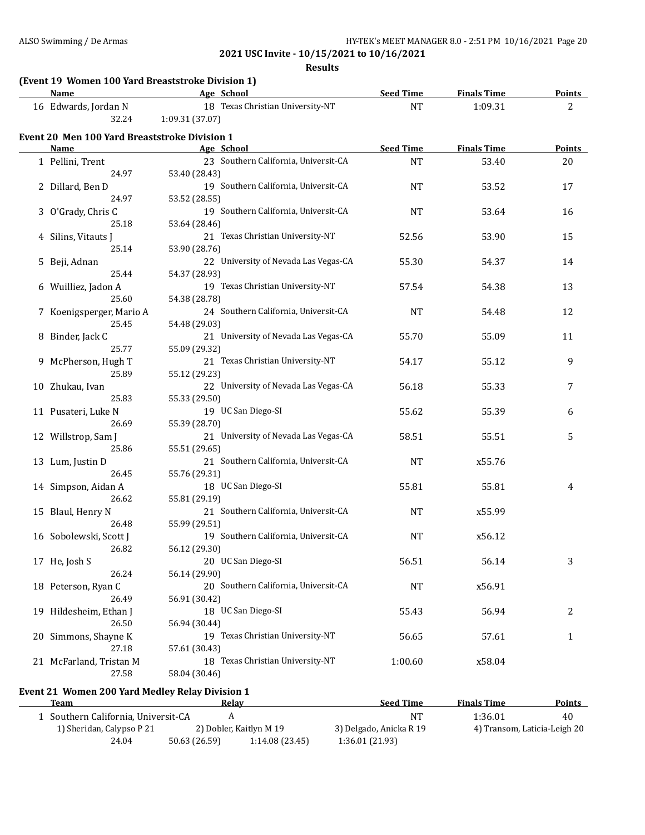**Results**

| (Event 19 Women 100 Yard Breaststroke Division 1) |                 |                                      |                         |                              |               |
|---------------------------------------------------|-----------------|--------------------------------------|-------------------------|------------------------------|---------------|
| Name                                              |                 | Age School                           | <b>Seed Time</b>        | <b>Finals Time</b>           | Points        |
| 16 Edwards, Jordan N                              |                 | 18 Texas Christian University-NT     | <b>NT</b>               | 1:09.31                      | 2             |
| 32.24                                             | 1:09.31 (37.07) |                                      |                         |                              |               |
| Event 20 Men 100 Yard Breaststroke Division 1     |                 |                                      |                         |                              |               |
| <b>Name</b>                                       |                 | Age School                           | <b>Seed Time</b>        | <b>Finals Time</b>           | <b>Points</b> |
| 1 Pellini, Trent                                  |                 | 23 Southern California, Universit-CA | <b>NT</b>               | 53.40                        | 20            |
| 24.97                                             | 53.40 (28.43)   |                                      |                         |                              |               |
| 2 Dillard, Ben D                                  |                 | 19 Southern California, Universit-CA | <b>NT</b>               | 53.52                        | 17            |
| 24.97                                             | 53.52 (28.55)   |                                      |                         |                              |               |
| 3 O'Grady, Chris C                                |                 | 19 Southern California, Universit-CA | <b>NT</b>               | 53.64                        | 16            |
| 25.18                                             | 53.64 (28.46)   |                                      |                         |                              |               |
| 4 Silins, Vitauts J                               |                 | 21 Texas Christian University-NT     | 52.56                   | 53.90                        | 15            |
| 25.14                                             | 53.90 (28.76)   |                                      |                         |                              |               |
| 5 Beji, Adnan                                     |                 | 22 University of Nevada Las Vegas-CA | 55.30                   | 54.37                        | 14            |
| 25.44                                             | 54.37 (28.93)   |                                      |                         |                              |               |
| 6 Wuilliez, Jadon A                               |                 | 19 Texas Christian University-NT     | 57.54                   | 54.38                        | 13            |
| 25.60                                             | 54.38 (28.78)   |                                      |                         |                              |               |
| 7 Koenigsperger, Mario A<br>25.45                 |                 | 24 Southern California, Universit-CA | <b>NT</b>               | 54.48                        | 12            |
|                                                   | 54.48 (29.03)   |                                      |                         |                              |               |
| 8 Binder, Jack C<br>25.77                         |                 | 21 University of Nevada Las Vegas-CA | 55.70                   | 55.09                        | 11            |
| 9 McPherson, Hugh T                               | 55.09 (29.32)   | 21 Texas Christian University-NT     |                         |                              | 9             |
| 25.89                                             |                 |                                      | 54.17                   | 55.12                        |               |
|                                                   | 55.12 (29.23)   | 22 University of Nevada Las Vegas-CA | 56.18                   | 55.33                        | 7             |
| 10 Zhukau, Ivan<br>25.83                          | 55.33 (29.50)   |                                      |                         |                              |               |
| 11 Pusateri, Luke N                               |                 | 19 UC San Diego-SI                   | 55.62                   | 55.39                        | 6             |
| 26.69                                             | 55.39 (28.70)   |                                      |                         |                              |               |
| 12 Willstrop, Sam J                               |                 | 21 University of Nevada Las Vegas-CA | 58.51                   | 55.51                        | 5             |
| 25.86                                             | 55.51 (29.65)   |                                      |                         |                              |               |
| 13 Lum, Justin D                                  |                 | 21 Southern California, Universit-CA | NT                      | x55.76                       |               |
| 26.45                                             | 55.76 (29.31)   |                                      |                         |                              |               |
| 14 Simpson, Aidan A                               |                 | 18 UC San Diego-SI                   | 55.81                   | 55.81                        | 4             |
| 26.62                                             | 55.81 (29.19)   |                                      |                         |                              |               |
| 15 Blaul, Henry N                                 |                 | 21 Southern California, Universit-CA | NT                      | x55.99                       |               |
| 26.48                                             | 55.99 (29.51)   |                                      |                         |                              |               |
| 16 Sobolewski, Scott J                            |                 | 19 Southern California, Universit-CA | NT                      | x56.12                       |               |
| 26.82                                             | 56.12 (29.30)   |                                      |                         |                              |               |
| 17 He, Josh S                                     |                 | 20 UC San Diego-SI                   | 56.51                   | 56.14                        | 3             |
| 26.24                                             | 56.14 (29.90)   |                                      |                         |                              |               |
| 18 Peterson, Ryan C                               |                 | 20 Southern California, Universit-CA | NT                      | x56.91                       |               |
| 26.49                                             | 56.91 (30.42)   |                                      |                         |                              |               |
| 19 Hildesheim, Ethan J                            |                 | 18 UC San Diego-SI                   | 55.43                   | 56.94                        | 2             |
| 26.50                                             | 56.94 (30.44)   |                                      |                         |                              |               |
| 20 Simmons, Shayne K                              |                 | 19 Texas Christian University-NT     | 56.65                   | 57.61                        | 1             |
| 27.18                                             | 57.61 (30.43)   |                                      |                         |                              |               |
| 21 McFarland, Tristan M                           |                 | 18 Texas Christian University-NT     | 1:00.60                 | x58.04                       |               |
| 27.58                                             | 58.04 (30.46)   |                                      |                         |                              |               |
| Event 21 Women 200 Yard Medley Relay Division 1   |                 |                                      |                         |                              |               |
| <b>Team</b>                                       |                 | <u>Relay</u>                         | <b>Seed Time</b>        | <b>Finals Time</b>           | <b>Points</b> |
| 1 Southern California, Universit-CA               |                 | A                                    | <b>NT</b>               | 1:36.01                      | 40            |
| 1) Sheridan, Calypso P 21                         |                 | 2) Dobler, Kaitlyn M 19              | 3) Delgado, Anicka R 19 | 4) Transom, Laticia-Leigh 20 |               |

24.04 50.63 (26.59) 1:14.08 (23.45) 1:36.01 (21.93)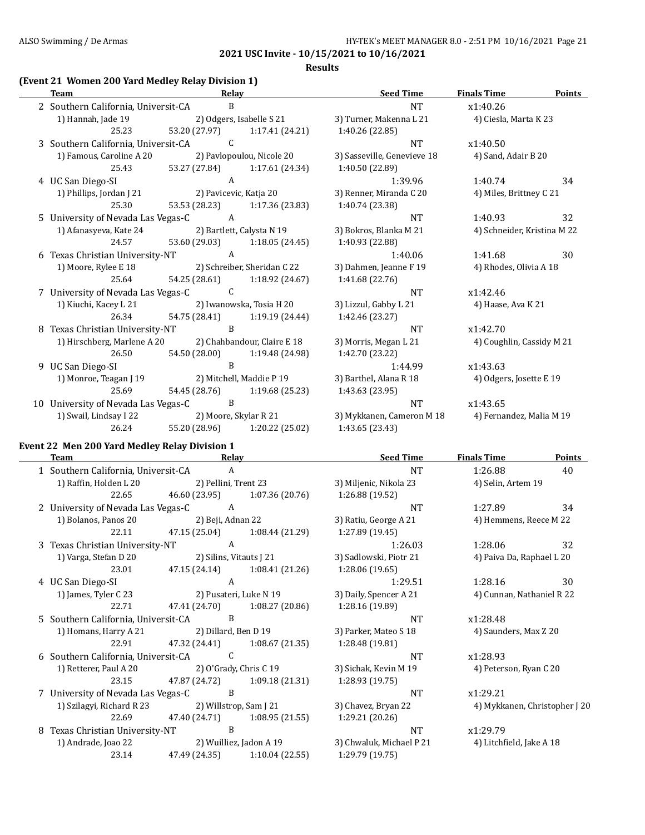**<u>Reed Time</u> Finals Time Points** 

**2021 USC Invite - 10/15/2021 to 10/16/2021**

#### **Results**

### **(Event 21 Women 200 Yard Medley Relay Division 1)**

| <b>l'eam</b>                                     | <b>Relay</b>           |                               | Seed Time                   | <b>Finals Time</b>         | Poin |
|--------------------------------------------------|------------------------|-------------------------------|-----------------------------|----------------------------|------|
| 2 Southern California, Universit-CA              | B                      |                               | <b>NT</b>                   | x1:40.26                   |      |
| 1) Hannah, Jade 19                               |                        | 2) Odgers, Isabelle S 21      | 3) Turner, Makenna L 21     | 4) Ciesla, Marta K 23      |      |
| 25.23                                            | 53.20 (27.97)          | 1:17.41 (24.21)               | 1:40.26 (22.85)             |                            |      |
| 3 Southern California, Universit-CA              | C.                     |                               | <b>NT</b>                   | x1:40.50                   |      |
| 1) Famous, Caroline A 20                         |                        | 2) Pavlopoulou, Nicole 20     | 3) Sasseville, Genevieve 18 | 4) Sand, Adair B 20        |      |
| 25.43                                            |                        | 53.27 (27.84) 1:17.61 (24.34) | 1:40.50 (22.89)             |                            |      |
| 4 UC San Diego-SI                                | A                      |                               | 1:39.96                     | 1:40.74                    | 34   |
| 1) Phillips, Jordan J 21                         | 2) Pavicevic, Katja 20 |                               | 3) Renner, Miranda C 20     | 4) Miles, Brittney C 21    |      |
| 25.30                                            | 53.53 (28.23)          | 1:17.36 (23.83)               | 1:40.74 (23.38)             |                            |      |
| 5 University of Nevada Las Vegas-C               | A                      |                               | <b>NT</b>                   | 1:40.93                    | 32   |
| 1) Afanasyeva, Kate 24                           |                        | 2) Bartlett, Calysta N 19     | 3) Bokros, Blanka M 21      | 4) Schneider, Kristina M 2 |      |
| 24.57                                            | 53.60 (29.03)          | 1:18.05(24.45)                | 1:40.93 (22.88)             |                            |      |
| 6 Texas Christian University-NT                  | A                      |                               | 1:40.06                     | 1:41.68                    | 30   |
| 1) Moore, Rylee E 18 2) Schreiber, Sheridan C 22 |                        |                               | 3) Dahmen, Jeanne F 19      | 4) Rhodes, Olivia A 18     |      |
| 25.64                                            | 54.25 (28.61)          | 1:18.92 (24.67)               | 1:41.68 (22.76)             |                            |      |
| 7 University of Nevada Las Vegas-C C             |                        |                               | <b>NT</b>                   | x1:42.46                   |      |
| 1) Kiuchi, Kacey L 21                            |                        | 2) Iwanowska, Tosia H 20      | 3) Lizzul, Gabby L 21       | 4) Haase, Ava K 21         |      |
| 26.34                                            | 54.75 (28.41)          | 1:19.19(24.44)                | 1:42.46 (23.27)             |                            |      |
| 8 Texas Christian University-NT                  | B                      |                               | <b>NT</b>                   | x1:42.70                   |      |
| 1) Hirschberg, Marlene A 20                      |                        | 2) Chahbandour, Claire E 18   | 3) Morris, Megan L 21       | 4) Coughlin, Cassidy M 21  |      |
| 26.50                                            | 54.50 (28.00)          | 1:19.48 (24.98)               | 1:42.70 (23.22)             |                            |      |
| 9 UC San Diego-SI                                | $\overline{B}$         |                               | 1:44.99                     | x1:43.63                   |      |
| 1) Monroe, Teagan J 19                           |                        | 2) Mitchell, Maddie P 19      | 3) Barthel, Alana R 18      | 4) Odgers, Josette E 19    |      |
| 25.69                                            | 54.45 (28.76)          | 1:19.68(25.23)                | 1:43.63 (23.95)             |                            |      |
| 10 University of Nevada Las Vegas-C              | B                      |                               | <b>NT</b>                   | x1:43.65                   |      |
| 1) Swail, Lindsay I 22                           |                        | 2) Moore, Skylar R 21         | 3) Mykkanen, Cameron M 18   | 4) Fernandez, Malia M 19   |      |
| 26.24                                            |                        | 55.20 (28.96) 1:20.22 (25.02) | 1:43.65 (23.43)             |                            |      |

### **Event 22 Men 200 Yard Medley Relay Division 1**

| Team                                              | Relay                                          |                               | <b>Seed Time</b>         | <b>Finals Time</b>         | <b>Points</b> |
|---------------------------------------------------|------------------------------------------------|-------------------------------|--------------------------|----------------------------|---------------|
| 1 Southern California, Universit-CA               | A                                              |                               | <b>NT</b>                | 1:26.88                    | 40            |
| 1) Raffin, Holden L 20                            | 2) Pellini, Trent 23                           |                               | 3) Miljenic, Nikola 23   | 4) Selin, Artem 19         |               |
| 22.65                                             |                                                | 46.60 (23.95) 1:07.36 (20.76) | 1:26.88 (19.52)          |                            |               |
| 2 University of Nevada Las Vegas-C                | $\overline{A}$                                 |                               | <b>NT</b>                | 1:27.89                    | 34            |
| 1) Bolanos, Panos 20                              | 2) Beji, Adnan 22                              |                               | 3) Ratiu, George A 21    | 4) Hemmens, Reece M 22     |               |
| 22.11                                             |                                                | 47.15 (25.04) 1:08.44 (21.29) | 1:27.89 (19.45)          |                            |               |
| 3 Texas Christian University-NT                   | $\overline{A}$                                 |                               | 1:26.03                  | 1:28.06                    | 32            |
| 1) Varga, Stefan D 20 2) Silins, Vitauts J 21     |                                                |                               | 3) Sadlowski, Piotr 21   | 4) Paiva Da, Raphael L 20  |               |
| 23.01                                             |                                                | 47.15 (24.14) 1:08.41 (21.26) | 1:28.06 (19.65)          |                            |               |
| 4 UC San Diego-SI                                 | A                                              |                               | 1:29.51                  | 1:28.16                    | 30            |
|                                                   | 1) James, Tyler C 23<br>2) Pusateri, Luke N 19 |                               | 3) Daily, Spencer A 21   | 4) Cunnan, Nathaniel R 22  |               |
| 22.71                                             | 47.41 (24.70) 1:08.27 (20.86)                  |                               | 1:28.16 (19.89)          |                            |               |
| 5 Southern California, Universit-CA B             |                                                |                               | <b>NT</b>                | x1:28.48                   |               |
| 1) Homans, Harry A 21 2) Dillard, Ben D 19        |                                                |                               | 3) Parker, Mateo S 18    | 4) Saunders, Max Z 20      |               |
| 22.91                                             |                                                | 47.32 (24.41) 1:08.67 (21.35) | 1:28.48 (19.81)          |                            |               |
| 6 Southern California, Universit-CA C             |                                                |                               | <b>NT</b>                | x1:28.93                   |               |
| 1) Retterer, Paul A 20                            |                                                | 2) O'Grady, Chris C 19        | 3) Sichak, Kevin M 19    | 4) Peterson, Ryan C 20     |               |
| 23.15                                             | 47.87 (24.72) 1:09.18 (21.31)                  |                               | 1:28.93(19.75)           |                            |               |
| 7 University of Nevada Las Vegas-C                | $\overline{B}$                                 |                               | <b>NT</b>                | x1:29.21                   |               |
| 1) Szilagyi, Richard R 23 (2) Willstrop, Sam J 21 |                                                |                               | 3) Chavez, Bryan 22      | 4) Mykkanen, Christopher J |               |
| 22.69                                             |                                                | 47.40 (24.71) 1:08.95 (21.55) | 1:29.21 (20.26)          |                            |               |
| 8 Texas Christian University-NT                   | B                                              |                               | <b>NT</b>                | x1:29.79                   |               |
| 1) Andrade, Joao 22 2) Wuilliez, Jadon A 19       |                                                |                               | 3) Chwaluk, Michael P 21 | 4) Litchfield, Jake A 18   |               |
| 23.14                                             |                                                | 47.49 (24.35) 1:10.04 (22.55) | 1:29.79(19.75)           |                            |               |

| NT                          | x1:40.26               |
|-----------------------------|------------------------|
| 3) Turner, Makenna L 21     | 4) Ciesla, Marta K 23  |
| 1:40.26 (22.85)             |                        |
| NΤ                          | x1:40.50               |
| 3) Sasseville, Genevieve 18 | 4) Sand, Adair B 20    |
| 1:40.50 (22.89)             |                        |
| 1:39.96                     | 1:40.74                |
| 3) Renner, Miranda C 20     | 4) Miles, Brittney C 2 |
| 1:40.74 (23.38)             |                        |
| NT                          | 1:40.93                |
| 3) Bokros, Blanka M 21      | 4) Schneider, Kristina |
| 1:40.93 (22.88)             |                        |
| 1:40.06                     | 1:41.68                |
| 3) Dahmen, Jeanne F 19      | 4) Rhodes, Olivia A 1  |
| 1:41.68 (22.76)             |                        |
| NΤ                          | x1:42.46               |
| 3) Lizzul, Gabby L 21       | 4) Haase, Ava K 21     |
| 1:42.46 (23.27)             |                        |
| NΤ                          | x1:42.70               |
| 3) Morris, Megan L 21       | 4) Coughlin, Cassidy   |
| 1:42.70 (23.22)             |                        |
| 1:44.99                     | x1:43.63               |
| 3) Barthel, Alana R 18      | 4) Odgers, Josette E 1 |
| 1:43.63 (23.95)             |                        |
| NT                          | x1:43.65               |
| 3) Mykkanen, Cameron M 18   | 4) Fernandez, Malia I  |
| 1:43.65 (23.43)             |                        |
|                             |                        |

| Seed Time                | Finals Time              | P |
|--------------------------|--------------------------|---|
| <b>NT</b>                | 1:26.88                  |   |
| 3) Miljenic, Nikola 23   | 4) Selin, Artem 19       |   |
| 1:26.88 (19.52)          |                          |   |
| NΤ                       | 1:27.89                  |   |
| 3) Ratiu, George A 21    | 4) Hemmens, Reece M      |   |
| 1:27.89 (19.45)          |                          |   |
| 1:26.03                  | 1:28.06                  |   |
| 3) Sadlowski, Piotr 21   | 4) Paiva Da, Raphael L   |   |
| 1:28.06 (19.65)          |                          |   |
| 1:29.51                  | 1:28.16                  |   |
| 3) Daily, Spencer A 21   | 4) Cunnan, Nathaniel R   |   |
| 1:28.16 (19.89)          |                          |   |
| NΤ                       | x1:28.48                 |   |
| 3) Parker, Mateo S 18    | 4) Saunders, Max Z 20    |   |
| 1:28.48 (19.81)          |                          |   |
| NΤ                       | x1:28.93                 |   |
| 3) Sichak, Kevin M 19    | 4) Peterson, Ryan C 20   |   |
| 1:28.93 (19.75)          |                          |   |
| NΤ                       | x1:29.21                 |   |
| 3) Chavez, Bryan 22      | 4) Mykkanen, Christop    |   |
| 1:29.21 (20.26)          |                          |   |
| NT                       | x1:29.79                 |   |
| 3) Chwaluk, Michael P 21 | 4) Litchfield, Jake A 18 |   |
| 1:29.79 (19.75)          |                          |   |

| 4) Selin, Artem 19                   |    |
|--------------------------------------|----|
| 1:27.89<br>4) Hemmens, Reece M 22    | 34 |
| 1:28.06<br>4) Paiva Da, Raphael L 20 | 32 |
| 1:28.16<br>4) Cunnan, Nathaniel R 22 | 30 |
| 1:28.48<br>4) Saunders, Max Z 20     |    |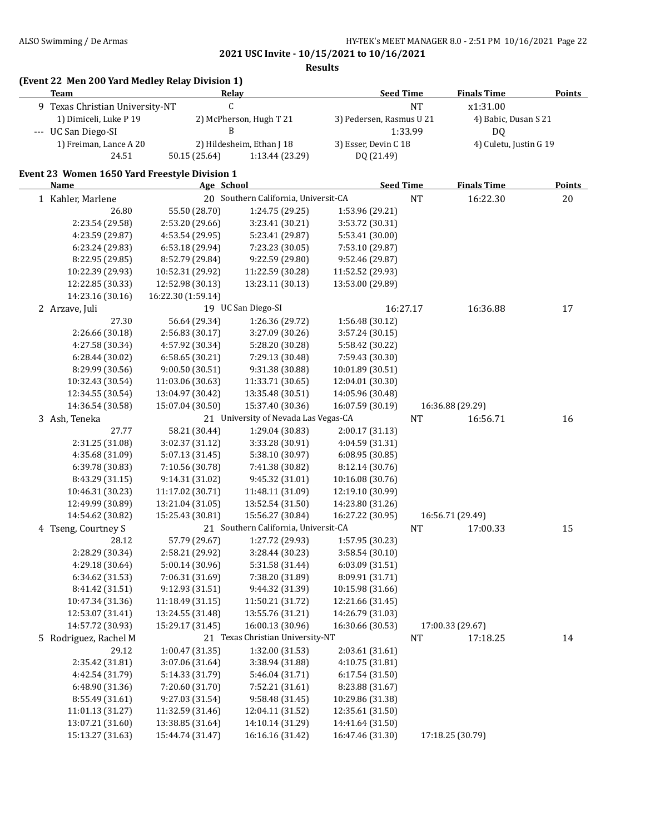**Results**

| (Event 22 Men 200 Yard Medley Relay Division 1) |                    |                                      |                      |                          |                                  |               |
|-------------------------------------------------|--------------------|--------------------------------------|----------------------|--------------------------|----------------------------------|---------------|
| <b>Team</b>                                     |                    | Relay                                | <b>Seed Time</b>     |                          | <b>Finals Time</b>               | <b>Points</b> |
| 9 Texas Christian University-NT                 | C                  |                                      |                      | <b>NT</b>                | x1:31.00<br>4) Babic, Dusan S 21 |               |
| 1) Dimiceli, Luke P 19                          |                    | 2) McPherson, Hugh T 21              |                      | 3) Pedersen, Rasmus U 21 |                                  |               |
| --- UC San Diego-SI                             |                    | B                                    |                      | 1:33.99                  | <b>DQ</b>                        |               |
| 1) Freiman, Lance A 20                          |                    | 2) Hildesheim, Ethan J 18            | 3) Esser, Devin C 18 |                          | 4) Culetu, Justin G 19           |               |
| 24.51                                           | 50.15 (25.64)      | 1:13.44 (23.29)                      | DQ (21.49)           |                          |                                  |               |
| Event 23 Women 1650 Yard Freestyle Division 1   |                    |                                      |                      |                          |                                  |               |
| <b>Name</b>                                     | Age School         |                                      | <b>Seed Time</b>     |                          | <b>Finals Time</b>               | <b>Points</b> |
| 1 Kahler, Marlene                               |                    | 20 Southern California, Universit-CA |                      | <b>NT</b>                | 16:22.30                         | 20            |
| 26.80                                           | 55.50 (28.70)      | 1:24.75 (29.25)                      | 1:53.96 (29.21)      |                          |                                  |               |
| 2:23.54 (29.58)                                 | 2:53.20 (29.66)    | 3:23.41 (30.21)                      | 3:53.72 (30.31)      |                          |                                  |               |
| 4:23.59 (29.87)                                 | 4:53.54 (29.95)    | 5:23.41 (29.87)                      | 5:53.41 (30.00)      |                          |                                  |               |
| 6:23.24 (29.83)                                 | 6:53.18 (29.94)    | 7:23.23 (30.05)                      | 7:53.10 (29.87)      |                          |                                  |               |
| 8:22.95 (29.85)                                 | 8:52.79 (29.84)    | 9:22.59 (29.80)                      | 9:52.46 (29.87)      |                          |                                  |               |
| 10:22.39 (29.93)                                | 10:52.31 (29.92)   | 11:22.59 (30.28)                     | 11:52.52 (29.93)     |                          |                                  |               |
| 12:22.85 (30.33)                                | 12:52.98 (30.13)   | 13:23.11 (30.13)                     | 13:53.00 (29.89)     |                          |                                  |               |
| 14:23.16 (30.16)                                | 16:22.30 (1:59.14) |                                      |                      |                          |                                  |               |
| 2 Arzave, Juli                                  |                    | 19 UC San Diego-SI                   |                      | 16:27.17                 | 16:36.88                         | 17            |
| 27.30                                           | 56.64 (29.34)      | 1:26.36 (29.72)                      | 1:56.48 (30.12)      |                          |                                  |               |
| 2:26.66 (30.18)                                 | 2:56.83 (30.17)    | 3:27.09 (30.26)                      | 3:57.24 (30.15)      |                          |                                  |               |
| 4:27.58 (30.34)                                 | 4:57.92 (30.34)    | 5:28.20 (30.28)                      | 5:58.42 (30.22)      |                          |                                  |               |
| 6:28.44(30.02)                                  | 6:58.65 (30.21)    | 7:29.13 (30.48)                      | 7:59.43 (30.30)      |                          |                                  |               |
| 8:29.99 (30.56)                                 | 9:00.50 (30.51)    | 9:31.38 (30.88)                      | 10:01.89 (30.51)     |                          |                                  |               |
| 10:32.43 (30.54)                                | 11:03.06 (30.63)   | 11:33.71 (30.65)                     | 12:04.01 (30.30)     |                          |                                  |               |
| 12:34.55 (30.54)                                | 13:04.97 (30.42)   | 13:35.48 (30.51)                     | 14:05.96 (30.48)     |                          |                                  |               |
| 14:36.54 (30.58)                                | 15:07.04 (30.50)   | 15:37.40 (30.36)                     | 16:07.59 (30.19)     |                          | 16:36.88 (29.29)                 |               |
| 3 Ash, Teneka                                   |                    | 21 University of Nevada Las Vegas-CA |                      | <b>NT</b>                | 16:56.71                         | 16            |
| 27.77                                           | 58.21 (30.44)      | 1:29.04 (30.83)                      | 2:00.17 (31.13)      |                          |                                  |               |
| 2:31.25 (31.08)                                 | 3:02.37 (31.12)    | 3:33.28 (30.91)                      | 4:04.59 (31.31)      |                          |                                  |               |
| 4:35.68 (31.09)                                 | 5:07.13 (31.45)    | 5:38.10 (30.97)                      | 6:08.95 (30.85)      |                          |                                  |               |
| 6:39.78 (30.83)                                 | 7:10.56 (30.78)    | 7:41.38 (30.82)                      | 8:12.14 (30.76)      |                          |                                  |               |
| 8:43.29 (31.15)                                 | 9:14.31 (31.02)    | 9:45.32 (31.01)                      | 10:16.08 (30.76)     |                          |                                  |               |
| 10:46.31 (30.23)                                | 11:17.02 (30.71)   | 11:48.11 (31.09)                     | 12:19.10 (30.99)     |                          |                                  |               |
| 12:49.99 (30.89)                                | 13:21.04 (31.05)   | 13:52.54 (31.50)                     | 14:23.80 (31.26)     |                          |                                  |               |
| 14:54.62 (30.82)                                | 15:25.43 (30.81)   | 15:56.27 (30.84)                     | 16:27.22 (30.95)     |                          | 16:56.71 (29.49)                 |               |
| 4 Tseng, Courtney S                             |                    | 21 Southern California, Universit-CA |                      | <b>NT</b>                | 17:00.33                         | 15            |
| 28.12                                           | 57.79 (29.67)      | 1:27.72 (29.93)                      | 1:57.95 (30.23)      |                          |                                  |               |
| 2:28.29 (30.34)                                 | 2:58.21 (29.92)    | 3:28.44 (30.23)                      | 3:58.54 (30.10)      |                          |                                  |               |
| 4:29.18 (30.64)                                 | 5:00.14 (30.96)    | 5:31.58 (31.44)                      | 6:03.09 (31.51)      |                          |                                  |               |
| 6:34.62 (31.53)                                 | 7:06.31 (31.69)    | 7:38.20 (31.89)                      | 8:09.91 (31.71)      |                          |                                  |               |
| 8:41.42 (31.51)                                 | 9:12.93 (31.51)    | 9:44.32 (31.39)                      | 10:15.98 (31.66)     |                          |                                  |               |
| 10:47.34 (31.36)                                | 11:18.49 (31.15)   | 11:50.21 (31.72)                     | 12:21.66 (31.45)     |                          |                                  |               |
| 12:53.07 (31.41)                                | 13:24.55 (31.48)   | 13:55.76 (31.21)                     | 14:26.79 (31.03)     |                          |                                  |               |
| 14:57.72 (30.93)                                | 15:29.17 (31.45)   | 16:00.13 (30.96)                     | 16:30.66 (30.53)     |                          | 17:00.33 (29.67)                 |               |
| 5 Rodriguez, Rachel M                           |                    | 21 Texas Christian University-NT     |                      | NT                       | 17:18.25                         | 14            |
| 29.12                                           | 1:00.47 (31.35)    | 1:32.00 (31.53)                      | 2:03.61 (31.61)      |                          |                                  |               |
| 2:35.42 (31.81)                                 | 3:07.06 (31.64)    | 3:38.94 (31.88)                      | 4:10.75 (31.81)      |                          |                                  |               |
| 4:42.54 (31.79)                                 | 5:14.33 (31.79)    | 5:46.04 (31.71)                      | 6:17.54 (31.50)      |                          |                                  |               |
| 6:48.90 (31.36)                                 | 7:20.60 (31.70)    | 7:52.21 (31.61)                      | 8:23.88 (31.67)      |                          |                                  |               |
| 8:55.49 (31.61)                                 | 9:27.03 (31.54)    | 9:58.48 (31.45)                      | 10:29.86 (31.38)     |                          |                                  |               |
| 11:01.13 (31.27)                                | 11:32.59 (31.46)   | 12:04.11 (31.52)                     | 12:35.61 (31.50)     |                          |                                  |               |
| 13:07.21 (31.60)                                | 13:38.85 (31.64)   | 14:10.14 (31.29)                     | 14:41.64 (31.50)     |                          |                                  |               |
| 15:13.27 (31.63)                                | 15:44.74 (31.47)   | 16:16.16 (31.42)                     | 16:47.46 (31.30)     |                          | 17:18.25 (30.79)                 |               |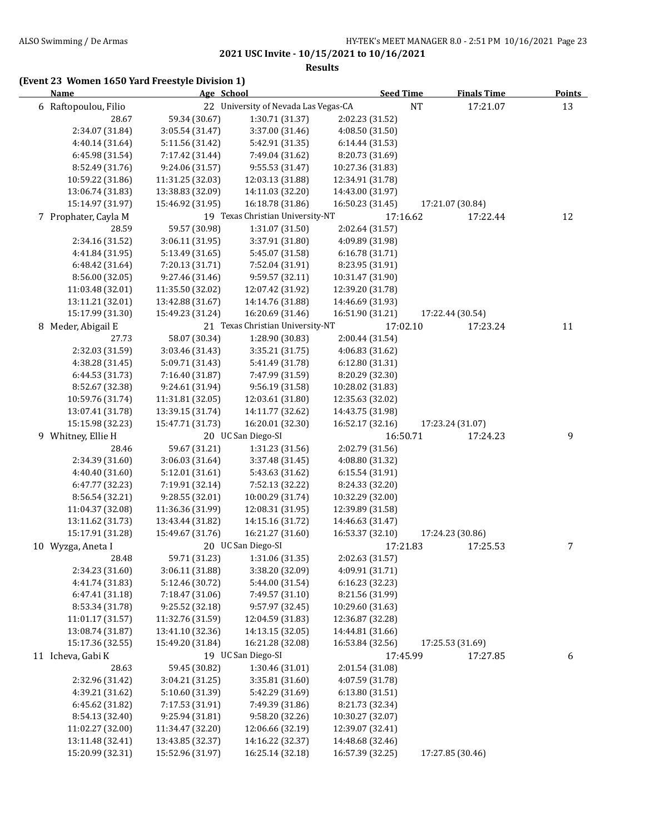### **Results**

### **(Event 23 Women 1650 Yard Freestyle Division 1)**

| <b>Name</b>                          | Age School                           |                                      | <b>Seed Time</b>                     | <b>Finals Time</b>    | <b>Points</b> |
|--------------------------------------|--------------------------------------|--------------------------------------|--------------------------------------|-----------------------|---------------|
| 6 Raftopoulou, Filio                 |                                      | 22 University of Nevada Las Vegas-CA |                                      | 17:21.07<br><b>NT</b> | 13            |
| 28.67                                | 59.34 (30.67)                        | 1:30.71 (31.37)                      | 2:02.23 (31.52)                      |                       |               |
| 2:34.07 (31.84)                      | 3:05.54 (31.47)                      | 3:37.00 (31.46)                      | 4:08.50 (31.50)                      |                       |               |
| 4:40.14 (31.64)                      | 5:11.56 (31.42)                      | 5:42.91 (31.35)                      | 6:14.44 (31.53)                      |                       |               |
| 6:45.98 (31.54)                      | 7:17.42 (31.44)                      | 7:49.04 (31.62)                      | 8:20.73 (31.69)                      |                       |               |
| 8:52.49 (31.76)                      | 9:24.06 (31.57)                      | 9:55.53 (31.47)                      | 10:27.36 (31.83)                     |                       |               |
| 10:59.22 (31.86)                     | 11:31.25 (32.03)                     | 12:03.13 (31.88)                     | 12:34.91 (31.78)                     |                       |               |
| 13:06.74 (31.83)                     | 13:38.83 (32.09)                     | 14:11.03 (32.20)                     | 14:43.00 (31.97)                     |                       |               |
| 15:14.97 (31.97)                     | 15:46.92 (31.95)                     | 16:18.78 (31.86)                     | 16:50.23 (31.45)                     | 17:21.07 (30.84)      |               |
| 7 Prophater, Cayla M                 |                                      | 19 Texas Christian University-NT     | 17:16.62                             | 17:22.44              | 12            |
| 28.59                                | 59.57 (30.98)                        | 1:31.07 (31.50)                      | 2:02.64 (31.57)                      |                       |               |
| 2:34.16 (31.52)                      | 3:06.11 (31.95)                      | 3:37.91 (31.80)                      | 4:09.89 (31.98)                      |                       |               |
| 4:41.84 (31.95)                      | 5:13.49 (31.65)                      | 5:45.07 (31.58)                      | 6:16.78 (31.71)                      |                       |               |
| 6:48.42 (31.64)                      | 7:20.13 (31.71)                      | 7:52.04 (31.91)                      | 8:23.95 (31.91)                      |                       |               |
| 8:56.00 (32.05)                      | 9:27.46 (31.46)                      | 9:59.57 (32.11)                      | 10:31.47 (31.90)                     |                       |               |
| 11:03.48 (32.01)                     | 11:35.50 (32.02)                     | 12:07.42 (31.92)                     | 12:39.20 (31.78)                     |                       |               |
| 13:11.21 (32.01)                     | 13:42.88 (31.67)                     | 14:14.76 (31.88)                     | 14:46.69 (31.93)                     |                       |               |
| 15:17.99 (31.30)                     | 15:49.23 (31.24)                     | 16:20.69 (31.46)                     | 16:51.90 (31.21)                     | 17:22.44 (30.54)      |               |
| 8 Meder, Abigail E                   |                                      | 21 Texas Christian University-NT     | 17:02.10                             | 17:23.24              | 11            |
| 27.73                                | 58.07 (30.34)                        | 1:28.90 (30.83)                      | 2:00.44 (31.54)                      |                       |               |
| 2:32.03 (31.59)                      | 3:03.46 (31.43)                      | 3:35.21 (31.75)                      | 4:06.83 (31.62)                      |                       |               |
| 4:38.28 (31.45)                      | 5:09.71 (31.43)                      | 5:41.49 (31.78)                      | 6:12.80 (31.31)                      |                       |               |
| 6:44.53 (31.73)                      | 7:16.40 (31.87)                      | 7:47.99 (31.59)                      | 8:20.29 (32.30)                      |                       |               |
| 8:52.67 (32.38)                      | 9:24.61 (31.94)                      | 9:56.19 (31.58)                      | 10:28.02 (31.83)                     |                       |               |
| 10:59.76 (31.74)                     | 11:31.81 (32.05)                     | 12:03.61 (31.80)                     | 12:35.63 (32.02)                     |                       |               |
| 13:07.41 (31.78)                     | 13:39.15 (31.74)                     | 14:11.77 (32.62)                     | 14:43.75 (31.98)                     |                       |               |
| 15:15.98 (32.23)                     | 15:47.71 (31.73)                     | 16:20.01 (32.30)                     | 16:52.17 (32.16)                     | 17:23.24 (31.07)      |               |
| 9 Whitney, Ellie H                   |                                      | 20 UC San Diego-SI                   | 16:50.71                             | 17:24.23              | 9             |
| 28.46                                | 59.67 (31.21)                        | 1:31.23 (31.56)                      | 2:02.79 (31.56)                      |                       |               |
| 2:34.39 (31.60)                      | 3:06.03 (31.64)                      | 3:37.48 (31.45)                      | 4:08.80 (31.32)                      |                       |               |
| 4:40.40 (31.60)                      | 5:12.01 (31.61)                      | 5:43.63 (31.62)                      | 6:15.54 (31.91)                      |                       |               |
| 6:47.77 (32.23)                      | 7:19.91 (32.14)                      | 7:52.13 (32.22)                      | 8:24.33 (32.20)                      |                       |               |
| 8:56.54 (32.21)                      | 9:28.55 (32.01)                      | 10:00.29 (31.74)<br>12:08.31 (31.95) | 10:32.29 (32.00)                     |                       |               |
| 11:04.37 (32.08)<br>13:11.62 (31.73) | 11:36.36 (31.99)<br>13:43.44 (31.82) | 14:15.16 (31.72)                     | 12:39.89 (31.58)<br>14:46.63 (31.47) |                       |               |
| 15:17.91 (31.28)                     | 15:49.67 (31.76)                     | 16:21.27 (31.60)                     | 16:53.37 (32.10)                     | 17:24.23 (30.86)      |               |
| 10 Wyzga, Aneta I                    |                                      | 20 UC San Diego-SI                   | 17:21.83                             | 17:25.53              | 7             |
| 28.48                                | 59.71 (31.23)                        | 1:31.06 (31.35)                      | 2:02.63 (31.57)                      |                       |               |
| 2:34.23 (31.60)                      | 3:06.11 (31.88)                      | 3:38.20 (32.09)                      | 4:09.91 (31.71)                      |                       |               |
| 4:41.74 (31.83)                      | 5:12.46 (30.72)                      | 5:44.00 (31.54)                      | 6:16.23 (32.23)                      |                       |               |
| 6:47.41 (31.18)                      | 7:18.47 (31.06)                      | 7:49.57 (31.10)                      | 8:21.56 (31.99)                      |                       |               |
| 8:53.34 (31.78)                      | 9:25.52 (32.18)                      | 9:57.97 (32.45)                      | 10:29.60 (31.63)                     |                       |               |
| 11:01.17 (31.57)                     | 11:32.76 (31.59)                     | 12:04.59 (31.83)                     | 12:36.87 (32.28)                     |                       |               |
| 13:08.74 (31.87)                     | 13:41.10 (32.36)                     | 14:13.15 (32.05)                     | 14:44.81 (31.66)                     |                       |               |
| 15:17.36 (32.55)                     | 15:49.20 (31.84)                     | 16:21.28 (32.08)                     | 16:53.84 (32.56)                     | 17:25.53 (31.69)      |               |
| 11 Icheva, Gabi K                    |                                      | 19 UC San Diego-SI                   | 17:45.99                             | 17:27.85              | 6             |
| 28.63                                | 59.45 (30.82)                        | 1:30.46 (31.01)                      | 2:01.54 (31.08)                      |                       |               |
| 2:32.96 (31.42)                      | 3:04.21 (31.25)                      | 3:35.81 (31.60)                      | 4:07.59 (31.78)                      |                       |               |
| 4:39.21 (31.62)                      | 5:10.60 (31.39)                      | 5:42.29 (31.69)                      | 6:13.80 (31.51)                      |                       |               |
| 6:45.62 (31.82)                      | 7:17.53 (31.91)                      | 7:49.39 (31.86)                      | 8:21.73 (32.34)                      |                       |               |
| 8:54.13 (32.40)                      | 9:25.94 (31.81)                      | 9:58.20 (32.26)                      | 10:30.27 (32.07)                     |                       |               |
| 11:02.27 (32.00)                     | 11:34.47 (32.20)                     | 12:06.66 (32.19)                     | 12:39.07 (32.41)                     |                       |               |
| 13:11.48 (32.41)                     | 13:43.85 (32.37)                     | 14:16.22 (32.37)                     | 14:48.68 (32.46)                     |                       |               |
| 15:20.99 (32.31)                     | 15:52.96 (31.97)                     | 16:25.14 (32.18)                     | 16:57.39 (32.25)                     | 17:27.85 (30.46)      |               |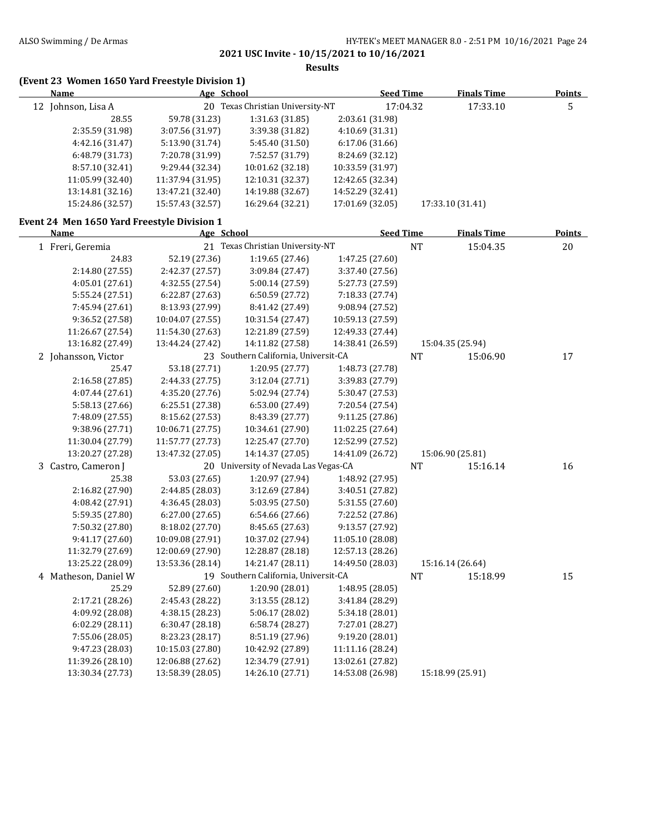**Results**

| (Event 23 Women 1650 Yard Freestyle Division 1) |  |  |  |  |  |
|-------------------------------------------------|--|--|--|--|--|
|-------------------------------------------------|--|--|--|--|--|

| <b>Name</b>                                        | Age School       |                                      | <b>Seed Time</b> |           | <b>Finals Time</b> | <b>Points</b> |
|----------------------------------------------------|------------------|--------------------------------------|------------------|-----------|--------------------|---------------|
| 12 Johnson, Lisa A                                 |                  | 20 Texas Christian University-NT     |                  | 17:04.32  | 17:33.10           | 5             |
| 28.55                                              | 59.78 (31.23)    | 1:31.63 (31.85)                      | 2:03.61 (31.98)  |           |                    |               |
| 2:35.59 (31.98)                                    | 3:07.56 (31.97)  | 3:39.38 (31.82)                      | 4:10.69 (31.31)  |           |                    |               |
| 4:42.16 (31.47)                                    | 5:13.90 (31.74)  | 5:45.40 (31.50)                      | 6:17.06 (31.66)  |           |                    |               |
| 6:48.79 (31.73)                                    | 7:20.78 (31.99)  | 7:52.57 (31.79)                      | 8:24.69 (32.12)  |           |                    |               |
| 8:57.10 (32.41)                                    | 9:29.44 (32.34)  | 10:01.62 (32.18)                     | 10:33.59 (31.97) |           |                    |               |
| 11:05.99 (32.40)                                   | 11:37.94 (31.95) | 12:10.31 (32.37)                     | 12:42.65 (32.34) |           |                    |               |
| 13:14.81 (32.16)                                   | 13:47.21 (32.40) | 14:19.88 (32.67)                     | 14:52.29 (32.41) |           |                    |               |
| 15:24.86 (32.57)                                   | 15:57.43 (32.57) | 16:29.64 (32.21)                     | 17:01.69 (32.05) |           | 17:33.10 (31.41)   |               |
| <b>Event 24 Men 1650 Yard Freestyle Division 1</b> |                  |                                      |                  |           |                    |               |
| Name                                               | Age School       |                                      | <b>Seed Time</b> |           | <b>Finals Time</b> | Points        |
| 1 Freri, Geremia                                   |                  | 21 Texas Christian University-NT     |                  | <b>NT</b> | 15:04.35           | 20            |
| 24.83                                              | 52.19 (27.36)    | 1:19.65 (27.46)                      | 1:47.25 (27.60)  |           |                    |               |
| 2:14.80 (27.55)                                    | 2:42.37 (27.57)  | 3:09.84 (27.47)                      | 3:37.40 (27.56)  |           |                    |               |
| 4:05.01 (27.61)                                    | 4:32.55 (27.54)  | 5:00.14 (27.59)                      | 5:27.73 (27.59)  |           |                    |               |
| 5:55.24 (27.51)                                    | 6:22.87 (27.63)  | 6:50.59 (27.72)                      | 7:18.33 (27.74)  |           |                    |               |
| 7:45.94 (27.61)                                    | 8:13.93 (27.99)  | 8:41.42 (27.49)                      | 9:08.94 (27.52)  |           |                    |               |
| 9:36.52 (27.58)                                    | 10:04.07 (27.55) | 10:31.54 (27.47)                     | 10:59.13 (27.59) |           |                    |               |
| 11:26.67 (27.54)                                   | 11:54.30 (27.63) | 12:21.89 (27.59)                     | 12:49.33 (27.44) |           |                    |               |
| 13:16.82 (27.49)                                   | 13:44.24 (27.42) | 14:11.82 (27.58)                     | 14:38.41 (26.59) |           | 15:04.35 (25.94)   |               |
| 2 Johansson, Victor                                |                  | 23 Southern California, Universit-CA |                  | NT        | 15:06.90           | 17            |
| 25.47                                              | 53.18 (27.71)    | 1:20.95 (27.77)                      | 1:48.73 (27.78)  |           |                    |               |
| 2:16.58 (27.85)                                    | 2:44.33 (27.75)  | 3:12.04 (27.71)                      | 3:39.83 (27.79)  |           |                    |               |
| 4:07.44 (27.61)                                    | 4:35.20 (27.76)  | 5:02.94 (27.74)                      | 5:30.47 (27.53)  |           |                    |               |
| 5:58.13 (27.66)                                    | 6:25.51 (27.38)  | 6:53.00 (27.49)                      | 7:20.54 (27.54)  |           |                    |               |
| 7:48.09 (27.55)                                    | 8:15.62 (27.53)  | 8:43.39 (27.77)                      | 9:11.25 (27.86)  |           |                    |               |
| 9:38.96 (27.71)                                    | 10:06.71 (27.75) | 10:34.61 (27.90)                     | 11:02.25 (27.64) |           |                    |               |
| 11:30.04 (27.79)                                   | 11:57.77 (27.73) | 12:25.47 (27.70)                     | 12:52.99 (27.52) |           |                    |               |
| 13:20.27 (27.28)                                   | 13:47.32 (27.05) | 14:14.37 (27.05)                     | 14:41.09 (26.72) |           | 15:06.90 (25.81)   |               |
| 3 Castro, Cameron J                                |                  | 20 University of Nevada Las Vegas-CA |                  | NT        | 15:16.14           | 16            |
| 25.38                                              | 53.03 (27.65)    | 1:20.97 (27.94)                      | 1:48.92 (27.95)  |           |                    |               |
| 2:16.82 (27.90)                                    | 2:44.85 (28.03)  | 3:12.69 (27.84)                      | 3:40.51 (27.82)  |           |                    |               |
| 4:08.42 (27.91)                                    | 4:36.45 (28.03)  | 5:03.95 (27.50)                      | 5:31.55 (27.60)  |           |                    |               |
| 5:59.35 (27.80)                                    | 6:27.00(27.65)   | 6:54.66 (27.66)                      | 7:22.52 (27.86)  |           |                    |               |
| 7:50.32 (27.80)                                    | 8:18.02 (27.70)  | 8:45.65 (27.63)                      | 9:13.57 (27.92)  |           |                    |               |
| 9:41.17 (27.60)                                    | 10:09.08 (27.91) | 10:37.02 (27.94)                     | 11:05.10 (28.08) |           |                    |               |
| 11:32.79 (27.69)                                   | 12:00.69 (27.90) | 12:28.87 (28.18)                     | 12:57.13 (28.26) |           |                    |               |
| 13:25.22 (28.09)                                   | 13:53.36 (28.14) | 14:21.47 (28.11)                     | 14:49.50 (28.03) |           | 15:16.14 (26.64)   |               |
| 4 Matheson, Daniel W                               |                  | 19 Southern California, Universit-CA |                  | NT        | 15:18.99           | 15            |
| 25.29                                              | 52.89 (27.60)    | 1:20.90 (28.01)                      | 1:48.95 (28.05)  |           |                    |               |
| 2:17.21 (28.26)                                    | 2:45.43 (28.22)  | 3:13.55(28.12)                       | 3:41.84 (28.29)  |           |                    |               |
| 4:09.92 (28.08)                                    | 4:38.15 (28.23)  | 5:06.17 (28.02)                      | 5:34.18 (28.01)  |           |                    |               |
| 6:02.29 (28.11)                                    | 6:30.47 (28.18)  | 6:58.74 (28.27)                      | 7:27.01 (28.27)  |           |                    |               |
| 7:55.06 (28.05)                                    | 8:23.23 (28.17)  | 8:51.19 (27.96)                      | 9:19.20 (28.01)  |           |                    |               |
| 9:47.23 (28.03)                                    | 10:15.03 (27.80) | 10:42.92 (27.89)                     | 11:11.16 (28.24) |           |                    |               |
| 11:39.26 (28.10)                                   | 12:06.88 (27.62) | 12:34.79 (27.91)                     | 13:02.61 (27.82) |           |                    |               |
| 13:30.34 (27.73)                                   | 13:58.39 (28.05) | 14:26.10 (27.71)                     | 14:53.08 (26.98) |           | 15:18.99 (25.91)   |               |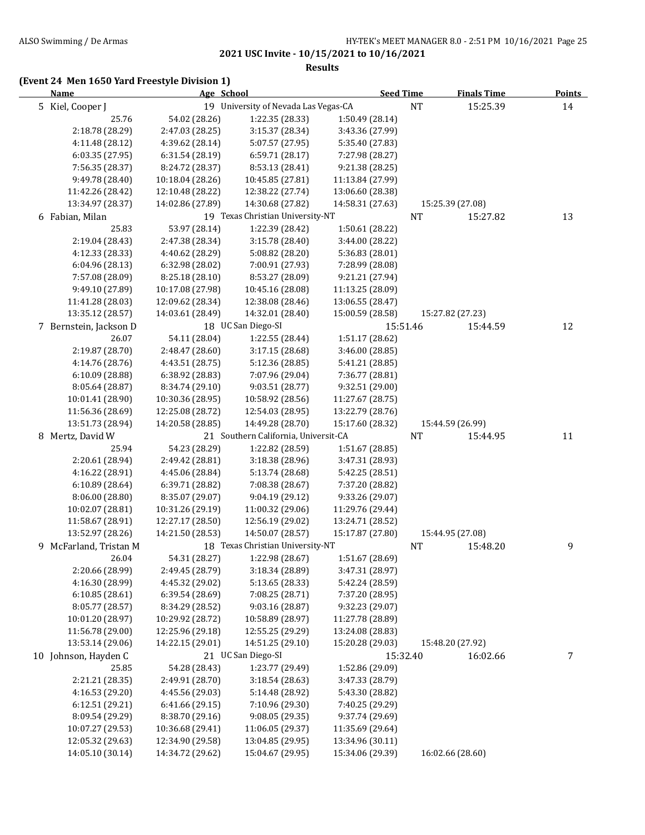**Results**

### **(Event 24 Men 1650 Yard Freestyle Division 1)**

| <b>Name</b>                         | Age School                         |                                      | <b>Seed Time</b>                    |           | <b>Finals Time</b> | <b>Points</b> |
|-------------------------------------|------------------------------------|--------------------------------------|-------------------------------------|-----------|--------------------|---------------|
| 5 Kiel, Cooper J                    |                                    | 19 University of Nevada Las Vegas-CA |                                     | <b>NT</b> | 15:25.39           | 14            |
| 25.76                               | 54.02 (28.26)                      | 1:22.35 (28.33)                      | 1:50.49 (28.14)                     |           |                    |               |
| 2:18.78 (28.29)                     | 2:47.03 (28.25)                    | 3:15.37 (28.34)                      | 3:43.36 (27.99)                     |           |                    |               |
| 4:11.48 (28.12)                     | 4:39.62 (28.14)                    | 5:07.57 (27.95)                      | 5:35.40 (27.83)                     |           |                    |               |
| 6:03.35(27.95)                      | 6:31.54(28.19)                     | 6:59.71 (28.17)                      | 7:27.98 (28.27)                     |           |                    |               |
| 7:56.35 (28.37)                     | 8:24.72 (28.37)                    | 8:53.13 (28.41)                      | 9:21.38 (28.25)                     |           |                    |               |
| 9:49.78 (28.40)                     | 10:18.04 (28.26)                   | 10:45.85 (27.81)                     | 11:13.84 (27.99)                    |           |                    |               |
| 11:42.26 (28.42)                    | 12:10.48 (28.22)                   | 12:38.22 (27.74)                     | 13:06.60 (28.38)                    |           |                    |               |
| 13:34.97 (28.37)                    | 14:02.86 (27.89)                   | 14:30.68 (27.82)                     | 14:58.31 (27.63)                    |           | 15:25.39 (27.08)   |               |
| 6 Fabian, Milan                     |                                    | 19 Texas Christian University-NT     |                                     | <b>NT</b> | 15:27.82           | 13            |
| 25.83                               | 53.97 (28.14)                      | 1:22.39 (28.42)                      | 1:50.61 (28.22)                     |           |                    |               |
| 2:19.04 (28.43)                     | 2:47.38 (28.34)                    | 3:15.78 (28.40)                      | 3:44.00 (28.22)                     |           |                    |               |
| 4:12.33 (28.33)                     | 4:40.62 (28.29)                    | 5:08.82 (28.20)                      | 5:36.83 (28.01)                     |           |                    |               |
| 6:04.96 (28.13)                     | 6:32.98 (28.02)                    | 7:00.91 (27.93)                      | 7:28.99 (28.08)                     |           |                    |               |
| 7:57.08 (28.09)                     | 8:25.18 (28.10)                    | 8:53.27 (28.09)                      | 9:21.21 (27.94)                     |           |                    |               |
| 9:49.10 (27.89)                     | 10:17.08 (27.98)                   | 10:45.16 (28.08)                     | 11:13.25 (28.09)                    |           |                    |               |
| 11:41.28 (28.03)                    | 12:09.62 (28.34)                   | 12:38.08 (28.46)                     | 13:06.55 (28.47)                    |           |                    |               |
| 13:35.12 (28.57)                    | 14:03.61 (28.49)                   | 14:32.01 (28.40)                     | 15:00.59 (28.58)                    |           | 15:27.82 (27.23)   |               |
| 7 Bernstein, Jackson D              |                                    | 18 UC San Diego-SI                   |                                     | 15:51.46  | 15:44.59           | 12            |
| 26.07                               | 54.11 (28.04)                      | 1:22.55 (28.44)                      | 1:51.17 (28.62)                     |           |                    |               |
| 2:19.87 (28.70)                     | 2:48.47 (28.60)                    | 3:17.15 (28.68)                      | 3:46.00 (28.85)                     |           |                    |               |
| 4:14.76 (28.76)                     | 4:43.51 (28.75)                    | 5:12.36 (28.85)                      | 5:41.21 (28.85)                     |           |                    |               |
| 6:10.09 (28.88)                     | 6:38.92 (28.83)<br>8:34.74 (29.10) | 7:07.96 (29.04)                      | 7:36.77 (28.81)                     |           |                    |               |
| 8:05.64 (28.87)<br>10:01.41 (28.90) | 10:30.36 (28.95)                   | 9:03.51 (28.77)<br>10:58.92 (28.56)  | 9:32.51 (29.00)<br>11:27.67 (28.75) |           |                    |               |
| 11:56.36 (28.69)                    | 12:25.08 (28.72)                   | 12:54.03 (28.95)                     | 13:22.79 (28.76)                    |           |                    |               |
| 13:51.73 (28.94)                    | 14:20.58 (28.85)                   | 14:49.28 (28.70)                     | 15:17.60 (28.32)                    |           | 15:44.59 (26.99)   |               |
| 8 Mertz, David W                    |                                    | 21 Southern California, Universit-CA |                                     | NT        | 15:44.95           | 11            |
| 25.94                               | 54.23 (28.29)                      | 1:22.82 (28.59)                      | 1:51.67 (28.85)                     |           |                    |               |
| 2:20.61 (28.94)                     | 2:49.42 (28.81)                    | 3:18.38 (28.96)                      | 3:47.31 (28.93)                     |           |                    |               |
| 4:16.22 (28.91)                     | 4:45.06 (28.84)                    | 5:13.74 (28.68)                      | 5:42.25 (28.51)                     |           |                    |               |
| 6:10.89 (28.64)                     | 6:39.71 (28.82)                    | 7:08.38 (28.67)                      | 7:37.20 (28.82)                     |           |                    |               |
| 8:06.00 (28.80)                     | 8:35.07 (29.07)                    | 9:04.19 (29.12)                      | 9:33.26 (29.07)                     |           |                    |               |
| 10:02.07 (28.81)                    | 10:31.26 (29.19)                   | 11:00.32 (29.06)                     | 11:29.76 (29.44)                    |           |                    |               |
| 11:58.67 (28.91)                    | 12:27.17 (28.50)                   | 12:56.19 (29.02)                     | 13:24.71 (28.52)                    |           |                    |               |
| 13:52.97 (28.26)                    | 14:21.50 (28.53)                   | 14:50.07 (28.57)                     | 15:17.87 (27.80)                    |           | 15:44.95 (27.08)   |               |
| 9 McFarland, Tristan M              |                                    | 18 Texas Christian University-NT     |                                     | <b>NT</b> | 15:48.20           | 9             |
| 26.04                               | 54.31 (28.27)                      | 1:22.98 (28.67)                      | 1:51.67 (28.69)                     |           |                    |               |
| 2:20.66 (28.99)                     | 2:49.45 (28.79)                    | 3:18.34 (28.89)                      | 3:47.31 (28.97)                     |           |                    |               |
| 4:16.30 (28.99)                     | 4:45.32 (29.02)                    | 5:13.65 (28.33)                      | 5:42.24 (28.59)                     |           |                    |               |
| 6:10.85(28.61)                      | 6:39.54(28.69)                     | 7:08.25 (28.71)                      | 7:37.20 (28.95)                     |           |                    |               |
| 8:05.77 (28.57)                     | 8:34.29 (28.52)                    | 9:03.16 (28.87)                      | 9:32.23 (29.07)                     |           |                    |               |
| 10:01.20 (28.97)                    | 10:29.92 (28.72)                   | 10:58.89 (28.97)                     | 11:27.78 (28.89)                    |           |                    |               |
| 11:56.78 (29.00)                    | 12:25.96 (29.18)                   | 12:55.25 (29.29)                     | 13:24.08 (28.83)                    |           |                    |               |
| 13:53.14 (29.06)                    | 14:22.15 (29.01)                   | 14:51.25 (29.10)                     | 15:20.28 (29.03)                    |           | 15:48.20 (27.92)   |               |
| 10 Johnson, Hayden C                |                                    | 21 UC San Diego-SI                   |                                     | 15:32.40  | 16:02.66           | 7             |
| 25.85                               | 54.28 (28.43)                      | 1:23.77 (29.49)                      | 1:52.86 (29.09)                     |           |                    |               |
| 2:21.21 (28.35)                     | 2:49.91 (28.70)                    | 3:18.54 (28.63)                      | 3:47.33 (28.79)                     |           |                    |               |
| 4:16.53 (29.20)                     | 4:45.56 (29.03)                    | 5:14.48 (28.92)                      | 5:43.30 (28.82)                     |           |                    |               |
| 6:12.51 (29.21)                     | 6:41.66 (29.15)                    | 7:10.96 (29.30)                      | 7:40.25 (29.29)                     |           |                    |               |
| 8:09.54 (29.29)                     | 8:38.70 (29.16)                    | 9:08.05 (29.35)                      | 9:37.74 (29.69)                     |           |                    |               |
| 10:07.27 (29.53)                    | 10:36.68 (29.41)                   | 11:06.05 (29.37)                     | 11:35.69 (29.64)                    |           |                    |               |
| 12:05.32 (29.63)                    | 12:34.90 (29.58)                   | 13:04.85 (29.95)                     | 13:34.96 (30.11)                    |           |                    |               |
| 14:05.10 (30.14)                    | 14:34.72 (29.62)                   | 15:04.67 (29.95)                     | 15:34.06 (29.39)                    |           | 16:02.66 (28.60)   |               |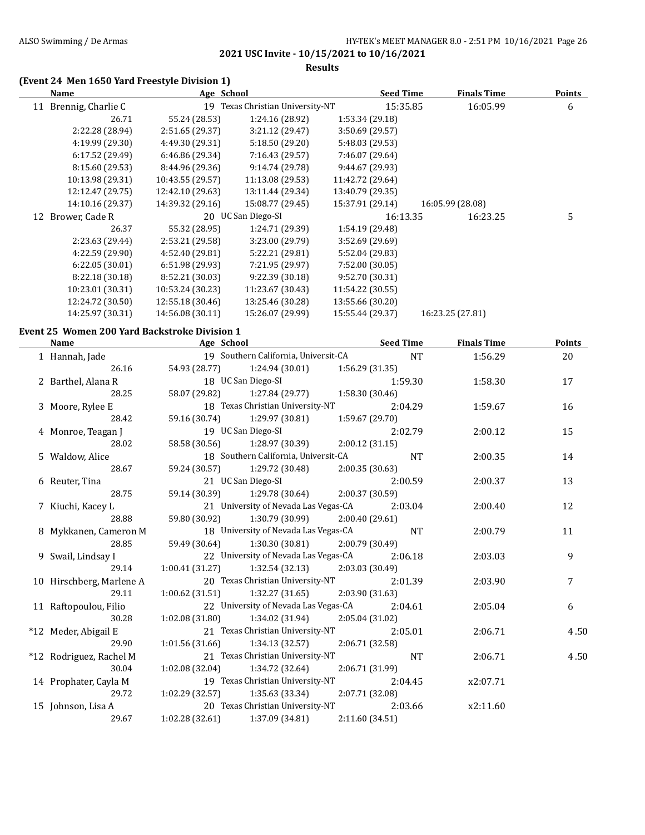**Results**

## **(Event 24 Men 1650 Yard Freestyle Division 1)**

| Name                     |                  | Age School                    | <b>Seed Time</b> | <b>Finals Time</b> | Points |
|--------------------------|------------------|-------------------------------|------------------|--------------------|--------|
| Brennig, Charlie C<br>11 | 19               | Texas Christian University-NT | 15:35.85         | 16:05.99           | 6      |
| 26.71                    | 55.24 (28.53)    | 1:24.16 (28.92)               | 1:53.34 (29.18)  |                    |        |
| 2:22.28 (28.94)          | 2:51.65 (29.37)  | 3:21.12 (29.47)               | 3:50.69 (29.57)  |                    |        |
| 4:19.99 (29.30)          | 4:49.30 (29.31)  | 5:18.50 (29.20)               | 5:48.03 (29.53)  |                    |        |
| 6:17.52(29.49)           | 6:46.86 (29.34)  | 7:16.43 (29.57)               | 7:46.07 (29.64)  |                    |        |
| 8:15.60 (29.53)          | 8:44.96 (29.36)  | 9:14.74 (29.78)               | 9:44.67 (29.93)  |                    |        |
| 10:13.98 (29.31)         | 10:43.55 (29.57) | 11:13.08 (29.53)              | 11:42.72 (29.64) |                    |        |
| 12:12.47 (29.75)         | 12:42.10 (29.63) | 13:11.44 (29.34)              | 13:40.79 (29.35) |                    |        |
| 14:10.16 (29.37)         | 14:39.32 (29.16) | 15:08.77 (29.45)              | 15:37.91 (29.14) | 16:05.99 (28.08)   |        |
| Brower, Cade R<br>12     |                  | 20 UC San Diego-SI            | 16:13.35         | 16:23.25           | 5      |
| 26.37                    | 55.32 (28.95)    | 1:24.71 (29.39)               | 1:54.19 (29.48)  |                    |        |
| 2:23.63 (29.44)          | 2:53.21 (29.58)  | 3:23.00 (29.79)               | 3:52.69 (29.69)  |                    |        |
| 4:22.59 (29.90)          | 4:52.40 (29.81)  | 5:22.21 (29.81)               | 5:52.04 (29.83)  |                    |        |
| 6:22.05(30.01)           | 6:51.98(29.93)   | 7:21.95 (29.97)               | 7:52.00 (30.05)  |                    |        |
| 8:22.18 (30.18)          | 8:52.21 (30.03)  | 9:22.39 (30.18)               | 9:52.70 (30.31)  |                    |        |
| 10:23.01 (30.31)         | 10:53.24 (30.23) | 11:23.67 (30.43)              | 11:54.22 (30.55) |                    |        |
| 12:24.72 (30.50)         | 12:55.18 (30.46) | 13:25.46 (30.28)              | 13:55.66 (30.20) |                    |        |
| 14:25.97 (30.31)         | 14:56.08 (30.11) | 15:26.07 (29.99)              | 15:55.44 (29.37) | 16:23.25 (27.81)   |        |

### **Event 25 Women 200 Yard Backstroke Division 1**

| Name                                                            | Age School Seed Time                                  |                 |                 | <b>Finals Time</b> | <b>Points</b> |
|-----------------------------------------------------------------|-------------------------------------------------------|-----------------|-----------------|--------------------|---------------|
| 1 Hannah, Jade                                                  | 19 Southern California, Universit-CA NT               |                 |                 | 1:56.29            | 20            |
| 26.16                                                           | 54.93 (28.77) 1:24.94 (30.01) 1:56.29 (31.35)         |                 |                 |                    |               |
| 2 Barthel, Alana R                                              | 18 UC San Diego-SI 1:59.30                            |                 |                 | 1:58.30            | 17            |
| 28.25                                                           | 58.07 (29.82) 1:27.84 (29.77) 1:58.30 (30.46)         |                 |                 |                    |               |
| 3 Moore, Rylee E                                                | 18 Texas Christian University-NT 2:04.29              |                 |                 | 1:59.67            | 16            |
| 28.42                                                           | 59.16 (30.74) 1:29.97 (30.81) 1:59.67 (29.70)         |                 |                 |                    |               |
| 4 Monroe, Teagan J                                              | 19 UC San Diego-SI 2:02.79                            |                 |                 | 2:00.12            | 15            |
| 28.02                                                           | 58.58 (30.56) 1:28.97 (30.39)                         | 2:00.12(31.15)  |                 |                    |               |
| 5 Waldow, Alice                                                 | 18 Southern California, Universit-CA NT               |                 |                 | 2:00.35            | 14            |
| 28.67                                                           | 59.24 (30.57) 1:29.72 (30.48) 2:00.35 (30.63)         |                 |                 |                    |               |
| 6 Reuter, Tina                                                  | 21 UC San Diego-SI                                    |                 | 2:00.59         | 2:00.37            | 13            |
| 28.75                                                           | 59.14 (30.39) 1:29.78 (30.64) 2:00.37 (30.59)         |                 |                 |                    |               |
| 7 Kiuchi, Kacey L 21 University of Nevada Las Vegas-CA 2:03.04  |                                                       |                 |                 | 2:00.40            | 12            |
| 28.88                                                           | 59.80 (30.92) 1:30.79 (30.99) 2:00.40 (29.61)         |                 |                 |                    |               |
| 8 Mykkanen, Cameron M 18 University of Nevada Las Vegas-CA NT   |                                                       |                 |                 | 2:00.79            | 11            |
| 28.85                                                           | 59.49 (30.64) 1:30.30 (30.81) 2:00.79 (30.49)         |                 |                 |                    |               |
| 9 Swail, Lindsay I 22 University of Nevada Las Vegas-CA 2:06.18 |                                                       |                 |                 | 2:03.03            | 9             |
| 29.14                                                           | $1:00.41(31.27)$ $1:32.54(32.13)$ $2:03.03(30.49)$    |                 |                 |                    |               |
| 10 Hirschberg, Marlene A                                        | 20 Texas Christian University-NT                      |                 | 2:01.39         | 2:03.90            | 7             |
| 29.11                                                           | $1:00.62$ (31.51) $1:32.27$ (31.65) $2:03.90$ (31.63) |                 |                 |                    |               |
| 11 Raftopoulou, Filio                                           | 22 University of Nevada Las Vegas-CA 2:04.61          |                 |                 | 2:05.04            | 6             |
| 30.28                                                           | $1:02.08(31.80)$ $1:34.02(31.94)$ $2:05.04(31.02)$    |                 |                 |                    |               |
| *12 Meder, Abigail E                                            | 21 Texas Christian University-NT 2:05.01              |                 |                 | 2:06.71            | 4.50          |
| 29.90                                                           | $1:01.56(31.66)$ $1:34.13(32.57)$ $2:06.71(32.58)$    |                 |                 |                    |               |
| *12 Rodriguez, Rachel M                                         | 21 Texas Christian University-NT                      |                 | <b>NT</b>       | 2:06.71            | 4.50          |
| 30.04                                                           | $1:02.08(32.04)$ $1:34.72(32.64)$                     |                 | 2:06.71 (31.99) |                    |               |
| 14 Prophater, Cayla M                                           | 19 Texas Christian University-NT 2:04.45              |                 |                 | x2:07.71           |               |
| 29.72                                                           | $1:02.29$ (32.57) $1:35.63$ (33.34) $2:07.71$ (32.08) |                 |                 |                    |               |
| 15 Johnson, Lisa A                                              | 20 Texas Christian University-NT 2:03.66              |                 |                 | x2:11.60           |               |
| 29.67                                                           | $1:02.28(32.61)$ $1:37.09(34.81)$                     | 2:11.60 (34.51) |                 |                    |               |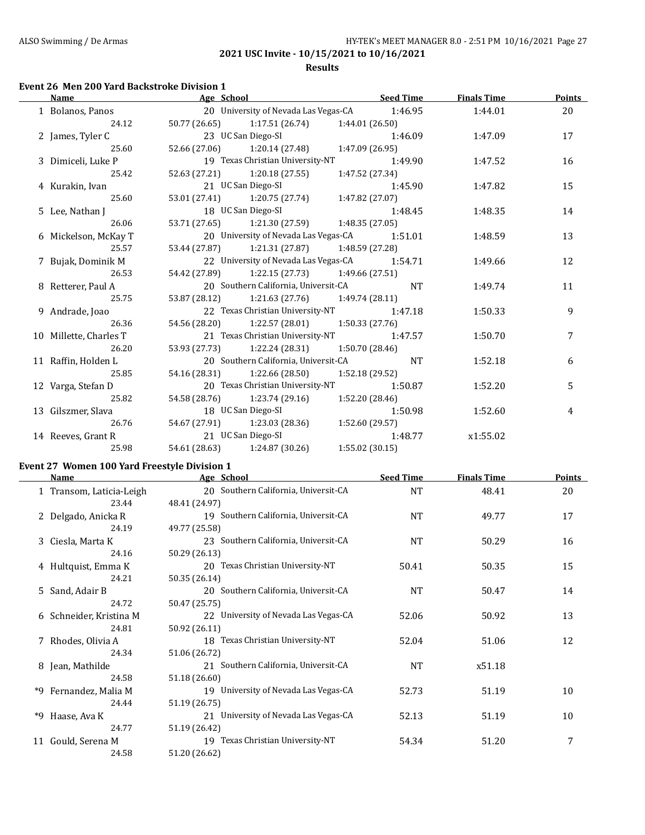### **Results**

# **Event 26 Men 200 Yard Backstroke Division 1**

| Name                   | Age School | <u>Seed Time</u>                                 |                 |         | <b>Finals Time</b> | Points |
|------------------------|------------|--------------------------------------------------|-----------------|---------|--------------------|--------|
| 1 Bolanos, Panos       |            | 20 University of Nevada Las Vegas-CA 1:46.95     |                 |         | 1:44.01            | 20     |
| 24.12                  |            | $50.77(26.65)$ $1:17.51(26.74)$ $1:44.01(26.50)$ |                 |         |                    |        |
| 2 James, Tyler C       |            | 23 UC San Diego-SI                               |                 | 1:46.09 | 1:47.09            | 17     |
| 25.60                  |            | 52.66 (27.06) 1:20.14 (27.48) 1:47.09 (26.95)    |                 |         |                    |        |
| 3 Dimiceli, Luke P     |            | 19 Texas Christian University-NT 1:49.90         |                 |         | 1:47.52            | 16     |
| 25.42                  |            | 52.63 (27.21) 1:20.18 (27.55)                    | 1:47.52 (27.34) |         |                    |        |
| 4 Kurakin, Ivan        |            | 21 UC San Diego-SI                               |                 | 1:45.90 | 1:47.82            | 15     |
| 25.60                  |            | 53.01 (27.41) 1:20.75 (27.74) 1:47.82 (27.07)    |                 |         |                    |        |
| 5 Lee, Nathan J        |            | 18 UC San Diego-SI 1:48.45                       |                 |         | 1:48.35            | 14     |
| 26.06                  |            | 53.71 (27.65) 1:21.30 (27.59) 1:48.35 (27.05)    |                 |         |                    |        |
| 6 Mickelson, McKay T   |            | 20 University of Nevada Las Vegas-CA 1:51.01     |                 |         | 1:48.59            | 13     |
| 25.57                  |            | 53.44 (27.87) 1:21.31 (27.87) 1:48.59 (27.28)    |                 |         |                    |        |
| 7 Bujak, Dominik M     |            | 22 University of Nevada Las Vegas-CA 1:54.71     |                 |         | 1:49.66            | 12     |
| 26.53                  |            | 54.42 (27.89) 1:22.15 (27.73) 1:49.66 (27.51)    |                 |         |                    |        |
| 8 Retterer, Paul A     |            | 20 Southern California, Universit-CA NT          |                 |         | 1:49.74            | 11     |
| 25.75                  |            | 53.87 (28.12) 1:21.63 (27.76) 1:49.74 (28.11)    |                 |         |                    |        |
| 9 Andrade, Joao        |            | 22 Texas Christian University-NT 1:47.18         |                 |         | 1:50.33            | 9      |
| 26.36                  |            | 54.56 (28.20) 1:22.57 (28.01) 1:50.33 (27.76)    |                 |         |                    |        |
| 10 Millette, Charles T |            | 21 Texas Christian University-NT 1:47.57         |                 |         | 1:50.70            | 7      |
| 26.20                  |            | 53.93 (27.73) 1:22.24 (28.31) 1:50.70 (28.46)    |                 |         |                    |        |
| 11 Raffin, Holden L    |            | 20 Southern California, Universit-CA NT          |                 |         | 1:52.18            | 6      |
| 25.85                  |            | 54.16 (28.31) 1:22.66 (28.50) 1:52.18 (29.52)    |                 |         |                    |        |
| 12 Varga, Stefan D     |            | 20 Texas Christian University-NT 1:50.87         |                 |         | 1:52.20            | 5      |
| 25.82                  |            | 54.58 (28.76) 1:23.74 (29.16) 1:52.20 (28.46)    |                 |         |                    |        |
| 13 Gilszmer, Slava     |            | 18 UC San Diego-SI 1:50.98                       |                 |         | 1:52.60            | 4      |
| 26.76                  |            | 54.67 (27.91) 1:23.03 (28.36) 1:52.60 (29.57)    |                 |         |                    |        |
| 14 Reeves, Grant R     |            | 21 UC San Diego-SI                               |                 | 1:48.77 | x1:55.02           |        |
| 25.98                  |            | 54.61 (28.63) 1:24.87 (30.26)                    | 1:55.02(30.15)  |         |                    |        |

### **Event 27 Women 100 Yard Freestyle Division 1**

|    | Name                     | Age School                           | <b>Seed Time</b> | <b>Finals Time</b> | Points |
|----|--------------------------|--------------------------------------|------------------|--------------------|--------|
|    | 1 Transom, Laticia-Leigh | 20 Southern California, Universit-CA | <b>NT</b>        | 48.41              | 20     |
|    | 23.44                    | 48.41 (24.97)                        |                  |                    |        |
|    | 2 Delgado, Anicka R      | 19 Southern California, Universit-CA | <b>NT</b>        | 49.77              | 17     |
|    | 24.19                    | 49.77 (25.58)                        |                  |                    |        |
|    | 3 Ciesla, Marta K        | 23 Southern California, Universit-CA | NT               | 50.29              | 16     |
|    | 24.16                    | 50.29 (26.13)                        |                  |                    |        |
|    | 4 Hultquist, Emma K      | 20 Texas Christian University-NT     | 50.41            | 50.35              | 15     |
|    | 24.21                    | 50.35 (26.14)                        |                  |                    |        |
|    | 5 Sand, Adair B          | 20 Southern California, Universit-CA | <b>NT</b>        | 50.47              | 14     |
|    | 24.72                    | 50.47 (25.75)                        |                  |                    |        |
|    | 6 Schneider, Kristina M  | 22 University of Nevada Las Vegas-CA | 52.06            | 50.92              | 13     |
|    | 24.81                    | 50.92 (26.11)                        |                  |                    |        |
|    | 7 Rhodes, Olivia A       | 18 Texas Christian University-NT     | 52.04            | 51.06              | 12     |
|    | 24.34                    | 51.06 (26.72)                        |                  |                    |        |
|    | 8 Jean, Mathilde         | 21 Southern California, Universit-CA | <b>NT</b>        | x51.18             |        |
|    | 24.58                    | 51.18 (26.60)                        |                  |                    |        |
|    | *9 Fernandez, Malia M    | 19 University of Nevada Las Vegas-CA | 52.73            | 51.19              | 10     |
|    | 24.44                    | 51.19 (26.75)                        |                  |                    |        |
| *9 | Haase, Ava K             | 21 University of Nevada Las Vegas-CA | 52.13            | 51.19              | 10     |
|    | 24.77                    | 51.19 (26.42)                        |                  |                    |        |
|    | 11 Gould, Serena M       | 19 Texas Christian University-NT     | 54.34            | 51.20              | 7      |
|    | 24.58                    | 51.20 (26.62)                        |                  |                    |        |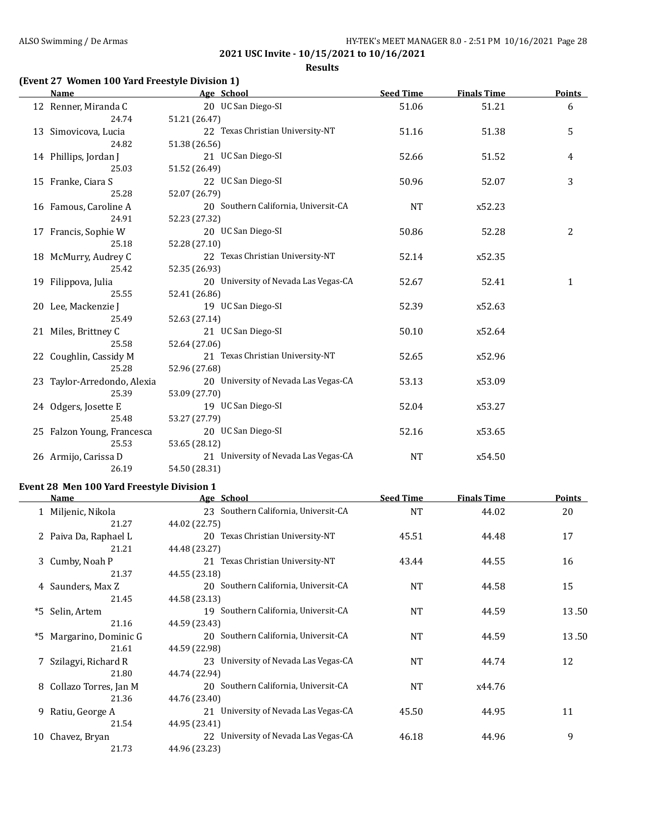**Results**

# **(Event 27 Women 100 Yard Freestyle Division 1)**

| <b>Name</b>                 | Age School                           | <b>Seed Time</b> | <b>Finals Time</b> | Points         |
|-----------------------------|--------------------------------------|------------------|--------------------|----------------|
| 12 Renner, Miranda C        | 20 UC San Diego-SI                   | 51.06            | 51.21              | 6              |
| 24.74                       | 51.21 (26.47)                        |                  |                    |                |
| 13 Simovicova, Lucia        | 22 Texas Christian University-NT     | 51.16            | 51.38              | 5              |
| 24.82                       | 51.38 (26.56)                        |                  |                    |                |
| 14 Phillips, Jordan J       | 21 UC San Diego-SI                   | 52.66            | 51.52              | $\overline{4}$ |
| 25.03                       | 51.52 (26.49)                        |                  |                    |                |
| 15 Franke, Ciara S          | 22 UC San Diego-SI                   | 50.96            | 52.07              | 3              |
| 25.28                       | 52.07 (26.79)                        |                  |                    |                |
| 16 Famous, Caroline A       | 20 Southern California, Universit-CA | <b>NT</b>        | x52.23             |                |
| 24.91                       | 52.23 (27.32)                        |                  |                    |                |
| 17 Francis, Sophie W        | 20 UC San Diego-SI                   | 50.86            | 52.28              | 2              |
| 25.18                       | 52.28 (27.10)                        |                  |                    |                |
| 18 McMurry, Audrey C        | 22 Texas Christian University-NT     | 52.14            | x52.35             |                |
| 25.42                       | 52.35 (26.93)                        |                  |                    |                |
| 19 Filippova, Julia         | 20 University of Nevada Las Vegas-CA | 52.67            | 52.41              | $\mathbf{1}$   |
| 25.55                       | 52.41 (26.86)                        |                  |                    |                |
| 20 Lee, Mackenzie J         | 19 UC San Diego-SI                   | 52.39            | x52.63             |                |
| 25.49                       | 52.63 (27.14)                        |                  |                    |                |
| 21 Miles, Brittney C        | 21 UC San Diego-SI                   | 50.10            | x52.64             |                |
| 25.58                       | 52.64 (27.06)                        |                  |                    |                |
| 22 Coughlin, Cassidy M      | 21 Texas Christian University-NT     | 52.65            | x52.96             |                |
| 25.28                       | 52.96 (27.68)                        |                  |                    |                |
| 23 Taylor-Arredondo, Alexia | 20 University of Nevada Las Vegas-CA | 53.13            | x53.09             |                |
| 25.39                       | 53.09 (27.70)                        |                  |                    |                |
| 24 Odgers, Josette E        | 19 UC San Diego-SI                   | 52.04            | x53.27             |                |
| 25.48                       | 53.27 (27.79)                        |                  |                    |                |
| 25 Falzon Young, Francesca  | 20 UC San Diego-SI                   | 52.16            | x53.65             |                |
| 25.53                       | 53.65 (28.12)                        |                  |                    |                |
| 26 Armijo, Carissa D        | 21 University of Nevada Las Vegas-CA | <b>NT</b>        | x54.50             |                |
| 26.19                       | 54.50 (28.31)                        |                  |                    |                |

### **Event 28 Men 100 Yard Freestyle Division 1**

|    | Name                    | Age School                           | <b>Seed Time</b> | <b>Finals Time</b> | <b>Points</b> |
|----|-------------------------|--------------------------------------|------------------|--------------------|---------------|
|    | 1 Miljenic, Nikola      | 23 Southern California, Universit-CA | <b>NT</b>        | 44.02              | 20            |
|    | 21.27                   | 44.02 (22.75)                        |                  |                    |               |
|    | 2 Paiva Da, Raphael L   | 20 Texas Christian University-NT     | 45.51            | 44.48              | 17            |
|    | 21.21                   | 44.48 (23.27)                        |                  |                    |               |
|    | 3 Cumby, Noah P         | 21 Texas Christian University-NT     | 43.44            | 44.55              | 16            |
|    | 21.37                   | 44.55 (23.18)                        |                  |                    |               |
|    | 4 Saunders, Max Z       | 20 Southern California, Universit-CA | <b>NT</b>        | 44.58              | 15            |
|    | 21.45                   | 44.58 (23.13)                        |                  |                    |               |
| *5 | Selin, Artem            | 19 Southern California, Universit-CA | <b>NT</b>        | 44.59              | 13.50         |
|    | 21.16                   | 44.59 (23.43)                        |                  |                    |               |
|    | *5 Margarino, Dominic G | 20 Southern California, Universit-CA | <b>NT</b>        | 44.59              | 13.50         |
|    | 21.61                   | 44.59 (22.98)                        |                  |                    |               |
|    | 7 Szilagyi, Richard R   | 23 University of Nevada Las Vegas-CA | <b>NT</b>        | 44.74              | 12            |
|    | 21.80                   | 44.74 (22.94)                        |                  |                    |               |
|    | 8 Collazo Torres, Jan M | 20 Southern California, Universit-CA | NT               | x44.76             |               |
|    | 21.36                   | 44.76 (23.40)                        |                  |                    |               |
|    | 9 Ratiu, George A       | 21 University of Nevada Las Vegas-CA | 45.50            | 44.95              | 11            |
|    | 21.54                   | 44.95 (23.41)                        |                  |                    |               |
| 10 | Chavez, Bryan           | 22 University of Nevada Las Vegas-CA | 46.18            | 44.96              | 9             |
|    | 21.73                   | 44.96 (23.23)                        |                  |                    |               |
|    |                         |                                      |                  |                    |               |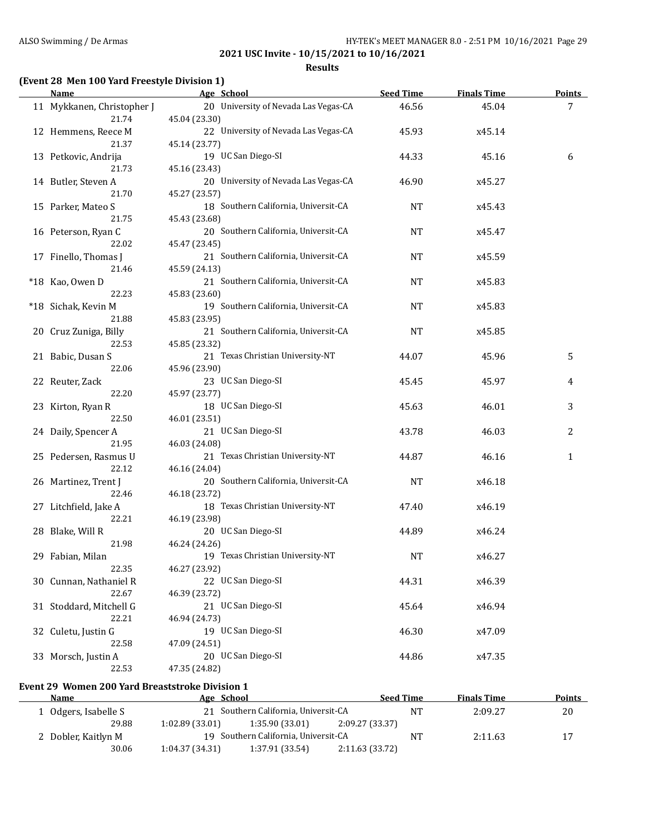**Results**

### **(Event 28 Men 100 Yard Freestyle Division 1)**

| Name                                            | Age School                                        | <b>Seed Time</b> | <b>Finals Time</b> | <b>Points</b> |
|-------------------------------------------------|---------------------------------------------------|------------------|--------------------|---------------|
| 11 Mykkanen, Christopher J                      | 20 University of Nevada Las Vegas-CA              | 46.56            | 45.04              | 7             |
| 21.74                                           | 45.04 (23.30)                                     |                  |                    |               |
| 12 Hemmens, Reece M                             | 22 University of Nevada Las Vegas-CA              | 45.93            | x45.14             |               |
| 21.37                                           | 45.14 (23.77)                                     |                  |                    |               |
| 13 Petkovic, Andrija                            | 19 UC San Diego-SI                                | 44.33            | 45.16              | 6             |
| 21.73                                           | 45.16 (23.43)                                     |                  |                    |               |
| 14 Butler, Steven A                             | 20 University of Nevada Las Vegas-CA              | 46.90            | x45.27             |               |
| 21.70                                           | 45.27 (23.57)                                     |                  |                    |               |
| 15 Parker, Mateo S                              | 18 Southern California, Universit-CA              | NT               | x45.43             |               |
| 21.75                                           | 45.43 (23.68)                                     |                  |                    |               |
| 16 Peterson, Ryan C                             | 20 Southern California, Universit-CA              | NT               | x45.47             |               |
| 22.02                                           | 45.47 (23.45)                                     |                  |                    |               |
| 17 Finello, Thomas J                            | 21 Southern California, Universit-CA              | <b>NT</b>        | x45.59             |               |
| 21.46                                           | 45.59 (24.13)                                     |                  |                    |               |
| *18 Kao, Owen D                                 | 21 Southern California, Universit-CA              | <b>NT</b>        | x45.83             |               |
| 22.23                                           | 45.83 (23.60)                                     |                  |                    |               |
| *18 Sichak, Kevin M                             | 19 Southern California, Universit-CA              | <b>NT</b>        | x45.83             |               |
| 21.88                                           | 45.83 (23.95)                                     |                  |                    |               |
| 20 Cruz Zuniga, Billy                           | 21 Southern California, Universit-CA              | <b>NT</b>        | x45.85             |               |
| 22.53                                           | 45.85 (23.32)                                     |                  |                    |               |
| 21 Babic, Dusan S                               | 21 Texas Christian University-NT                  | 44.07            | 45.96              | 5             |
| 22.06                                           | 45.96 (23.90)                                     |                  |                    |               |
| 22 Reuter, Zack                                 | 23 UC San Diego-SI                                | 45.45            | 45.97              | 4             |
| 22.20                                           | 45.97 (23.77)                                     |                  |                    |               |
| 23 Kirton, Ryan R                               | 18 UC San Diego-SI                                | 45.63            | 46.01              | 3             |
| 22.50                                           | 46.01 (23.51)                                     |                  |                    |               |
| 24 Daily, Spencer A                             | 21 UC San Diego-SI                                | 43.78            | 46.03              | 2             |
| 21.95                                           | 46.03 (24.08)                                     |                  |                    |               |
| 25 Pedersen, Rasmus U                           | 21 Texas Christian University-NT                  | 44.87            | 46.16              | $\mathbf{1}$  |
| 22.12                                           | 46.16 (24.04)                                     |                  |                    |               |
|                                                 | 20 Southern California, Universit-CA              | <b>NT</b>        |                    |               |
| 26 Martinez, Trent J<br>22.46                   |                                                   |                  | x46.18             |               |
| 27 Litchfield, Jake A                           | 46.18 (23.72)<br>18 Texas Christian University-NT | 47.40            | x46.19             |               |
| 22.21                                           | 46.19 (23.98)                                     |                  |                    |               |
|                                                 | 20 UC San Diego-SI                                |                  |                    |               |
| 28 Blake, Will R<br>21.98                       |                                                   | 44.89            | x46.24             |               |
|                                                 | 46.24 (24.26)                                     | <b>NT</b>        | x46.27             |               |
| 29 Fabian, Milan<br>22.35                       | 19 Texas Christian University-NT                  |                  |                    |               |
| 30 Cunnan, Nathaniel R                          | 46.27 (23.92)<br>22 UC San Diego-SI               |                  |                    |               |
| 22.67                                           |                                                   | 44.31            | x46.39             |               |
|                                                 | 46.39 (23.72)                                     |                  |                    |               |
| 31 Stoddard, Mitchell G                         | 21 UC San Diego-SI                                | 45.64            | x46.94             |               |
| 22.21                                           | 46.94 (24.73)                                     |                  |                    |               |
| 32 Culetu, Justin G                             | 19 UC San Diego-SI                                | 46.30            | x47.09             |               |
| 22.58                                           | 47.09 (24.51)                                     |                  |                    |               |
| 33 Morsch, Justin A                             | 20 UC San Diego-SI                                | 44.86            | x47.35             |               |
| 22.53                                           | 47.35 (24.82)                                     |                  |                    |               |
| Event 29 Women 200 Yard Breaststroke Division 1 |                                                   |                  |                    |               |
| Name                                            | Age School                                        | <b>Seed Time</b> | <b>Finals Time</b> | <b>Points</b> |
| 1 Odgers, Isabelle S                            | 21 Southern California, Universit-CA              | <b>NT</b>        | 2:09.27            | 20            |
| 29.88                                           | 1:35.90 (33.01)<br>1:02.89 (33.01)                | 2:09.27 (33.37)  |                    |               |

2 Dobler, Kaitlyn M 19 Southern California, Universit-CA NT 2:11.63 17<br>30.06 1:04.37 (34.31) 1:37.91 (33.54) 2:11.63 (33.72)

30.06 1:04.37 (34.31) 1:37.91 (33.54)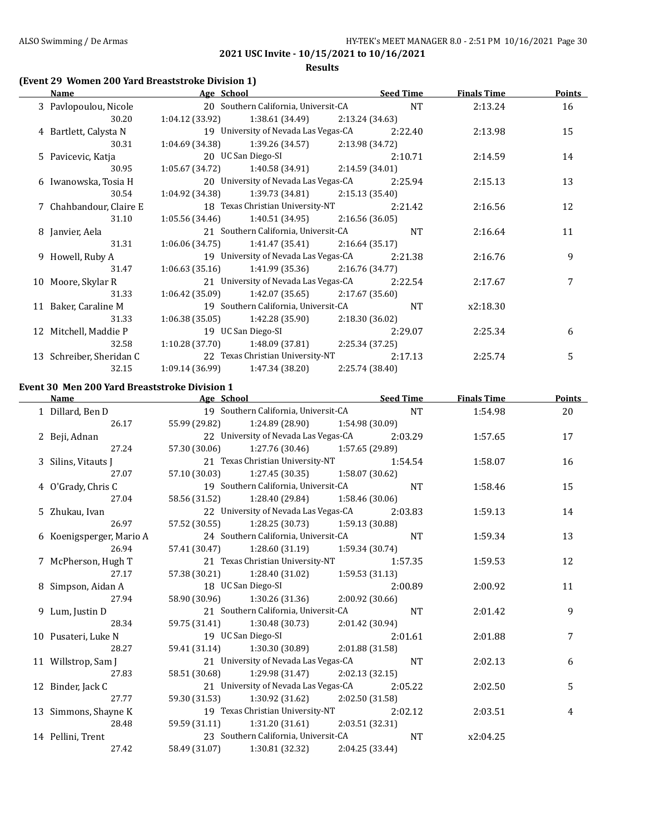#### **Results**

### **(Event 29 Women 200 Yard Breaststroke Division 1)**

| Name                     |                 | Age School Seed Time                                  |                 |         | <b>Finals Time</b> | <b>Points</b> |
|--------------------------|-----------------|-------------------------------------------------------|-----------------|---------|--------------------|---------------|
| 3 Pavlopoulou, Nicole    |                 | 20 Southern California, Universit-CA NT               |                 |         | 2:13.24            | 16            |
| 30.20                    |                 | 1:04.12 (33.92) 1:38.61 (34.49)                       | 2:13.24 (34.63) |         |                    |               |
| 4 Bartlett, Calysta N    |                 | 19 University of Nevada Las Vegas-CA 2:22.40          |                 |         | 2:13.98            | 15            |
| 30.31                    |                 | $1:04.69$ (34.38) $1:39.26$ (34.57) $2:13.98$ (34.72) |                 |         |                    |               |
| 5 Pavicevic, Katja       |                 | 20 UC San Diego-SI                                    |                 | 2:10.71 | 2:14.59            | 14            |
| 30.95                    |                 | $1:05.67(34.72)$ $1:40.58(34.91)$ $2:14.59(34.01)$    |                 |         |                    |               |
| 6 Iwanowska, Tosia H     |                 | 20 University of Nevada Las Vegas-CA 2:25.94          |                 |         | 2:15.13            | 13            |
| 30.54                    |                 | $1:04.92$ (34.38) $1:39.73$ (34.81) $2:15.13$ (35.40) |                 |         |                    |               |
| 7 Chahbandour, Claire E  |                 | 18 Texas Christian University-NT 2:21.42              |                 |         | 2:16.56            | 12            |
| 31.10                    |                 | $1:05.56(34.46)$ $1:40.51(34.95)$ $2:16.56(36.05)$    |                 |         |                    |               |
| 8 Janvier, Aela          |                 | 21 Southern California, Universit-CA NT               |                 |         | 2:16.64            | 11            |
| 31.31                    |                 | $1:06.06(34.75)$ $1:41.47(35.41)$ $2:16.64(35.17)$    |                 |         |                    |               |
| 9 Howell, Ruby A         |                 | 19 University of Nevada Las Vegas-CA 2:21.38          |                 |         | 2:16.76            | 9             |
| 31.47                    |                 | $1:06.63(35.16)$ $1:41.99(35.36)$ $2:16.76(34.77)$    |                 |         |                    |               |
| 10 Moore, Skylar R       |                 | 21 University of Nevada Las Vegas-CA 2:22.54          |                 |         | 2:17.67            | 7             |
| 31.33                    |                 | $1:06.42$ (35.09) $1:42.07$ (35.65) $2:17.67$ (35.60) |                 |         |                    |               |
| 11 Baker, Caraline M     |                 | 19 Southern California, Universit-CA                  |                 | NT.     | x2:18.30           |               |
| 31.33                    |                 | $1:06.38(35.05)$ $1:42.28(35.90)$                     | 2:18.30 (36.02) |         |                    |               |
| 12 Mitchell, Maddie P    |                 | 19 UC San Diego-SI                                    |                 | 2:29.07 | 2:25.34            | 6             |
| 32.58                    |                 | $1:10.28(37.70)$ $1:48.09(37.81)$ $2:25.34(37.25)$    |                 |         |                    |               |
| 13 Schreiber, Sheridan C |                 | 22 Texas Christian University-NT                      |                 | 2:17.13 | 2:25.74            | 5             |
| 32.15                    | 1:09.14 (36.99) | $1:47.34(38.20)$ $2:25.74(38.40)$                     |                 |         |                    |               |

### **Event 30 Men 200 Yard Breaststroke Division 1**

| Name                     | Age School | <u>Seed Time</u>                              |         | <b>Finals Time</b> | <b>Points</b> |
|--------------------------|------------|-----------------------------------------------|---------|--------------------|---------------|
| 1 Dillard, Ben D         |            | 19 Southern California, Universit-CA NT       |         | 1:54.98            | 20            |
| 26.17                    |            | 55.99 (29.82) 1:24.89 (28.90) 1:54.98 (30.09) |         |                    |               |
| 2 Beji, Adnan            |            | 22 University of Nevada Las Vegas-CA 2:03.29  |         | 1:57.65            | 17            |
| 27.24                    |            | 57.30 (30.06) 1:27.76 (30.46) 1:57.65 (29.89) |         |                    |               |
| 3 Silins, Vitauts J      |            | 21 Texas Christian University-NT 1:54.54      |         | 1:58.07            | 16            |
| 27.07                    |            | 57.10 (30.03) 1:27.45 (30.35) 1:58.07 (30.62) |         |                    |               |
| 4 O'Grady, Chris C       |            | 19 Southern California, Universit-CA NT       |         | 1:58.46            | 15            |
| 27.04                    |            | 58.56 (31.52) 1:28.40 (29.84) 1:58.46 (30.06) |         |                    |               |
| 5 Zhukau, Ivan           |            | 22 University of Nevada Las Vegas-CA 2:03.83  |         | 1:59.13            | 14            |
| 26.97                    |            | 57.52 (30.55) 1:28.25 (30.73) 1:59.13 (30.88) |         |                    |               |
| 6 Koenigsperger, Mario A |            | 24 Southern California, Universit-CA NT       |         | 1:59.34            | 13            |
| 26.94                    |            | 57.41 (30.47) 1:28.60 (31.19) 1:59.34 (30.74) |         |                    |               |
| 7 McPherson, Hugh T      |            | 21 Texas Christian University-NT 1:57.35      |         | 1:59.53            | 12            |
| 27.17                    |            | 57.38 (30.21) 1:28.40 (31.02) 1:59.53 (31.13) |         |                    |               |
| 8 Simpson, Aidan A       |            | 18 UC San Diego-SI                            | 2:00.89 | 2:00.92            | 11            |
| 27.94                    |            | 58.90 (30.96) 1:30.26 (31.36) 2:00.92 (30.66) |         |                    |               |
| 9 Lum, Justin D          |            | 21 Southern California, Universit-CA NT       |         | 2:01.42            | 9             |
| 28.34                    |            | 59.75 (31.41) 1:30.48 (30.73) 2:01.42 (30.94) |         |                    |               |
| 10 Pusateri, Luke N      |            | 19 UC San Diego-SI 2:01.61                    |         | 2:01.88            | 7             |
| 28.27                    |            | 59.41 (31.14) 1:30.30 (30.89) 2:01.88 (31.58) |         |                    |               |
| 11 Willstrop, Sam J      |            | 21 University of Nevada Las Vegas-CA NT       |         | 2:02.13            | 6             |
| 27.83                    |            | 58.51 (30.68) 1:29.98 (31.47) 2:02.13 (32.15) |         |                    |               |
| 12 Binder, Jack C        |            | 21 University of Nevada Las Vegas-CA 2:05.22  |         | 2:02.50            | 5             |
| 27.77                    |            | 59.30 (31.53) 1:30.92 (31.62) 2:02.50 (31.58) |         |                    |               |
| 13 Simmons, Shayne K     |            | 19 Texas Christian University-NT 2:02.12      |         | 2:03.51            | 4             |
| 28.48                    |            | 59.59 (31.11) 1:31.20 (31.61) 2:03.51 (32.31) |         |                    |               |
| 14 Pellini, Trent        |            | 23 Southern California, Universit-CA NT       |         | x2:04.25           |               |
| 27.42                    |            | 58.49 (31.07) 1:30.81 (32.32) 2:04.25 (33.44) |         |                    |               |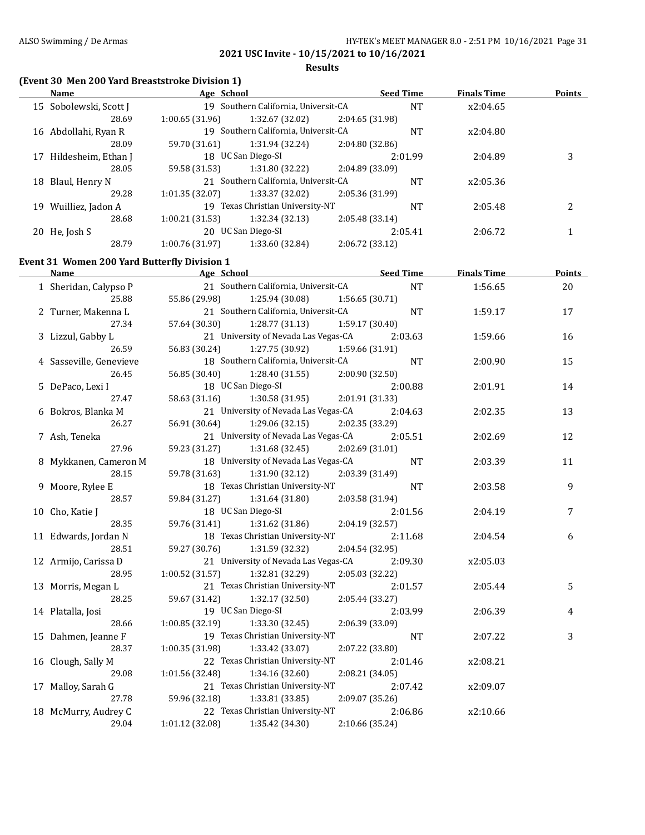### **Results**

# **(Event 30 Men 200 Yard Breaststroke Division 1)**

|    | Name                   | Age School     |                                      |                 | <b>Seed Time</b> | <b>Finals Time</b> | <b>Points</b> |
|----|------------------------|----------------|--------------------------------------|-----------------|------------------|--------------------|---------------|
|    | 15 Sobolewski, Scott J |                | 19 Southern California, Universit-CA |                 | <b>NT</b>        | x2:04.65           |               |
|    | 28.69                  | 1:00.65(31.96) | 1:32.67 (32.02)                      | 2:04.65 (31.98) |                  |                    |               |
|    | 16 Abdollahi, Ryan R   |                | 19 Southern California, Universit-CA |                 | <b>NT</b>        | x2:04.80           |               |
|    | 28.09                  | 59.70 (31.61)  | 1:31.94 (32.24)                      | 2:04.80 (32.86) |                  |                    |               |
|    | 17 Hildesheim, Ethan J |                | 18 UC San Diego-SI                   |                 | 2:01.99          | 2:04.89            | 3             |
|    | 28.05                  | 59.58 (31.53)  | 1:31.80 (32.22)                      | 2:04.89 (33.09) |                  |                    |               |
| 18 | Blaul, Henry N         |                | 21 Southern California, Universit-CA |                 | <b>NT</b>        | x2:05.36           |               |
|    | 29.28                  | 1:01.35(32.07) | 1:33.37 (32.02)                      | 2:05.36 (31.99) |                  |                    |               |
| 19 | Wuilliez, Jadon A      |                | 19 Texas Christian University-NT     |                 | NT               | 2:05.48            | 2             |
|    | 28.68                  | 1:00.21(31.53) | 1:32.34(32.13)                       | 2:05.48 (33.14) |                  |                    |               |
|    | 20 He, Josh S          |                | 20 UC San Diego-SI                   |                 | 2:05.41          | 2:06.72            |               |
|    | 28.79                  | 1:00.76(31.97) | 1:33.60 (32.84)                      | 2:06.72 (33.12) |                  |                    |               |

### **Event 31 Women 200 Yard Butterfly Division 1**

| Name                    | Age School      |                                      |                 | <b>Seed Time</b> | <b>Finals Time</b> | <b>Points</b> |
|-------------------------|-----------------|--------------------------------------|-----------------|------------------|--------------------|---------------|
| 1 Sheridan, Calypso P   |                 | 21 Southern California, Universit-CA |                 | <b>NT</b>        | 1:56.65            | 20            |
| 25.88                   |                 | 55.86 (29.98) 1:25.94 (30.08)        | 1:56.65(30.71)  |                  |                    |               |
| 2 Turner, Makenna L     |                 | 21 Southern California, Universit-CA |                 | <b>NT</b>        | 1:59.17            | 17            |
| 27.34                   | 57.64 (30.30)   | 1:28.77(31.13)                       | 1:59.17 (30.40) |                  |                    |               |
| 3 Lizzul, Gabby L       |                 | 21 University of Nevada Las Vegas-CA |                 | 2:03.63          | 1:59.66            | 16            |
| 26.59                   | 56.83 (30.24)   | 1:27.75 (30.92)                      | 1:59.66 (31.91) |                  |                    |               |
| 4 Sasseville, Genevieve |                 | 18 Southern California, Universit-CA |                 | <b>NT</b>        | 2:00.90            | 15            |
| 26.45                   | 56.85 (30.40)   | 1:28.40 (31.55)                      | 2:00.90 (32.50) |                  |                    |               |
| 5 DePaco, Lexi I        |                 | 18 UC San Diego-SI                   |                 | 2:00.88          | 2:01.91            | 14            |
| 27.47                   | 58.63 (31.16)   | 1:30.58(31.95)                       | 2:01.91 (31.33) |                  |                    |               |
| 6 Bokros, Blanka M      |                 | 21 University of Nevada Las Vegas-CA |                 | 2:04.63          | 2:02.35            | 13            |
| 26.27                   | 56.91 (30.64)   | 1:29.06(32.15)                       | 2:02.35 (33.29) |                  |                    |               |
| 7 Ash, Teneka           |                 | 21 University of Nevada Las Vegas-CA |                 | 2:05.51          | 2:02.69            | 12            |
| 27.96                   | 59.23 (31.27)   | 1:31.68 (32.45)                      | 2:02.69 (31.01) |                  |                    |               |
| 8 Mykkanen, Cameron M   |                 | 18 University of Nevada Las Vegas-CA |                 | <b>NT</b>        | 2:03.39            | 11            |
| 28.15                   | 59.78 (31.63)   | 1:31.90 (32.12)                      | 2:03.39 (31.49) |                  |                    |               |
| 9 Moore, Rylee E        |                 | 18 Texas Christian University-NT     |                 | <b>NT</b>        | 2:03.58            | 9             |
| 28.57                   | 59.84 (31.27)   | 1:31.64 (31.80)                      | 2:03.58 (31.94) |                  |                    |               |
| 10 Cho, Katie J         |                 | 18 UC San Diego-SI                   |                 | 2:01.56          | 2:04.19            | 7             |
| 28.35                   | 59.76 (31.41)   | 1:31.62 (31.86)                      | 2:04.19 (32.57) |                  |                    |               |
| 11 Edwards, Jordan N    |                 | 18 Texas Christian University-NT     |                 | 2:11.68          | 2:04.54            | 6             |
| 28.51                   | 59.27 (30.76)   | 1:31.59 (32.32)                      | 2:04.54 (32.95) |                  |                    |               |
| 12 Armijo, Carissa D    |                 | 21 University of Nevada Las Vegas-CA |                 | 2:09.30          | x2:05.03           |               |
| 28.95                   | 1:00.52 (31.57) | 1:32.81 (32.29)                      | 2:05.03 (32.22) |                  |                    |               |
| 13 Morris, Megan L      |                 | 21 Texas Christian University-NT     |                 | 2:01.57          | 2:05.44            | 5             |
| 28.25                   | 59.67 (31.42)   | 1:32.17 (32.50)                      | 2:05.44 (33.27) |                  |                    |               |
| 14 Platalla, Josi       |                 | 19 UC San Diego-SI                   |                 | 2:03.99          | 2:06.39            | 4             |
| 28.66                   |                 | $1:00.85(32.19)$ $1:33.30(32.45)$    | 2:06.39 (33.09) |                  |                    |               |
| 15 Dahmen, Jeanne F     |                 | 19 Texas Christian University-NT     |                 | NT               | 2:07.22            | 3             |
| 28.37                   | 1:00.35(31.98)  | 1:33.42 (33.07)                      | 2:07.22 (33.80) |                  |                    |               |
| 16 Clough, Sally M      |                 | 22 Texas Christian University-NT     |                 | 2:01.46          | x2:08.21           |               |
| 29.08                   | 1:01.56 (32.48) | 1:34.16(32.60)                       | 2:08.21 (34.05) |                  |                    |               |
| 17 Malloy, Sarah G      |                 | 21 Texas Christian University-NT     |                 | 2:07.42          | x2:09.07           |               |
| 27.78                   | 59.96 (32.18)   | 1:33.81(33.85)                       | 2:09.07 (35.26) |                  |                    |               |
| 18 McMurry, Audrey C    |                 | 22 Texas Christian University-NT     |                 | 2:06.86          | x2:10.66           |               |
| 29.04                   | 1:01.12 (32.08) | 1:35.42 (34.30)                      | 2:10.66 (35.24) |                  |                    |               |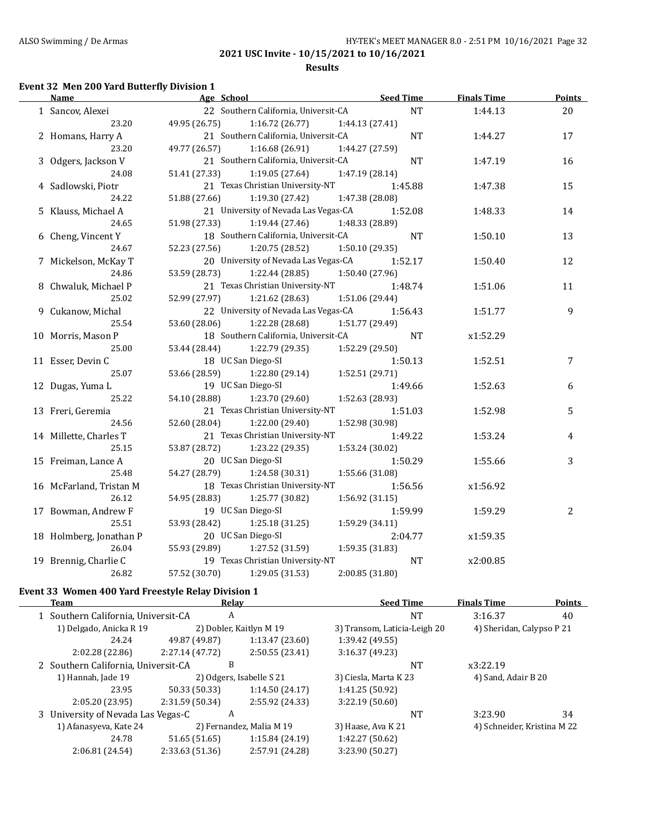### **Results**

### **Event 32 Men 200 Yard Butterfly Division 1**

| <b>Name</b>             | Age School    |                                      | <b>Seed Time</b> | <b>Finals Time</b> | <b>Points</b> |
|-------------------------|---------------|--------------------------------------|------------------|--------------------|---------------|
| 1 Sancov, Alexei        |               | 22 Southern California, Universit-CA | <b>NT</b>        | 1:44.13            | 20            |
| 23.20                   | 49.95 (26.75) | 1:16.72(26.77)                       | 1:44.13 (27.41)  |                    |               |
| 2 Homans, Harry A       |               | 21 Southern California, Universit-CA | <b>NT</b>        | 1:44.27            | 17            |
| 23.20                   | 49.77 (26.57) | 1:16.68 (26.91)                      | 1:44.27 (27.59)  |                    |               |
| 3 Odgers, Jackson V     |               | 21 Southern California, Universit-CA | <b>NT</b>        | 1:47.19            | 16            |
| 24.08                   | 51.41 (27.33) | 1:19.05(27.64)                       | 1:47.19 (28.14)  |                    |               |
| 4 Sadlowski, Piotr      |               | 21 Texas Christian University-NT     | 1:45.88          | 1:47.38            | 15            |
| 24.22                   | 51.88 (27.66) | 1:19.30(27.42)                       | 1:47.38 (28.08)  |                    |               |
| 5 Klauss, Michael A     |               | 21 University of Nevada Las Vegas-CA | 1:52.08          | 1:48.33            | 14            |
| 24.65                   | 51.98 (27.33) | 1:19.44(27.46)                       | 1:48.33 (28.89)  |                    |               |
| 6 Cheng, Vincent Y      |               | 18 Southern California, Universit-CA | <b>NT</b>        | 1:50.10            | 13            |
| 24.67                   | 52.23 (27.56) | 1:20.75 (28.52)                      | 1:50.10 (29.35)  |                    |               |
| 7 Mickelson, McKay T    |               | 20 University of Nevada Las Vegas-CA | 1:52.17          | 1:50.40            | 12            |
| 24.86                   | 53.59 (28.73) | 1:22.44 (28.85)                      | 1:50.40 (27.96)  |                    |               |
| 8 Chwaluk, Michael P    |               | 21 Texas Christian University-NT     | 1:48.74          | 1:51.06            | 11            |
| 25.02                   | 52.99 (27.97) | 1:21.62 (28.63)                      | 1:51.06 (29.44)  |                    |               |
| 9 Cukanow, Michal       |               | 22 University of Nevada Las Vegas-CA | 1:56.43          | 1:51.77            | 9             |
| 25.54                   | 53.60 (28.06) | 1:22.28 (28.68)                      | 1:51.77 (29.49)  |                    |               |
| 10 Morris, Mason P      |               | 18 Southern California, Universit-CA | <b>NT</b>        | x1:52.29           |               |
| 25.00                   | 53.44 (28.44) | 1:22.79 (29.35)                      | 1:52.29 (29.50)  |                    |               |
| 11 Esser, Devin C       |               | 18 UC San Diego-SI                   | 1:50.13          | 1:52.51            | 7             |
| 25.07                   | 53.66 (28.59) | 1:22.80 (29.14)                      | 1:52.51 (29.71)  |                    |               |
| 12 Dugas, Yuma L        |               | 19 UC San Diego-SI                   | 1:49.66          | 1:52.63            | 6             |
| 25.22                   | 54.10 (28.88) | 1:23.70 (29.60)                      | 1:52.63 (28.93)  |                    |               |
| 13 Freri, Geremia       |               | 21 Texas Christian University-NT     | 1:51.03          | 1:52.98            | 5             |
| 24.56                   | 52.60 (28.04) | 1:22.00 (29.40)                      | 1:52.98 (30.98)  |                    |               |
| 14 Millette, Charles T  |               | 21 Texas Christian University-NT     | 1:49.22          | 1:53.24            | 4             |
| 25.15                   | 53.87 (28.72) | 1:23.22 (29.35)                      | 1:53.24 (30.02)  |                    |               |
| 15 Freiman, Lance A     |               | 20 UC San Diego-SI                   | 1:50.29          | 1:55.66            | 3             |
| 25.48                   | 54.27 (28.79) | 1:24.58 (30.31)                      | 1:55.66 (31.08)  |                    |               |
| 16 McFarland, Tristan M |               | 18 Texas Christian University-NT     | 1:56.56          | x1:56.92           |               |
| 26.12                   | 54.95 (28.83) | 1:25.77 (30.82)                      | 1:56.92(31.15)   |                    |               |
| 17 Bowman, Andrew F     |               | 19 UC San Diego-SI                   | 1:59.99          | 1:59.29            | 2             |
| 25.51                   |               | 53.93 (28.42) 1:25.18 (31.25)        | 1:59.29 (34.11)  |                    |               |
| 18 Holmberg, Jonathan P |               | 20 UC San Diego-SI                   | 2:04.77          | x1:59.35           |               |
| 26.04                   | 55.93 (29.89) | 1:27.52 (31.59)                      | 1:59.35 (31.83)  |                    |               |
| 19 Brennig, Charlie C   |               | 19 Texas Christian University-NT     | <b>NT</b>        | x2:00.85           |               |
| 26.82                   | 57.52 (30.70) | 1:29.05 (31.53)                      | 2:00.85 (31.80)  |                    |               |

# **Event 33 Women 400 Yard Freestyle Relay Division 1**

 $\overline{\phantom{0}}$ 

| Team |                                                    | Relay           |                          | <b>Seed Time</b>             | <b>Finals Time</b>        | <b>Points</b> |
|------|----------------------------------------------------|-----------------|--------------------------|------------------------------|---------------------------|---------------|
|      | 1 Southern California, Universit-CA                | A               |                          | <b>NT</b>                    | 3:16.37                   | 40            |
|      | 1) Delgado, Anicka R 19                            |                 | 2) Dobler, Kaitlyn M 19  | 3) Transom, Laticia-Leigh 20 | 4) Sheridan, Calypso P 21 |               |
|      | 24.24                                              | 49.87 (49.87)   | 1:13.47(23.60)           | 1:39.42(49.55)               |                           |               |
|      | 2:02.28(22.86)                                     | 2:27.14(47.72)  | 2:50.55(23.41)           | 3:16.37(49.23)               |                           |               |
|      | 2 Southern California, Universit-CA                | B               |                          | NT                           | x3:22.19                  |               |
|      | 1) Hannah, Jade 19                                 |                 | 2) Odgers, Isabelle S 21 | 3) Ciesla, Marta K 23        | 4) Sand, Adair B 20       |               |
|      | 23.95                                              | 50.33 (50.33)   | 1:14.50(24.17)           | 1:41.25(50.92)               |                           |               |
|      | 2:05.20(23.95)                                     | 2:31.59 (50.34) | 2:55.92 (24.33)          | 3:22.19(50.60)               |                           |               |
|      | 3 University of Nevada Las Vegas-C                 | A               |                          | NT                           | 3:23.90                   | 34            |
|      | 1) Afanasyeva, Kate 24<br>2) Fernandez, Malia M 19 |                 | 3) Haase, Ava K 21       | 4) Schneider, Kristina M 22  |                           |               |
|      | 24.78                                              | 51.65 (51.65)   | 1:15.84(24.19)           | 1:42.27 (50.62)              |                           |               |
|      | 2:06.81 (24.54)                                    | 2:33.63(51.36)  | 2:57.91 (24.28)          | 3:23.90 (50.27)              |                           |               |
|      |                                                    |                 |                          |                              |                           |               |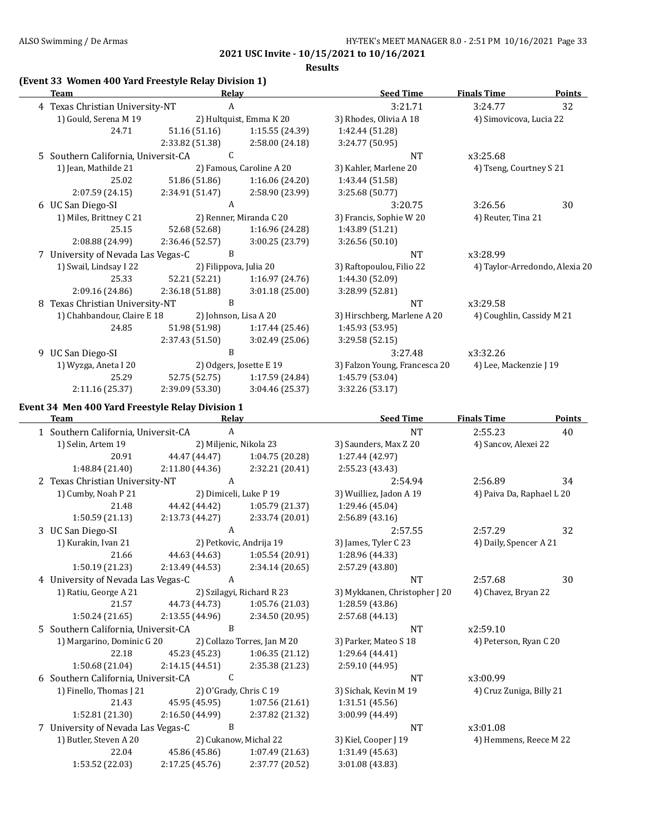**Results**

| <b>Team</b>                         |                          | Relay                   | <b>Seed Time</b>              | <b>Finals Time</b>             | <b>Points</b> |
|-------------------------------------|--------------------------|-------------------------|-------------------------------|--------------------------------|---------------|
| 4 Texas Christian University-NT     |                          | A                       | 3:21.71                       | 3:24.77                        | 32            |
| 1) Gould, Serena M 19               |                          | 2) Hultquist, Emma K 20 | 3) Rhodes, Olivia A 18        | 4) Simovicova, Lucia 22        |               |
| 24.71                               | 51.16 (51.16)            | 1:15.55 (24.39)         | 1:42.44 (51.28)               |                                |               |
|                                     | 2:33.82 (51.38)          | 2:58.00 (24.18)         | 3:24.77 (50.95)               |                                |               |
| 5 Southern California, Universit-CA |                          | C                       | <b>NT</b>                     | x3:25.68                       |               |
| 1) Jean, Mathilde 21                | 2) Famous, Caroline A 20 |                         | 3) Kahler, Marlene 20         | 4) Tseng, Courtney S 21        |               |
| 25.02                               | 51.86 (51.86)            | 1:16.06(24.20)          | 1:43.44 (51.58)               |                                |               |
| 2:07.59 (24.15)                     | 2:34.91 (51.47)          | 2:58.90 (23.99)         | 3:25.68 (50.77)               |                                |               |
| 6 UC San Diego-SI                   |                          | A                       | 3:20.75                       | 3:26.56                        | 30            |
| 1) Miles, Brittney C 21             |                          | 2) Renner, Miranda C 20 | 3) Francis, Sophie W 20       | 4) Reuter, Tina 21             |               |
| 25.15                               | 52.68 (52.68)            | 1:16.96 (24.28)         | 1:43.89 (51.21)               |                                |               |
| 2:08.88 (24.99)                     | 2:36.46 (52.57)          | 3:00.25 (23.79)         | 3:26.56(50.10)                |                                |               |
| 7 University of Nevada Las Vegas-C  |                          | B                       | <b>NT</b>                     | x3:28.99                       |               |
| 1) Swail, Lindsay I 22              |                          | 2) Filippova, Julia 20  | 3) Raftopoulou, Filio 22      | 4) Taylor-Arredondo, Alexia 20 |               |
| 25.33                               | 52.21 (52.21)            | 1:16.97(24.76)          | 1:44.30 (52.09)               |                                |               |
| 2:09.16 (24.86)                     | 2:36.18 (51.88)          | 3:01.18(25.00)          | 3:28.99 (52.81)               |                                |               |
| Texas Christian University-NT       |                          | B                       | <b>NT</b>                     | x3:29.58                       |               |
| 1) Chahbandour, Claire E 18         |                          | 2) Johnson, Lisa A 20   | 3) Hirschberg, Marlene A 20   | 4) Coughlin, Cassidy M 21      |               |
| 24.85                               | 51.98 (51.98)            | 1:17.44(25.46)          | 1:45.93 (53.95)               |                                |               |
|                                     | 2:37.43 (51.50)          | 3:02.49(25.06)          | 3:29.58(52.15)                |                                |               |
| 9 UC San Diego-SI                   |                          | B                       | 3:27.48                       | x3:32.26                       |               |
| 1) Wyzga, Aneta I 20                |                          | 2) Odgers, Josette E 19 | 3) Falzon Young, Francesca 20 | 4) Lee, Mackenzie J 19         |               |
| 25.29                               | 52.75 (52.75)            | 1:17.59 (24.84)         | 1:45.79 (53.04)               |                                |               |
| 2:11.16 (25.37)                     | 2:39.09 (53.30)          | 3:04.46 (25.37)         | 3:32.26 (53.17)               |                                |               |

### **Event 34 Men 400 Yard Freestyle Relay Division 1**

| <b>Team</b>                         | <b>Relav</b>    |                             | <b>Seed Time</b>              | <b>Finals Time</b>        | <b>Points</b> |
|-------------------------------------|-----------------|-----------------------------|-------------------------------|---------------------------|---------------|
| 1 Southern California, Universit-CA | A               |                             | <b>NT</b>                     | 2:55.23                   | 40            |
| 1) Selin, Artem 19                  |                 | 2) Miljenic, Nikola 23      | 3) Saunders, Max Z 20         | 4) Sancov, Alexei 22      |               |
| 20.91                               | 44.47 (44.47)   | 1:04.75 (20.28)             | 1:27.44 (42.97)               |                           |               |
| 1:48.84 (21.40)                     | 2:11.80(44.36)  | 2:32.21 (20.41)             | 2:55.23 (43.43)               |                           |               |
| 2 Texas Christian University-NT     | A               |                             | 2:54.94                       | 2:56.89                   | 34            |
| 1) Cumby, Noah P 21                 |                 | 2) Dimiceli, Luke P 19      | 3) Wuilliez, Jadon A 19       | 4) Paiva Da, Raphael L 20 |               |
| 21.48                               | 44.42 (44.42)   | 1:05.79 (21.37)             | 1:29.46 (45.04)               |                           |               |
| 1:50.59(21.13)                      | 2:13.73(44.27)  | 2:33.74 (20.01)             | 2:56.89(43.16)                |                           |               |
| 3 UC San Diego-SI                   | A               |                             | 2:57.55                       | 2:57.29                   | 32            |
| 1) Kurakin, Ivan 21                 |                 | 2) Petkovic, Andrija 19     | 3) James, Tyler C 23          | 4) Daily, Spencer A 21    |               |
| 21.66                               | 44.63 (44.63)   | 1:05.54(20.91)              | 1:28.96 (44.33)               |                           |               |
| 1:50.19 (21.23)                     | 2:13.49(44.53)  | 2:34.14 (20.65)             | 2:57.29 (43.80)               |                           |               |
| 4 University of Nevada Las Vegas-C  | A               |                             | <b>NT</b>                     | 2:57.68                   | 30            |
| 1) Ratiu, George A 21               |                 | 2) Szilagyi, Richard R 23   | 3) Mykkanen, Christopher J 20 | 4) Chavez, Bryan 22       |               |
| 21.57                               | 44.73 (44.73)   | 1:05.76 (21.03)             | 1:28.59 (43.86)               |                           |               |
| 1:50.24(21.65)                      | 2:13.55(44.96)  | 2:34.50 (20.95)             | 2:57.68 (44.13)               |                           |               |
| 5 Southern California, Universit-CA | B               |                             | <b>NT</b>                     | x2:59.10                  |               |
| 1) Margarino, Dominic G 20          |                 | 2) Collazo Torres, Jan M 20 | 3) Parker, Mateo S 18         | 4) Peterson, Ryan C 20    |               |
| 22.18                               | 45.23 (45.23)   | 1:06.35(21.12)              | 1:29.64 (44.41)               |                           |               |
| 1:50.68(21.04)                      | 2:14.15 (44.51) | 2:35.38 (21.23)             | 2:59.10 (44.95)               |                           |               |
| 6 Southern California, Universit-CA | C               |                             | <b>NT</b>                     | x3:00.99                  |               |
| 1) Finello, Thomas J 21             |                 | 2) O'Grady, Chris C 19      | 3) Sichak, Kevin M 19         | 4) Cruz Zuniga, Billy 21  |               |
| 21.43                               | 45.95 (45.95)   | 1:07.56(21.61)              | 1:31.51(45.56)                |                           |               |
| 1:52.81 (21.30)                     | 2:16.50(44.99)  | 2:37.82 (21.32)             | 3:00.99 (44.49)               |                           |               |
| 7 University of Nevada Las Vegas-C  | B               |                             | <b>NT</b>                     | x3:01.08                  |               |
| 1) Butler, Steven A 20              |                 | 2) Cukanow, Michal 22       | 3) Kiel, Cooper J 19          | 4) Hemmens, Reece M 22    |               |
| 22.04                               | 45.86 (45.86)   | 1:07.49 (21.63)             | 1:31.49 (45.63)               |                           |               |
| 1:53.52 (22.03)                     | 2:17.25 (45.76) | 2:37.77 (20.52)             | 3:01.08 (43.83)               |                           |               |
|                                     |                 |                             |                               |                           |               |